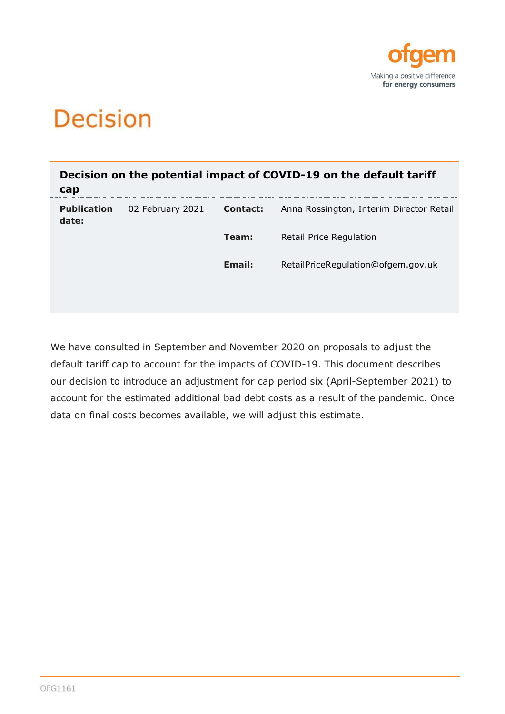

# **Decision**

| cap                         |                  |          | Decision on the potential impact of COVID-19 on the default tariff |
|-----------------------------|------------------|----------|--------------------------------------------------------------------|
| <b>Publication</b><br>date: | 02 February 2021 | Contact: | Anna Rossington, Interim Director Retail                           |
|                             |                  | Team:    | <b>Retail Price Regulation</b>                                     |
|                             |                  | Email:   | RetailPriceRegulation@ofgem.gov.uk                                 |
|                             |                  |          |                                                                    |

We have consulted in September and November 2020 on proposals to adjust the default tariff cap to account for the impacts of COVID-19. This document describes our decision to introduce an adjustment for cap period six (April-September 2021) to account for the estimated additional bad debt costs as a result of the pandemic. Once data on final costs becomes available, we will adjust this estimate.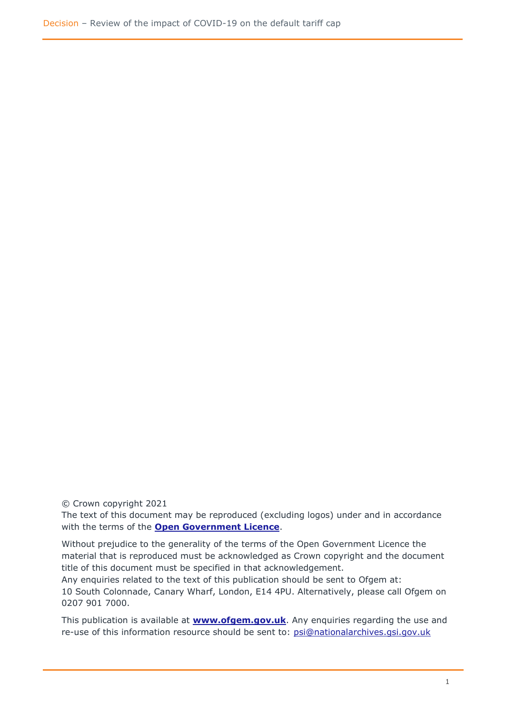© Crown copyright 2021

The text of this document may be reproduced (excluding logos) under and in accordance with the terms of the **[Open Government Licence](http://www.nationalarchives.gov.uk/doc/open-government-licence/version/3/)**.

Without prejudice to the generality of the terms of the Open Government Licence the material that is reproduced must be acknowledged as Crown copyright and the document title of this document must be specified in that acknowledgement.

Any enquiries related to the text of this publication should be sent to Ofgem at: 10 South Colonnade, Canary Wharf, London, E14 4PU. Alternatively, please call Ofgem on 0207 901 7000.

This publication is available at **[www.ofgem.gov.uk](http://www.ofgem.gov.uk/)**. Any enquiries regarding the use and re-use of this information resource should be sent to: [psi@nationalarchives.gsi.gov.uk](mailto:psi@nationalarchives.gsi.gov.uk)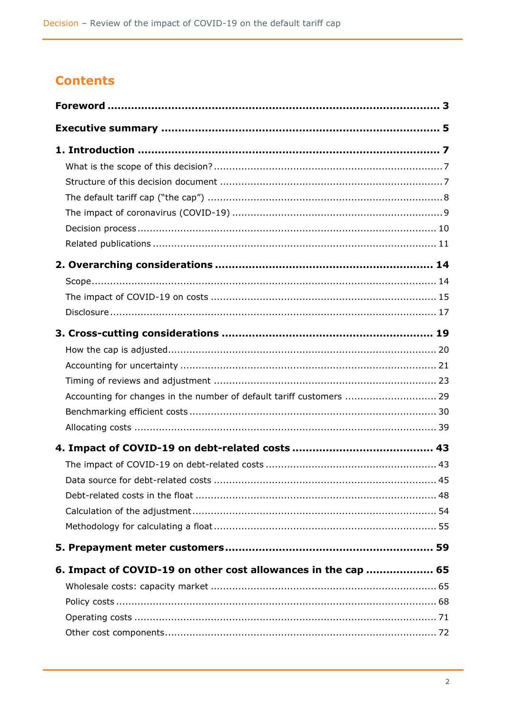# **Contents**

| Accounting for changes in the number of default tariff customers  29 |  |
|----------------------------------------------------------------------|--|
|                                                                      |  |
|                                                                      |  |
|                                                                      |  |
|                                                                      |  |
|                                                                      |  |
|                                                                      |  |
|                                                                      |  |
|                                                                      |  |
|                                                                      |  |
| 6. Impact of COVID-19 on other cost allowances in the cap  65        |  |
|                                                                      |  |
|                                                                      |  |
|                                                                      |  |
|                                                                      |  |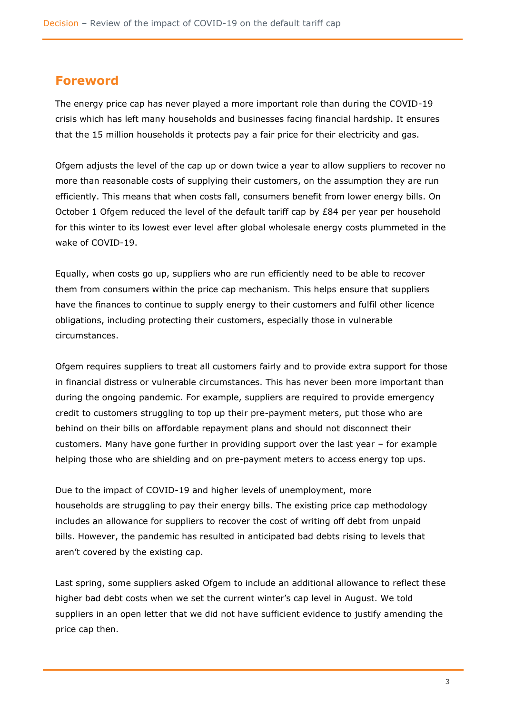### <span id="page-3-0"></span>**Foreword**

The energy price cap has never played a more important role than during the COVID-19 crisis which has left many households and businesses facing financial hardship. It ensures that the 15 million households it protects pay a fair price for their electricity and gas.

Ofgem adjusts the level of the cap up or down twice a year to allow suppliers to recover no more than reasonable costs of supplying their customers, on the assumption they are run efficiently. This means that when costs fall, consumers benefit from lower energy bills. On October 1 Ofgem reduced the level of the default tariff cap by £84 per year per household for this winter to its lowest ever level after global wholesale energy costs plummeted in the wake of COVID-19.

Equally, when costs go up, suppliers who are run efficiently need to be able to recover them from consumers within the price cap mechanism. This helps ensure that suppliers have the finances to continue to supply energy to their customers and fulfil other licence obligations, including protecting their customers, especially those in vulnerable circumstances.

Ofgem requires suppliers to treat all customers fairly and to provide extra support for those in financial distress or vulnerable circumstances. This has never been more important than during the ongoing pandemic. For example, suppliers are required to provide emergency credit to customers struggling to top up their pre-payment meters, put those who are behind on their bills on affordable repayment plans and should not disconnect their customers. Many have gone further in providing support over the last year – for example helping those who are shielding and on pre-payment meters to access energy top ups.

Due to the impact of COVID-19 and higher levels of unemployment, more households are struggling to pay their energy bills. The existing price cap methodology includes an allowance for suppliers to recover the cost of writing off debt from unpaid bills. However, the pandemic has resulted in anticipated bad debts rising to levels that aren't covered by the existing cap.

Last spring, some suppliers asked Ofgem to include an additional allowance to reflect these higher bad debt costs when we set the current winter's cap level in August. We told suppliers in an open letter that we did not have sufficient evidence to justify amending the price cap then.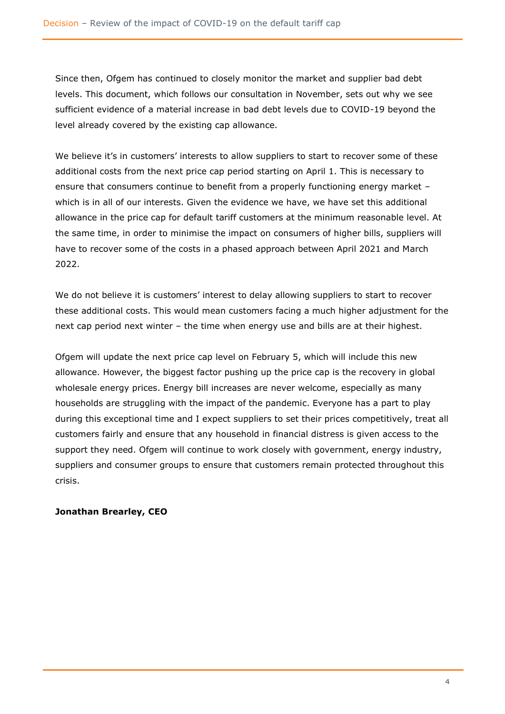Since then, Ofgem has continued to closely monitor the market and supplier bad debt levels. This document, which follows our consultation in November, sets out why we see sufficient evidence of a material increase in bad debt levels due to COVID-19 beyond the level already covered by the existing cap allowance.

We believe it's in customers' interests to allow suppliers to start to recover some of these additional costs from the next price cap period starting on April 1. This is necessary to ensure that consumers continue to benefit from a properly functioning energy market – which is in all of our interests. Given the evidence we have, we have set this additional allowance in the price cap for default tariff customers at the minimum reasonable level. At the same time, in order to minimise the impact on consumers of higher bills, suppliers will have to recover some of the costs in a phased approach between April 2021 and March 2022.

We do not believe it is customers' interest to delay allowing suppliers to start to recover these additional costs. This would mean customers facing a much higher adjustment for the next cap period next winter – the time when energy use and bills are at their highest.

Ofgem will update the next price cap level on February 5, which will include this new allowance. However, the biggest factor pushing up the price cap is the recovery in global wholesale energy prices. Energy bill increases are never welcome, especially as many households are struggling with the impact of the pandemic. Everyone has a part to play during this exceptional time and I expect suppliers to set their prices competitively, treat all customers fairly and ensure that any household in financial distress is given access to the support they need. Ofgem will continue to work closely with government, energy industry, suppliers and consumer groups to ensure that customers remain protected throughout this crisis.

#### **Jonathan Brearley, CEO**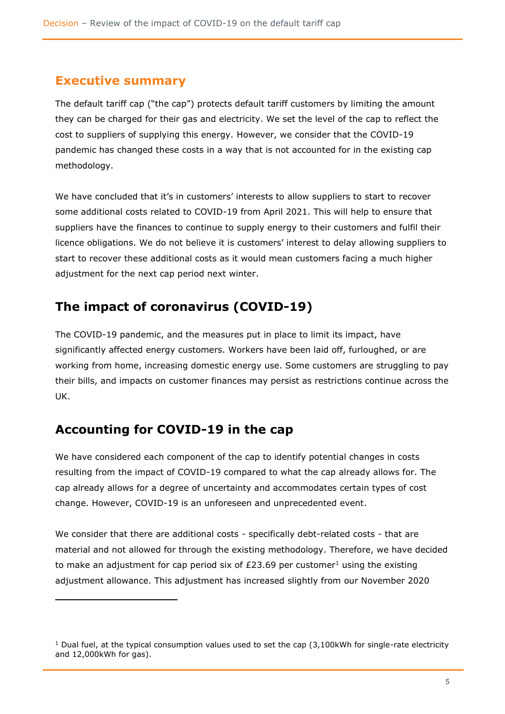### <span id="page-5-0"></span>**Executive summary**

The default tariff cap ("the cap") protects default tariff customers by limiting the amount they can be charged for their gas and electricity. We set the level of the cap to reflect the cost to suppliers of supplying this energy. However, we consider that the COVID-19 pandemic has changed these costs in a way that is not accounted for in the existing cap methodology.

We have concluded that it's in customers' interests to allow suppliers to start to recover some additional costs related to COVID-19 from April 2021. This will help to ensure that suppliers have the finances to continue to supply energy to their customers and fulfil their licence obligations. We do not believe it is customers' interest to delay allowing suppliers to start to recover these additional costs as it would mean customers facing a much higher adjustment for the next cap period next winter.

# **The impact of coronavirus (COVID-19)**

The COVID-19 pandemic, and the measures put in place to limit its impact, have significantly affected energy customers. Workers have been laid off, furloughed, or are working from home, increasing domestic energy use. Some customers are struggling to pay their bills, and impacts on customer finances may persist as restrictions continue across the UK.

# **Accounting for COVID-19 in the cap**

We have considered each component of the cap to identify potential changes in costs resulting from the impact of COVID-19 compared to what the cap already allows for. The cap already allows for a degree of uncertainty and accommodates certain types of cost change. However, COVID-19 is an unforeseen and unprecedented event.

We consider that there are additional costs - specifically debt-related costs - that are material and not allowed for through the existing methodology. Therefore, we have decided to make an adjustment for cap period six of £23.69 per customer<sup>1</sup> using the existing adjustment allowance. This adjustment has increased slightly from our November 2020

 $1$  Dual fuel, at the typical consumption values used to set the cap (3,100kWh for single-rate electricity and 12,000kWh for gas).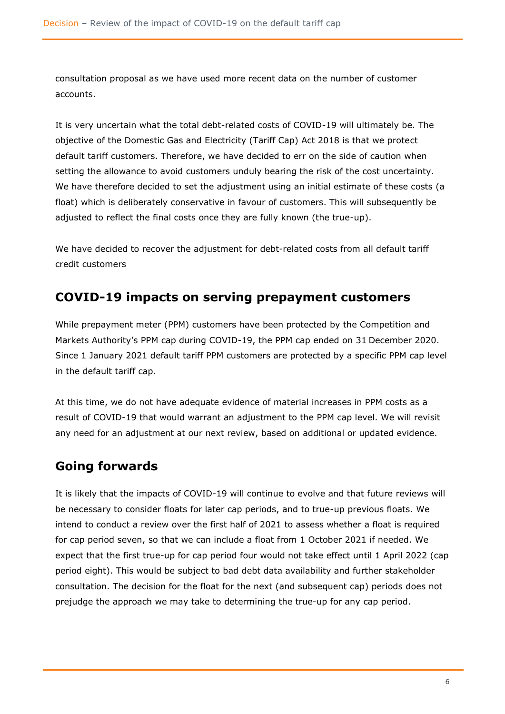consultation proposal as we have used more recent data on the number of customer accounts.

It is very uncertain what the total debt-related costs of COVID-19 will ultimately be. The objective of the Domestic Gas and Electricity (Tariff Cap) Act 2018 is that we protect default tariff customers. Therefore, we have decided to err on the side of caution when setting the allowance to avoid customers unduly bearing the risk of the cost uncertainty. We have therefore decided to set the adjustment using an initial estimate of these costs (a float) which is deliberately conservative in favour of customers. This will subsequently be adjusted to reflect the final costs once they are fully known (the true-up).

We have decided to recover the adjustment for debt-related costs from all default tariff credit customers

### **COVID-19 impacts on serving prepayment customers**

While prepayment meter (PPM) customers have been protected by the Competition and Markets Authority's PPM cap during COVID-19, the PPM cap ended on 31 December 2020. Since 1 January 2021 default tariff PPM customers are protected by a specific PPM cap level in the default tariff cap.

At this time, we do not have adequate evidence of material increases in PPM costs as a result of COVID-19 that would warrant an adjustment to the PPM cap level. We will revisit any need for an adjustment at our next review, based on additional or updated evidence.

### **Going forwards**

It is likely that the impacts of COVID-19 will continue to evolve and that future reviews will be necessary to consider floats for later cap periods, and to true-up previous floats. We intend to conduct a review over the first half of 2021 to assess whether a float is required for cap period seven, so that we can include a float from 1 October 2021 if needed. We expect that the first true-up for cap period four would not take effect until 1 April 2022 (cap period eight). This would be subject to bad debt data availability and further stakeholder consultation. The decision for the float for the next (and subsequent cap) periods does not prejudge the approach we may take to determining the true-up for any cap period.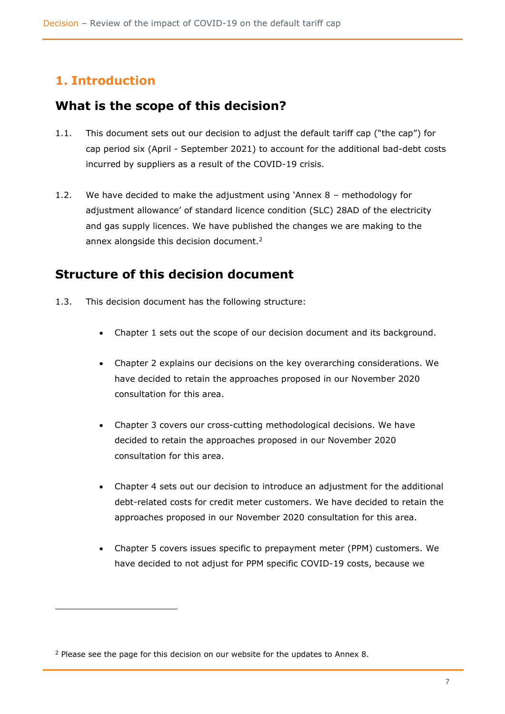# <span id="page-7-0"></span>**1. Introduction**

### <span id="page-7-1"></span>**What is the scope of this decision?**

- 1.1. This document sets out our decision to adjust the default tariff cap ("the cap") for cap period six (April - September 2021) to account for the additional bad-debt costs incurred by suppliers as a result of the COVID-19 crisis.
- 1.2. We have decided to make the adjustment using 'Annex 8 methodology for adjustment allowance' of standard licence condition (SLC) 28AD of the electricity and gas supply licences. We have published the changes we are making to the annex alongside this decision document.<sup>2</sup>

### <span id="page-7-2"></span>**Structure of this decision document**

- 1.3. This decision document has the following structure:
	- Chapter 1 sets out the scope of our decision document and its background.
	- Chapter 2 explains our decisions on the key overarching considerations. We have decided to retain the approaches proposed in our November 2020 consultation for this area.
	- Chapter 3 covers our cross-cutting methodological decisions. We have decided to retain the approaches proposed in our November 2020 consultation for this area.
	- Chapter 4 sets out our decision to introduce an adjustment for the additional debt-related costs for credit meter customers. We have decided to retain the approaches proposed in our November 2020 consultation for this area.
	- Chapter 5 covers issues specific to prepayment meter (PPM) customers. We have decided to not adjust for PPM specific COVID-19 costs, because we

<sup>&</sup>lt;sup>2</sup> Please see the page for this decision on our website for the updates to Annex 8.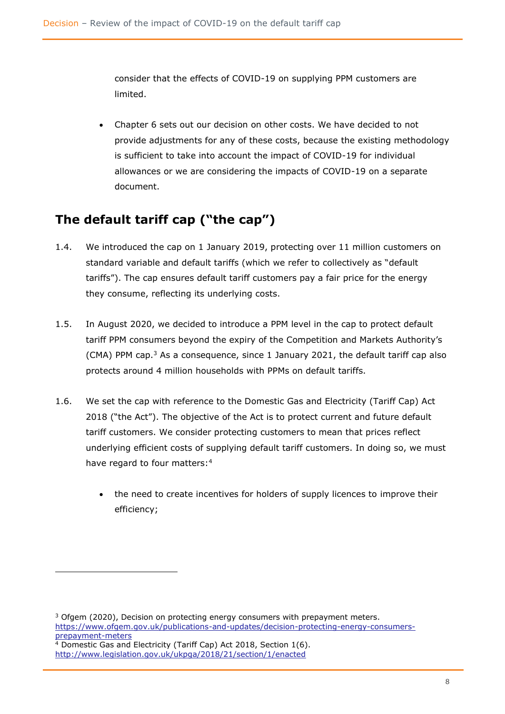consider that the effects of COVID-19 on supplying PPM customers are limited.

• Chapter 6 sets out our decision on other costs. We have decided to not provide adjustments for any of these costs, because the existing methodology is sufficient to take into account the impact of COVID-19 for individual allowances or we are considering the impacts of COVID-19 on a separate document.

# <span id="page-8-0"></span>**The default tariff cap ("the cap")**

- 1.4. We introduced the cap on 1 January 2019, protecting over 11 million customers on standard variable and default tariffs (which we refer to collectively as "default tariffs"). The cap ensures default tariff customers pay a fair price for the energy they consume, reflecting its underlying costs.
- 1.5. In August 2020, we decided to introduce a PPM level in the cap to protect default tariff PPM consumers beyond the expiry of the Competition and Markets Authority's (CMA) PPM cap. $3$  As a consequence, since 1 January 2021, the default tariff cap also protects around 4 million households with PPMs on default tariffs.
- 1.6. We set the cap with reference to the Domestic Gas and Electricity (Tariff Cap) Act 2018 ("the Act"). The objective of the Act is to protect current and future default tariff customers. We consider protecting customers to mean that prices reflect underlying efficient costs of supplying default tariff customers. In doing so, we must have regard to four matters:<sup>4</sup>
	- the need to create incentives for holders of supply licences to improve their efficiency;

 $3$  Ofgem (2020), Decision on protecting energy consumers with prepayment meters. [https://www.ofgem.gov.uk/publications-and-updates/decision-protecting-energy-consumers](https://www.ofgem.gov.uk/publications-and-updates/decision-protecting-energy-consumers-prepayment-meters)[prepayment-meters](https://www.ofgem.gov.uk/publications-and-updates/decision-protecting-energy-consumers-prepayment-meters)

 $4$  Domestic Gas and Electricity (Tariff Cap) Act 2018, Section 1(6). <http://www.legislation.gov.uk/ukpga/2018/21/section/1/enacted>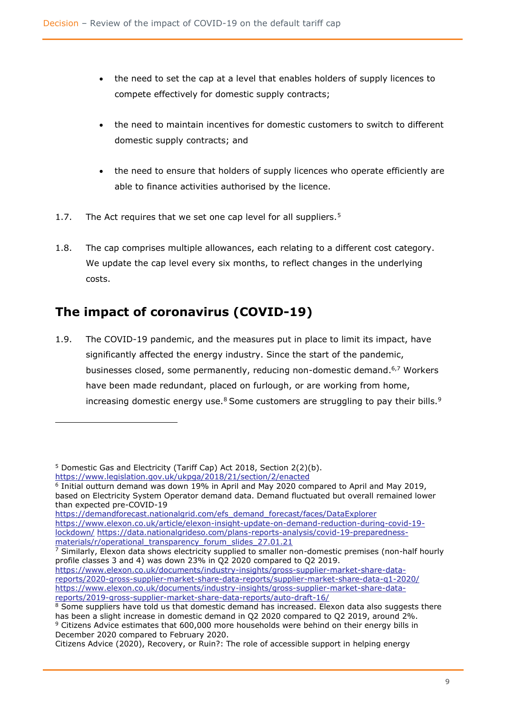- the need to set the cap at a level that enables holders of supply licences to compete effectively for domestic supply contracts;
- the need to maintain incentives for domestic customers to switch to different domestic supply contracts; and
- the need to ensure that holders of supply licences who operate efficiently are able to finance activities authorised by the licence.
- 1.7. The Act requires that we set one cap level for all suppliers.<sup>5</sup>
- 1.8. The cap comprises multiple allowances, each relating to a different cost category. We update the cap level every six months, to reflect changes in the underlying costs.

# <span id="page-9-0"></span>**The impact of coronavirus (COVID-19)**

1.9. The COVID-19 pandemic, and the measures put in place to limit its impact, have significantly affected the energy industry. Since the start of the pandemic, businesses closed, some permanently, reducing non-domestic demand. 6,7 Workers have been made redundant, placed on furlough, or are working from home, increasing domestic energy use. $8$  Some customers are struggling to pay their bills. $9$ 

<sup>5</sup> Domestic Gas and Electricity (Tariff Cap) Act 2018, Section 2(2)(b).

<https://www.legislation.gov.uk/ukpga/2018/21/section/2/enacted>

<sup>6</sup> Initial outturn demand was down 19% in April and May 2020 compared to April and May 2019, based on Electricity System Operator demand data. Demand fluctuated but overall remained lower than expected pre-COVID-19

[https://demandforecast.nationalgrid.com/efs\\_demand\\_forecast/faces/DataExplorer](https://demandforecast.nationalgrid.com/efs_demand_forecast/faces/DataExplorer) 

[https://www.elexon.co.uk/article/elexon-insight-update-on-demand-reduction-during-covid-19](https://www.elexon.co.uk/article/elexon-insight-update-on-demand-reduction-during-covid-19-lockdown/) [lockdown/](https://www.elexon.co.uk/article/elexon-insight-update-on-demand-reduction-during-covid-19-lockdown/) [https://data.nationalgrideso.com/plans-reports-analysis/covid-19-preparedness](https://data.nationalgrideso.com/plans-reports-analysis/covid-19-preparedness-materials/r/operational_transparency_forum_slides_27.01.21)[materials/r/operational\\_transparency\\_forum\\_slides\\_27.01.21](https://data.nationalgrideso.com/plans-reports-analysis/covid-19-preparedness-materials/r/operational_transparency_forum_slides_27.01.21)

<sup>&</sup>lt;sup>7</sup> Similarly, Elexon data shows electricity supplied to smaller non-domestic premises (non-half hourly profile classes 3 and 4) was down 23% in Q2 2020 compared to Q2 2019.

[https://www.elexon.co.uk/documents/industry-insights/gross-supplier-market-share-data](https://www.elexon.co.uk/documents/industry-insights/gross-supplier-market-share-data-reports/2020-gross-supplier-market-share-data-reports/supplier-market-share-data-q1-2020/)[reports/2020-gross-supplier-market-share-data-reports/supplier-market-share-data-q1-2020/](https://www.elexon.co.uk/documents/industry-insights/gross-supplier-market-share-data-reports/2020-gross-supplier-market-share-data-reports/supplier-market-share-data-q1-2020/) [https://www.elexon.co.uk/documents/industry-insights/gross-supplier-market-share-data](https://www.elexon.co.uk/documents/industry-insights/gross-supplier-market-share-data-reports/2019-gross-supplier-market-share-data-reports/auto-draft-16/)[reports/2019-gross-supplier-market-share-data-reports/auto-draft-16/](https://www.elexon.co.uk/documents/industry-insights/gross-supplier-market-share-data-reports/2019-gross-supplier-market-share-data-reports/auto-draft-16/)

<sup>&</sup>lt;sup>8</sup> Some suppliers have told us that domestic demand has increased. Elexon data also suggests there has been a slight increase in domestic demand in Q2 2020 compared to Q2 2019, around 2%. <sup>9</sup> Citizens Advice estimates that 600,000 more households were behind on their energy bills in December 2020 compared to February 2020.

Citizens Advice (2020), Recovery, or Ruin?: The role of accessible support in helping energy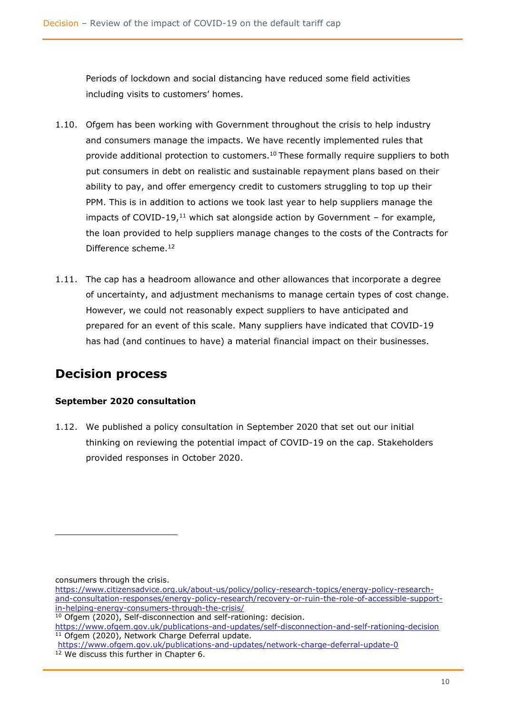Periods of lockdown and social distancing have reduced some field activities including visits to customers' homes.

- 1.10. Ofgem has been working with Government throughout the crisis to help industry and consumers manage the impacts. We have recently implemented rules that provide additional protection to customers.<sup>10</sup> These formally require suppliers to both put consumers in debt on realistic and sustainable repayment plans based on their ability to pay, and offer emergency credit to customers struggling to top up their PPM. This is in addition to actions we took last year to help suppliers manage the impacts of COVID-19,<sup>11</sup> which sat alongside action by Government – for example, the loan provided to help suppliers manage changes to the costs of the Contracts for Difference scheme.<sup>12</sup>
- 1.11. The cap has a headroom allowance and other allowances that incorporate a degree of uncertainty, and adjustment mechanisms to manage certain types of cost change. However, we could not reasonably expect suppliers to have anticipated and prepared for an event of this scale. Many suppliers have indicated that COVID-19 has had (and continues to have) a material financial impact on their businesses.

### <span id="page-10-0"></span>**Decision process**

#### **September 2020 consultation**

1.12. We published a policy consultation in September 2020 that set out our initial thinking on reviewing the potential impact of COVID-19 on the cap. Stakeholders provided responses in October 2020.

consumers through the crisis.

[https://www.citizensadvice.org.uk/about-us/policy/policy-research-topics/energy-policy-research](https://www.citizensadvice.org.uk/about-us/policy/policy-research-topics/energy-policy-research-and-consultation-responses/energy-policy-research/recovery-or-ruin-the-role-of-accessible-support-in-helping-energy-consumers-through-the-crisis/)[and-consultation-responses/energy-policy-research/recovery-or-ruin-the-role-of-accessible-support](https://www.citizensadvice.org.uk/about-us/policy/policy-research-topics/energy-policy-research-and-consultation-responses/energy-policy-research/recovery-or-ruin-the-role-of-accessible-support-in-helping-energy-consumers-through-the-crisis/)[in-helping-energy-consumers-through-the-crisis/](https://www.citizensadvice.org.uk/about-us/policy/policy-research-topics/energy-policy-research-and-consultation-responses/energy-policy-research/recovery-or-ruin-the-role-of-accessible-support-in-helping-energy-consumers-through-the-crisis/)

<sup>10</sup> Ofgem (2020), Self-disconnection and self-rationing: decision.

<https://www.ofgem.gov.uk/publications-and-updates/self-disconnection-and-self-rationing-decision> <sup>11</sup> Ofgem (2020), Network Charge Deferral update.

https://www.ofgem.gov.uk/publications-and-updates/network-charge-deferral-update-0 <sup>12</sup> We discuss this further in Chapter 6.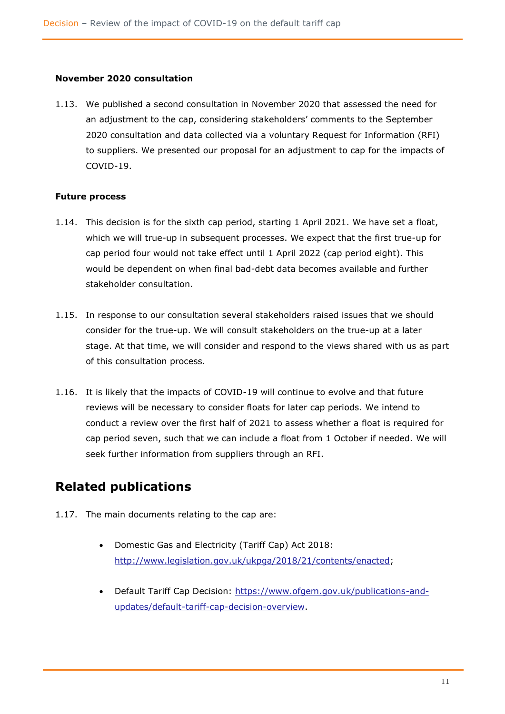#### **November 2020 consultation**

1.13. We published a second consultation in November 2020 that assessed the need for an adjustment to the cap, considering stakeholders' comments to the September 2020 consultation and data collected via a voluntary Request for Information (RFI) to suppliers. We presented our proposal for an adjustment to cap for the impacts of COVID-19.

#### **Future process**

- 1.14. This decision is for the sixth cap period, starting 1 April 2021. We have set a float, which we will true-up in subsequent processes. We expect that the first true-up for cap period four would not take effect until 1 April 2022 (cap period eight). This would be dependent on when final bad-debt data becomes available and further stakeholder consultation.
- 1.15. In response to our consultation several stakeholders raised issues that we should consider for the true-up. We will consult stakeholders on the true-up at a later stage. At that time, we will consider and respond to the views shared with us as part of this consultation process.
- 1.16. It is likely that the impacts of COVID-19 will continue to evolve and that future reviews will be necessary to consider floats for later cap periods. We intend to conduct a review over the first half of 2021 to assess whether a float is required for cap period seven, such that we can include a float from 1 October if needed. We will seek further information from suppliers through an RFI.

# <span id="page-11-0"></span>**Related publications**

- 1.17. The main documents relating to the cap are:
	- Domestic Gas and Electricity (Tariff Cap) Act 2018: [http://www.legislation.gov.uk/ukpga/2018/21/contents/enacted;](http://www.legislation.gov.uk/ukpga/2018/21/contents/enacted)
	- Default Tariff Cap Decision: [https://www.ofgem.gov.uk/publications-and](https://www.ofgem.gov.uk/publications-and-updates/default-tariff-cap-decision-overview)[updates/default-tariff-cap-decision-overview.](https://www.ofgem.gov.uk/publications-and-updates/default-tariff-cap-decision-overview)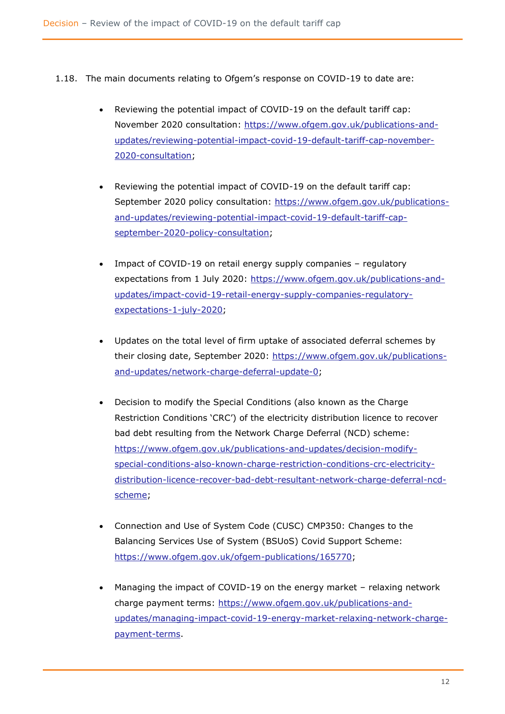- 1.18. The main documents relating to Ofgem's response on COVID-19 to date are:
	- Reviewing the potential impact of COVID-19 on the default tariff cap: November 2020 consultation: [https://www.ofgem.gov.uk/publications-and](https://www.ofgem.gov.uk/publications-and-updates/reviewing-potential-impact-covid-19-default-tariff-cap-november-2020-consultation)[updates/reviewing-potential-impact-covid-19-default-tariff-cap-november-](https://www.ofgem.gov.uk/publications-and-updates/reviewing-potential-impact-covid-19-default-tariff-cap-november-2020-consultation)[2020-consultation;](https://www.ofgem.gov.uk/publications-and-updates/reviewing-potential-impact-covid-19-default-tariff-cap-november-2020-consultation)
	- Reviewing the potential impact of COVID-19 on the default tariff cap: September 2020 policy consultation: [https://www.ofgem.gov.uk/publications](https://www.ofgem.gov.uk/publications-and-updates/reviewing-potential-impact-covid-19-default-tariff-cap-september-2020-policy-consultation)[and-updates/reviewing-potential-impact-covid-19-default-tariff-cap](https://www.ofgem.gov.uk/publications-and-updates/reviewing-potential-impact-covid-19-default-tariff-cap-september-2020-policy-consultation)[september-2020-policy-consultation;](https://www.ofgem.gov.uk/publications-and-updates/reviewing-potential-impact-covid-19-default-tariff-cap-september-2020-policy-consultation)
	- Impact of COVID-19 on retail energy supply companies regulatory expectations from 1 July 2020: [https://www.ofgem.gov.uk/publications-and](https://www.ofgem.gov.uk/publications-and-updates/impact-covid-19-retail-energy-supply-companies-regulatory-expectations-1-july-2020)[updates/impact-covid-19-retail-energy-supply-companies-regulatory](https://www.ofgem.gov.uk/publications-and-updates/impact-covid-19-retail-energy-supply-companies-regulatory-expectations-1-july-2020)[expectations-1-july-2020;](https://www.ofgem.gov.uk/publications-and-updates/impact-covid-19-retail-energy-supply-companies-regulatory-expectations-1-july-2020)
	- Updates on the total level of firm uptake of associated deferral schemes by their closing date, September 2020: [https://www.ofgem.gov.uk/publications](https://www.ofgem.gov.uk/publications-and-updates/network-charge-deferral-update-0)[and-updates/network-charge-deferral-update-0;](https://www.ofgem.gov.uk/publications-and-updates/network-charge-deferral-update-0)
	- Decision to modify the Special Conditions (also known as the Charge Restriction Conditions 'CRC') of the electricity distribution licence to recover bad debt resulting from the Network Charge Deferral (NCD) scheme: [https://www.ofgem.gov.uk/publications-and-updates/decision-modify](https://www.ofgem.gov.uk/publications-and-updates/decision-modify-special-conditions-also-known-charge-restriction-conditions-crc-electricity-distribution-licence-recover-bad-debt-resultant-network-charge-deferral-ncd-scheme)[special-conditions-also-known-charge-restriction-conditions-crc-electricity](https://www.ofgem.gov.uk/publications-and-updates/decision-modify-special-conditions-also-known-charge-restriction-conditions-crc-electricity-distribution-licence-recover-bad-debt-resultant-network-charge-deferral-ncd-scheme)[distribution-licence-recover-bad-debt-resultant-network-charge-deferral-ncd](https://www.ofgem.gov.uk/publications-and-updates/decision-modify-special-conditions-also-known-charge-restriction-conditions-crc-electricity-distribution-licence-recover-bad-debt-resultant-network-charge-deferral-ncd-scheme)[scheme;](https://www.ofgem.gov.uk/publications-and-updates/decision-modify-special-conditions-also-known-charge-restriction-conditions-crc-electricity-distribution-licence-recover-bad-debt-resultant-network-charge-deferral-ncd-scheme)
	- Connection and Use of System Code (CUSC) CMP350: Changes to the Balancing Services Use of System (BSUoS) Covid Support Scheme: [https://www.ofgem.gov.uk/ofgem-publications/165770;](https://www.ofgem.gov.uk/ofgem-publications/165770)
	- Managing the impact of COVID-19 on the energy market relaxing network charge payment terms: [https://www.ofgem.gov.uk/publications-and](https://www.ofgem.gov.uk/publications-and-updates/managing-impact-covid-19-energy-market-relaxing-network-charge-payment-terms)[updates/managing-impact-covid-19-energy-market-relaxing-network-charge](https://www.ofgem.gov.uk/publications-and-updates/managing-impact-covid-19-energy-market-relaxing-network-charge-payment-terms)[payment-terms.](https://www.ofgem.gov.uk/publications-and-updates/managing-impact-covid-19-energy-market-relaxing-network-charge-payment-terms)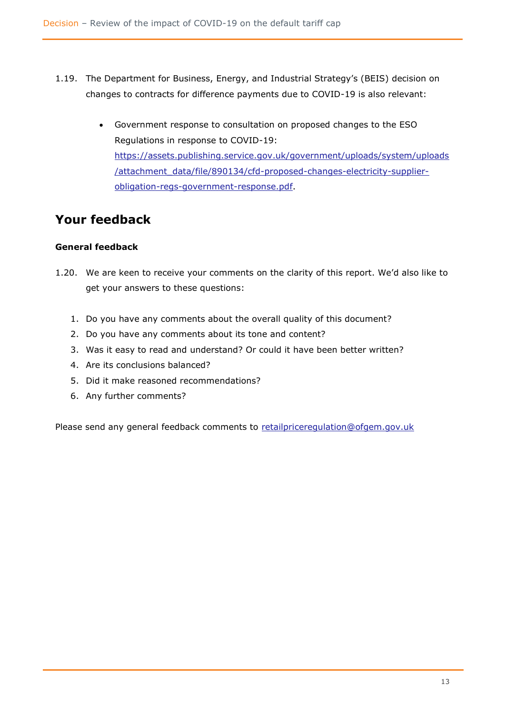- 1.19. The Department for Business, Energy, and Industrial Strategy's (BEIS) decision on changes to contracts for difference payments due to COVID-19 is also relevant:
	- Government response to consultation on proposed changes to the ESO Regulations in response to COVID-19: [https://assets.publishing.service.gov.uk/government/uploads/system/uploads](https://assets.publishing.service.gov.uk/government/uploads/system/uploads/attachment_data/file/890134/cfd-proposed-changes-electricity-supplier-obligation-regs-government-response.pdf) [/attachment\\_data/file/890134/cfd-proposed-changes-electricity-supplier](https://assets.publishing.service.gov.uk/government/uploads/system/uploads/attachment_data/file/890134/cfd-proposed-changes-electricity-supplier-obligation-regs-government-response.pdf)[obligation-regs-government-response.pdf.](https://assets.publishing.service.gov.uk/government/uploads/system/uploads/attachment_data/file/890134/cfd-proposed-changes-electricity-supplier-obligation-regs-government-response.pdf)

# **Your feedback**

#### **General feedback**

- 1.20. We are keen to receive your comments on the clarity of this report. We'd also like to get your answers to these questions:
	- 1. Do you have any comments about the overall quality of this document?
	- 2. Do you have any comments about its tone and content?
	- 3. Was it easy to read and understand? Or could it have been better written?
	- 4. Are its conclusions balanced?
	- 5. Did it make reasoned recommendations?
	- 6. Any further comments?

Please send any general feedback comments to [retailpriceregulation@ofgem.gov.uk](mailto:retailpriceregulation@ofgem.gov.uk)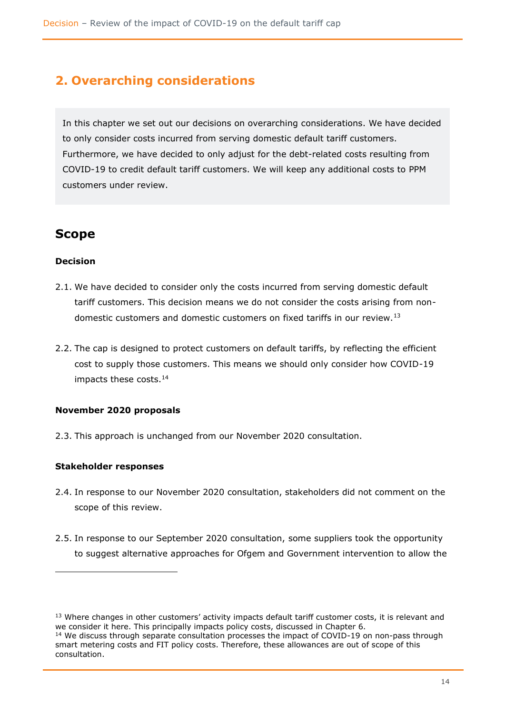# <span id="page-14-0"></span>**2. Overarching considerations**

In this chapter we set out our decisions on overarching considerations. We have decided to only consider costs incurred from serving domestic default tariff customers. Furthermore, we have decided to only adjust for the debt-related costs resulting from COVID-19 to credit default tariff customers. We will keep any additional costs to PPM customers under review.

### <span id="page-14-1"></span>**Scope**

#### **Decision**

- 2.1. We have decided to consider only the costs incurred from serving domestic default tariff customers. This decision means we do not consider the costs arising from nondomestic customers and domestic customers on fixed tariffs in our review.<sup>13</sup>
- 2.2. The cap is designed to protect customers on default tariffs, by reflecting the efficient cost to supply those customers. This means we should only consider how COVID-19 impacts these costs. 14

#### **November 2020 proposals**

2.3. This approach is unchanged from our November 2020 consultation.

#### **Stakeholder responses**

- 2.4. In response to our November 2020 consultation, stakeholders did not comment on the scope of this review.
- 2.5. In response to our September 2020 consultation, some suppliers took the opportunity to suggest alternative approaches for Ofgem and Government intervention to allow the

<sup>&</sup>lt;sup>13</sup> Where changes in other customers' activity impacts default tariff customer costs, it is relevant and we consider it here. This principally impacts policy costs, discussed in Chapter 6.

<sup>&</sup>lt;sup>14</sup> We discuss through separate consultation processes the impact of COVID-19 on non-pass through smart metering costs and FIT policy costs. Therefore, these allowances are out of scope of this consultation.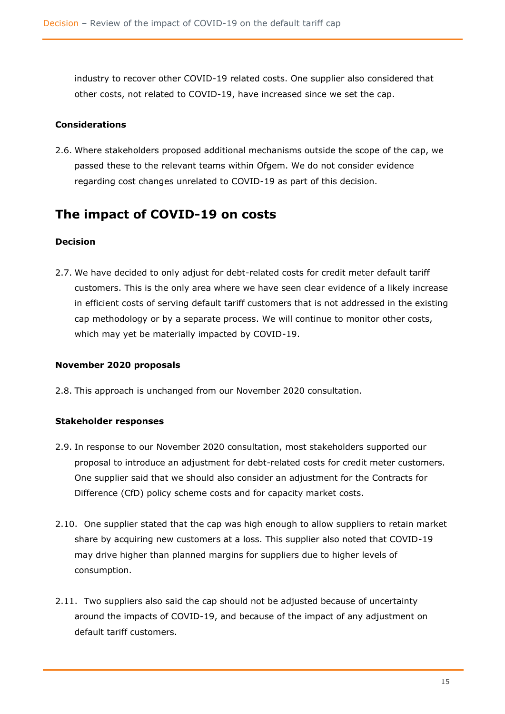industry to recover other COVID-19 related costs. One supplier also considered that other costs, not related to COVID-19, have increased since we set the cap.

#### **Considerations**

2.6. Where stakeholders proposed additional mechanisms outside the scope of the cap, we passed these to the relevant teams within Ofgem. We do not consider evidence regarding cost changes unrelated to COVID-19 as part of this decision.

### <span id="page-15-0"></span>**The impact of COVID-19 on costs**

#### **Decision**

2.7. We have decided to only adjust for debt-related costs for credit meter default tariff customers. This is the only area where we have seen clear evidence of a likely increase in efficient costs of serving default tariff customers that is not addressed in the existing cap methodology or by a separate process. We will continue to monitor other costs, which may yet be materially impacted by COVID-19.

#### **November 2020 proposals**

2.8. This approach is unchanged from our November 2020 consultation.

#### **Stakeholder responses**

- 2.9. In response to our November 2020 consultation, most stakeholders supported our proposal to introduce an adjustment for debt-related costs for credit meter customers. One supplier said that we should also consider an adjustment for the Contracts for Difference (CfD) policy scheme costs and for capacity market costs.
- 2.10. One supplier stated that the cap was high enough to allow suppliers to retain market share by acquiring new customers at a loss. This supplier also noted that COVID-19 may drive higher than planned margins for suppliers due to higher levels of consumption.
- 2.11. Two suppliers also said the cap should not be adjusted because of uncertainty around the impacts of COVID-19, and because of the impact of any adjustment on default tariff customers.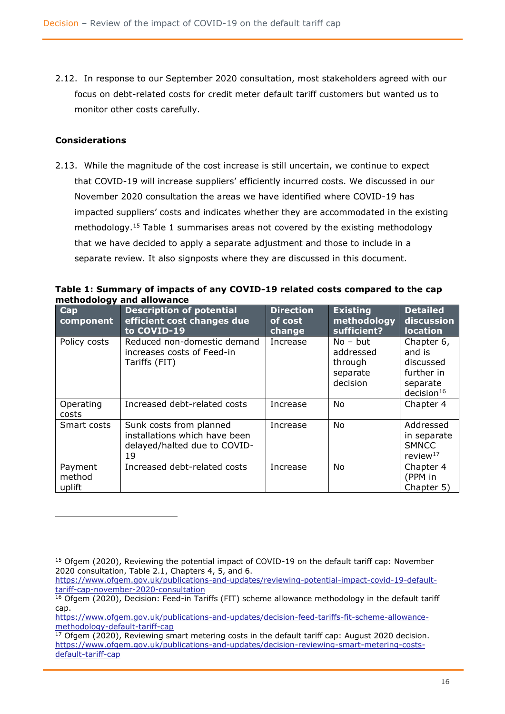2.12. In response to our September 2020 consultation, most stakeholders agreed with our focus on debt-related costs for credit meter default tariff customers but wanted us to monitor other costs carefully.

#### **Considerations**

2.13. While the magnitude of the cost increase is still uncertain, we continue to expect that COVID-19 will increase suppliers' efficiently incurred costs. We discussed in our November 2020 consultation the areas we have identified where COVID-19 has impacted suppliers' costs and indicates whether they are accommodated in the existing methodology.<sup>15</sup> Table 1 summarises areas not covered by the existing methodology that we have decided to apply a separate adjustment and those to include in a separate review. It also signposts where they are discussed in this document.

**Table 1: Summary of impacts of any COVID-19 related costs compared to the cap methodology and allowance**

| - 27<br>Cap<br>component    | <b>Description of potential</b><br>efficient cost changes due<br>to COVID-19                   | <b>Direction</b><br>of cost<br>change | <b>Existing</b><br>methodology<br>sufficient?              | <b>Detailed</b><br>discussion<br><b>location</b>                                      |
|-----------------------------|------------------------------------------------------------------------------------------------|---------------------------------------|------------------------------------------------------------|---------------------------------------------------------------------------------------|
| Policy costs                | Reduced non-domestic demand<br>increases costs of Feed-in<br>Tariffs (FIT)                     | Increase                              | $No - but$<br>addressed<br>through<br>separate<br>decision | Chapter 6,<br>and is<br>discussed<br>further in<br>separate<br>decision <sup>16</sup> |
| Operating<br>costs          | Increased debt-related costs                                                                   | Increase                              | No                                                         | Chapter 4                                                                             |
| Smart costs                 | Sunk costs from planned<br>installations which have been<br>delayed/halted due to COVID-<br>19 | Increase                              | No                                                         | Addressed<br>in separate<br><b>SMNCC</b><br>review $17$                               |
| Payment<br>method<br>uplift | Increased debt-related costs                                                                   | Increase                              | No.                                                        | Chapter 4<br>(PPM in<br>Chapter 5)                                                    |

<sup>&</sup>lt;sup>15</sup> Ofgem (2020), Reviewing the potential impact of COVID-19 on the default tariff cap: November 2020 consultation, Table 2.1, Chapters 4, 5, and 6.

[https://www.ofgem.gov.uk/publications-and-updates/reviewing-potential-impact-covid-19-default](https://www.ofgem.gov.uk/publications-and-updates/reviewing-potential-impact-covid-19-default-tariff-cap-november-2020-consultation)[tariff-cap-november-2020-consultation](https://www.ofgem.gov.uk/publications-and-updates/reviewing-potential-impact-covid-19-default-tariff-cap-november-2020-consultation)

 $16$  Ofgem (2020), Decision: Feed-in Tariffs (FIT) scheme allowance methodology in the default tariff cap.

[https://www.ofgem.gov.uk/publications-and-updates/decision-feed-tariffs-fit-scheme-allowance](https://www.ofgem.gov.uk/publications-and-updates/decision-feed-tariffs-fit-scheme-allowance-methodology-default-tariff-cap)[methodology-default-tariff-cap](https://www.ofgem.gov.uk/publications-and-updates/decision-feed-tariffs-fit-scheme-allowance-methodology-default-tariff-cap)

 $17$  Ofgem (2020), Reviewing smart metering costs in the default tariff cap: August 2020 decision. [https://www.ofgem.gov.uk/publications-and-updates/decision-reviewing-smart-metering-costs](https://www.ofgem.gov.uk/publications-and-updates/decision-reviewing-smart-metering-costs-default-tariff-cap)[default-tariff-cap](https://www.ofgem.gov.uk/publications-and-updates/decision-reviewing-smart-metering-costs-default-tariff-cap)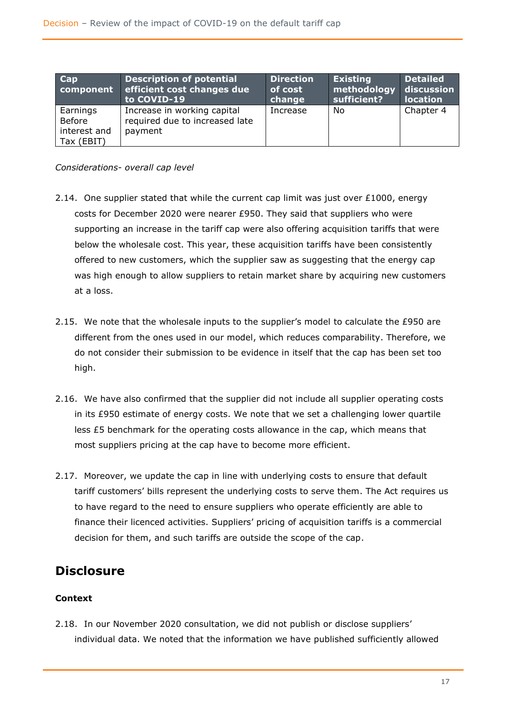| Cap<br>component                                 | <b>Description of potential</b><br>efficient cost changes due<br>to COVID-19 | <b>Direction</b><br>of cost<br>change | <b>Existing</b><br>methodology<br>sufficient? | <b>Detailed</b><br>discussion<br><b>location</b> |
|--------------------------------------------------|------------------------------------------------------------------------------|---------------------------------------|-----------------------------------------------|--------------------------------------------------|
| Earnings<br>Before<br>interest and<br>Tax (EBIT) | Increase in working capital<br>required due to increased late<br>payment     | Increase                              | No                                            | Chapter 4                                        |

*Considerations- overall cap level*

- 2.14. One supplier stated that while the current cap limit was just over  $£1000$ , energy costs for December 2020 were nearer £950. They said that suppliers who were supporting an increase in the tariff cap were also offering acquisition tariffs that were below the wholesale cost. This year, these acquisition tariffs have been consistently offered to new customers, which the supplier saw as suggesting that the energy cap was high enough to allow suppliers to retain market share by acquiring new customers at a loss.
- 2.15. We note that the wholesale inputs to the supplier's model to calculate the £950 are different from the ones used in our model, which reduces comparability. Therefore, we do not consider their submission to be evidence in itself that the cap has been set too high.
- 2.16. We have also confirmed that the supplier did not include all supplier operating costs in its £950 estimate of energy costs. We note that we set a challenging lower quartile less £5 benchmark for the operating costs allowance in the cap, which means that most suppliers pricing at the cap have to become more efficient.
- 2.17. Moreover, we update the cap in line with underlying costs to ensure that default tariff customers' bills represent the underlying costs to serve them. The Act requires us to have regard to the need to ensure suppliers who operate efficiently are able to finance their licenced activities. Suppliers' pricing of acquisition tariffs is a commercial decision for them, and such tariffs are outside the scope of the cap.

### <span id="page-17-0"></span>**Disclosure**

#### **Context**

2.18. In our November 2020 consultation, we did not publish or disclose suppliers' individual data. We noted that the information we have published sufficiently allowed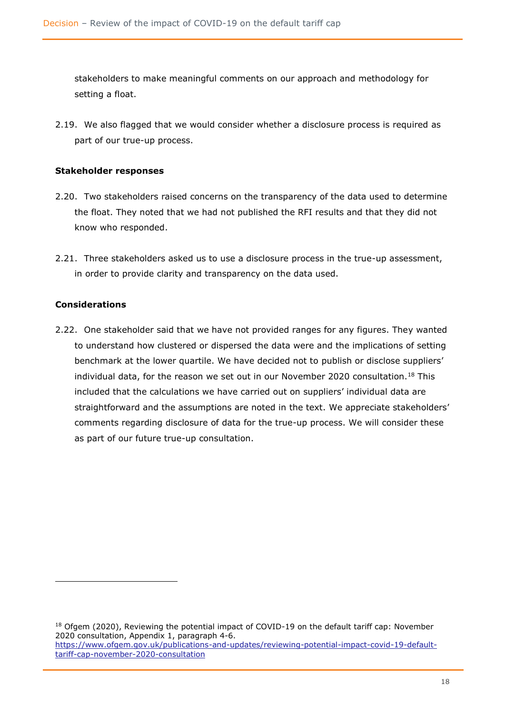stakeholders to make meaningful comments on our approach and methodology for setting a float.

2.19. We also flagged that we would consider whether a disclosure process is required as part of our true-up process.

#### **Stakeholder responses**

- 2.20. Two stakeholders raised concerns on the transparency of the data used to determine the float. They noted that we had not published the RFI results and that they did not know who responded.
- 2.21. Three stakeholders asked us to use a disclosure process in the true-up assessment, in order to provide clarity and transparency on the data used.

#### **Considerations**

2.22. One stakeholder said that we have not provided ranges for any figures. They wanted to understand how clustered or dispersed the data were and the implications of setting benchmark at the lower quartile. We have decided not to publish or disclose suppliers' individual data, for the reason we set out in our November 2020 consultation.<sup>18</sup> This included that the calculations we have carried out on suppliers' individual data are straightforward and the assumptions are noted in the text. We appreciate stakeholders' comments regarding disclosure of data for the true-up process. We will consider these as part of our future true-up consultation.

<sup>&</sup>lt;sup>18</sup> Ofgem (2020), Reviewing the potential impact of COVID-19 on the default tariff cap: November 2020 consultation, Appendix 1, paragraph 4-6. [https://www.ofgem.gov.uk/publications-and-updates/reviewing-potential-impact-covid-19-default](https://www.ofgem.gov.uk/publications-and-updates/reviewing-potential-impact-covid-19-default-tariff-cap-november-2020-consultation)[tariff-cap-november-2020-consultation](https://www.ofgem.gov.uk/publications-and-updates/reviewing-potential-impact-covid-19-default-tariff-cap-november-2020-consultation)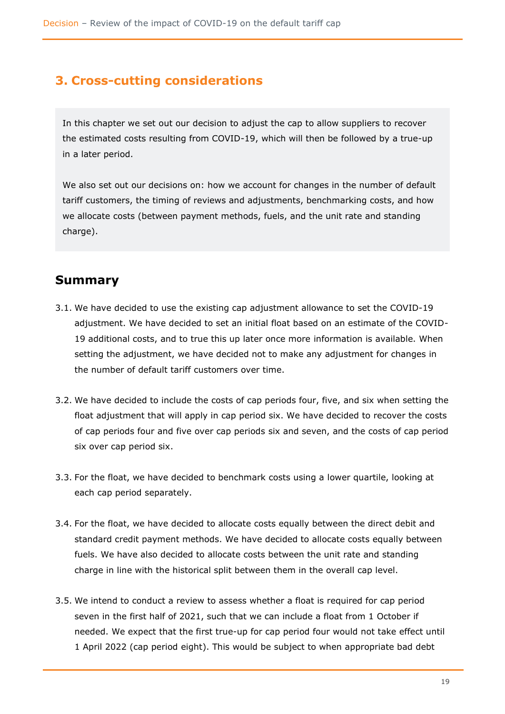# <span id="page-19-0"></span>**3. Cross-cutting considerations**

In this chapter we set out our decision to adjust the cap to allow suppliers to recover the estimated costs resulting from COVID-19, which will then be followed by a true-up in a later period.

We also set out our decisions on: how we account for changes in the number of default tariff customers, the timing of reviews and adjustments, benchmarking costs, and how we allocate costs (between payment methods, fuels, and the unit rate and standing charge).

### **Summary**

- 3.1. We have decided to use the existing cap adjustment allowance to set the COVID-19 adjustment. We have decided to set an initial float based on an estimate of the COVID-19 additional costs, and to true this up later once more information is available. When setting the adjustment, we have decided not to make any adjustment for changes in the number of default tariff customers over time.
- 3.2. We have decided to include the costs of cap periods four, five, and six when setting the float adjustment that will apply in cap period six. We have decided to recover the costs of cap periods four and five over cap periods six and seven, and the costs of cap period six over cap period six.
- 3.3. For the float, we have decided to benchmark costs using a lower quartile, looking at each cap period separately.
- 3.4. For the float, we have decided to allocate costs equally between the direct debit and standard credit payment methods. We have decided to allocate costs equally between fuels. We have also decided to allocate costs between the unit rate and standing charge in line with the historical split between them in the overall cap level.
- 3.5. We intend to conduct a review to assess whether a float is required for cap period seven in the first half of 2021, such that we can include a float from 1 October if needed. We expect that the first true-up for cap period four would not take effect until 1 April 2022 (cap period eight). This would be subject to when appropriate bad debt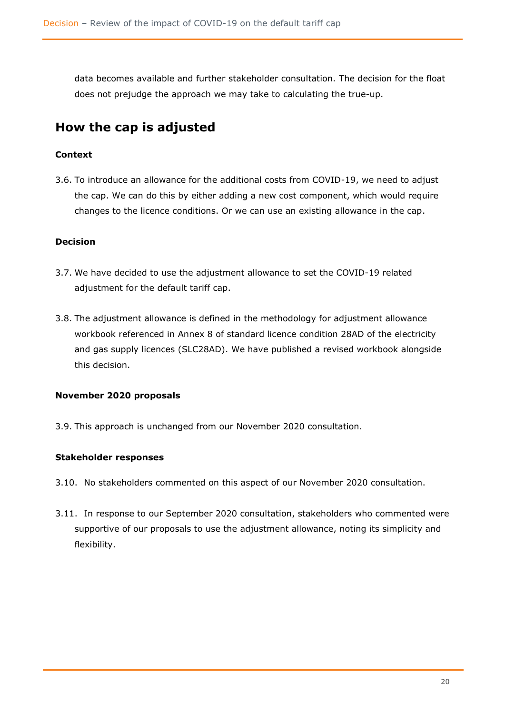data becomes available and further stakeholder consultation. The decision for the float does not prejudge the approach we may take to calculating the true-up.

# <span id="page-20-0"></span>**How the cap is adjusted**

#### **Context**

3.6. To introduce an allowance for the additional costs from COVID-19, we need to adjust the cap. We can do this by either adding a new cost component, which would require changes to the licence conditions. Or we can use an existing allowance in the cap.

#### **Decision**

- 3.7. We have decided to use the adjustment allowance to set the COVID-19 related adjustment for the default tariff cap.
- 3.8. The adjustment allowance is defined in the methodology for adjustment allowance workbook referenced in Annex 8 of standard licence condition 28AD of the electricity and gas supply licences (SLC28AD). We have published a revised workbook alongside this decision.

#### **November 2020 proposals**

3.9. This approach is unchanged from our November 2020 consultation.

#### **Stakeholder responses**

- 3.10. No stakeholders commented on this aspect of our November 2020 consultation.
- 3.11. In response to our September 2020 consultation, stakeholders who commented were supportive of our proposals to use the adjustment allowance, noting its simplicity and flexibility.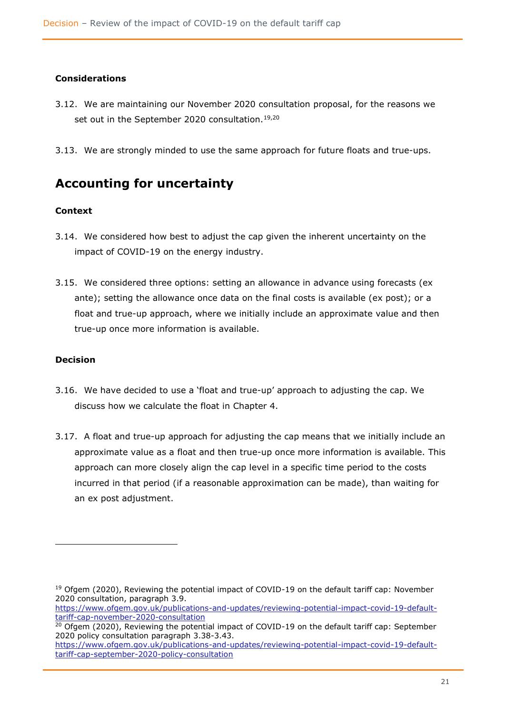#### **Considerations**

- 3.12. We are maintaining our November 2020 consultation proposal, for the reasons we set out in the September 2020 consultation.<sup>19,20</sup>
- 3.13. We are strongly minded to use the same approach for future floats and true-ups.

### <span id="page-21-0"></span>**Accounting for uncertainty**

#### **Context**

- 3.14. We considered how best to adjust the cap given the inherent uncertainty on the impact of COVID-19 on the energy industry.
- 3.15. We considered three options: setting an allowance in advance using forecasts (ex ante); setting the allowance once data on the final costs is available (ex post); or a float and true-up approach, where we initially include an approximate value and then true-up once more information is available.

#### **Decision**

- 3.16. We have decided to use a 'float and true-up' approach to adjusting the cap. We discuss how we calculate the float in Chapter 4.
- 3.17. A float and true-up approach for adjusting the cap means that we initially include an approximate value as a float and then true-up once more information is available. This approach can more closely align the cap level in a specific time period to the costs incurred in that period (if a reasonable approximation can be made), than waiting for an ex post adjustment.

<sup>&</sup>lt;sup>19</sup> Ofgem (2020), Reviewing the potential impact of COVID-19 on the default tariff cap: November 2020 consultation, paragraph 3.9.

[https://www.ofgem.gov.uk/publications-and-updates/reviewing-potential-impact-covid-19-default](https://www.ofgem.gov.uk/publications-and-updates/reviewing-potential-impact-covid-19-default-tariff-cap-november-2020-consultation)[tariff-cap-november-2020-consultation](https://www.ofgem.gov.uk/publications-and-updates/reviewing-potential-impact-covid-19-default-tariff-cap-november-2020-consultation)

 $20$  Ofgem (2020), Reviewing the potential impact of COVID-19 on the default tariff cap: September 2020 policy consultation paragraph 3.38-3.43.

https://www.ofgem.gov.uk/publications-and-updates/reviewing-potential-impact-covid-19-defaulttariff-cap-september-2020-policy-consultation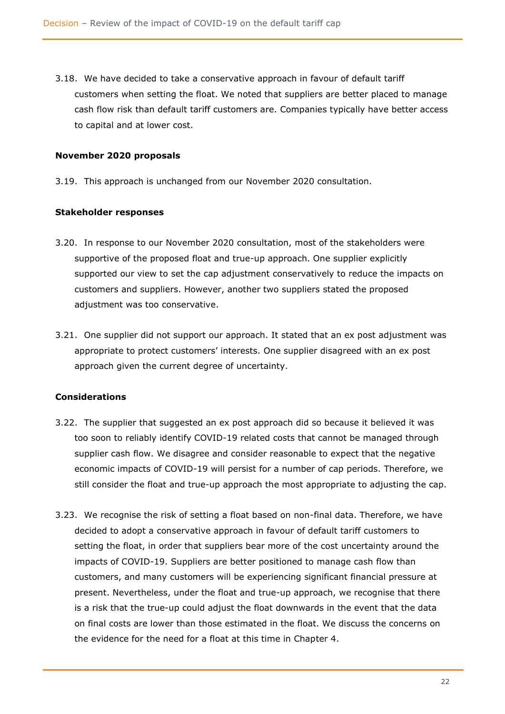3.18. We have decided to take a conservative approach in favour of default tariff customers when setting the float. We noted that suppliers are better placed to manage cash flow risk than default tariff customers are. Companies typically have better access to capital and at lower cost.

#### **November 2020 proposals**

3.19. This approach is unchanged from our November 2020 consultation.

#### **Stakeholder responses**

- 3.20. In response to our November 2020 consultation, most of the stakeholders were supportive of the proposed float and true-up approach. One supplier explicitly supported our view to set the cap adjustment conservatively to reduce the impacts on customers and suppliers. However, another two suppliers stated the proposed adjustment was too conservative.
- 3.21. One supplier did not support our approach. It stated that an ex post adjustment was appropriate to protect customers' interests. One supplier disagreed with an ex post approach given the current degree of uncertainty.

#### **Considerations**

- 3.22. The supplier that suggested an ex post approach did so because it believed it was too soon to reliably identify COVID-19 related costs that cannot be managed through supplier cash flow. We disagree and consider reasonable to expect that the negative economic impacts of COVID-19 will persist for a number of cap periods. Therefore, we still consider the float and true-up approach the most appropriate to adjusting the cap.
- 3.23. We recognise the risk of setting a float based on non-final data. Therefore, we have decided to adopt a conservative approach in favour of default tariff customers to setting the float, in order that suppliers bear more of the cost uncertainty around the impacts of COVID-19. Suppliers are better positioned to manage cash flow than customers, and many customers will be experiencing significant financial pressure at present. Nevertheless, under the float and true-up approach, we recognise that there is a risk that the true-up could adjust the float downwards in the event that the data on final costs are lower than those estimated in the float. We discuss the concerns on the evidence for the need for a float at this time in Chapter 4.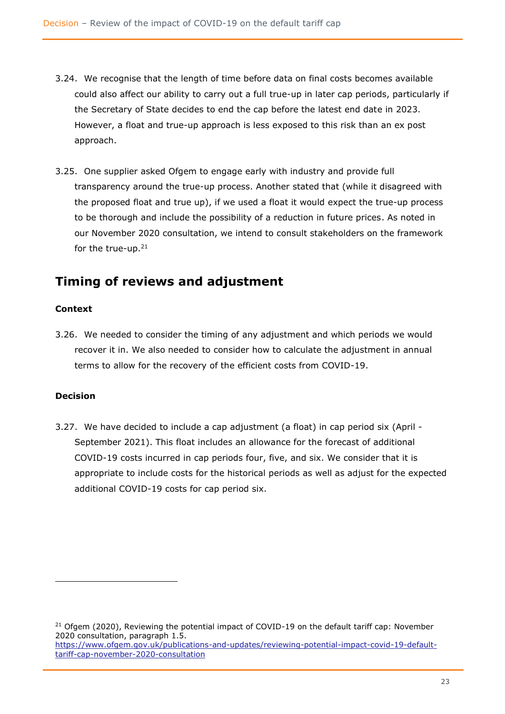- 3.24. We recognise that the length of time before data on final costs becomes available could also affect our ability to carry out a full true-up in later cap periods, particularly if the Secretary of State decides to end the cap before the latest end date in 2023. However, a float and true-up approach is less exposed to this risk than an ex post approach.
- 3.25. One supplier asked Ofgem to engage early with industry and provide full transparency around the true-up process. Another stated that (while it disagreed with the proposed float and true up), if we used a float it would expect the true-up process to be thorough and include the possibility of a reduction in future prices. As noted in our November 2020 consultation, we intend to consult stakeholders on the framework for the true-up.<sup>21</sup>

# <span id="page-23-0"></span>**Timing of reviews and adjustment**

#### **Context**

3.26. We needed to consider the timing of any adjustment and which periods we would recover it in. We also needed to consider how to calculate the adjustment in annual terms to allow for the recovery of the efficient costs from COVID-19.

#### **Decision**

3.27. We have decided to include a cap adjustment (a float) in cap period six (April - September 2021). This float includes an allowance for the forecast of additional COVID-19 costs incurred in cap periods four, five, and six. We consider that it is appropriate to include costs for the historical periods as well as adjust for the expected additional COVID-19 costs for cap period six.

 $21$  Ofgem (2020), Reviewing the potential impact of COVID-19 on the default tariff cap: November 2020 consultation, paragraph 1.5. [https://www.ofgem.gov.uk/publications-and-updates/reviewing-potential-impact-covid-19-default](https://www.ofgem.gov.uk/publications-and-updates/reviewing-potential-impact-covid-19-default-tariff-cap-november-2020-consultation)[tariff-cap-november-2020-consultation](https://www.ofgem.gov.uk/publications-and-updates/reviewing-potential-impact-covid-19-default-tariff-cap-november-2020-consultation)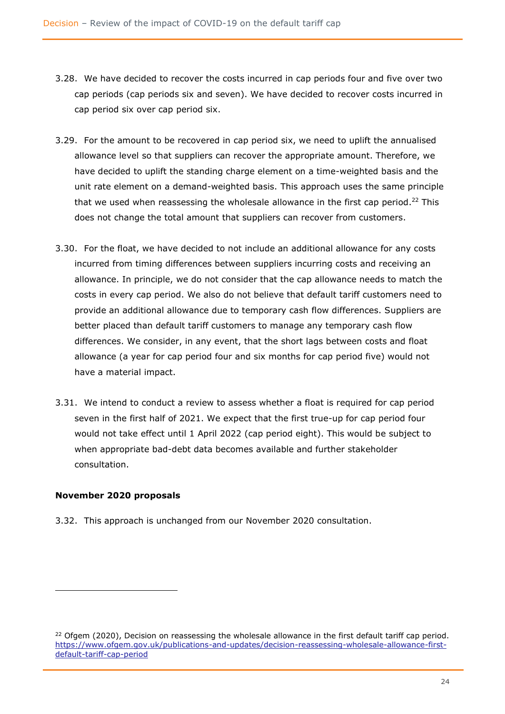- 3.28. We have decided to recover the costs incurred in cap periods four and five over two cap periods (cap periods six and seven). We have decided to recover costs incurred in cap period six over cap period six.
- 3.29. For the amount to be recovered in cap period six, we need to uplift the annualised allowance level so that suppliers can recover the appropriate amount. Therefore, we have decided to uplift the standing charge element on a time-weighted basis and the unit rate element on a demand-weighted basis. This approach uses the same principle that we used when reassessing the wholesale allowance in the first cap period.<sup>22</sup> This does not change the total amount that suppliers can recover from customers.
- 3.30. For the float, we have decided to not include an additional allowance for any costs incurred from timing differences between suppliers incurring costs and receiving an allowance. In principle, we do not consider that the cap allowance needs to match the costs in every cap period. We also do not believe that default tariff customers need to provide an additional allowance due to temporary cash flow differences. Suppliers are better placed than default tariff customers to manage any temporary cash flow differences. We consider, in any event, that the short lags between costs and float allowance (a year for cap period four and six months for cap period five) would not have a material impact.
- 3.31. We intend to conduct a review to assess whether a float is required for cap period seven in the first half of 2021. We expect that the first true-up for cap period four would not take effect until 1 April 2022 (cap period eight). This would be subject to when appropriate bad-debt data becomes available and further stakeholder consultation.

#### **November 2020 proposals**

3.32. This approach is unchanged from our November 2020 consultation.

 $22$  Ofgem (2020), Decision on reassessing the wholesale allowance in the first default tariff cap period. [https://www.ofgem.gov.uk/publications-and-updates/decision-reassessing-wholesale-allowance-first](https://www.ofgem.gov.uk/publications-and-updates/decision-reassessing-wholesale-allowance-first-default-tariff-cap-period)[default-tariff-cap-period](https://www.ofgem.gov.uk/publications-and-updates/decision-reassessing-wholesale-allowance-first-default-tariff-cap-period)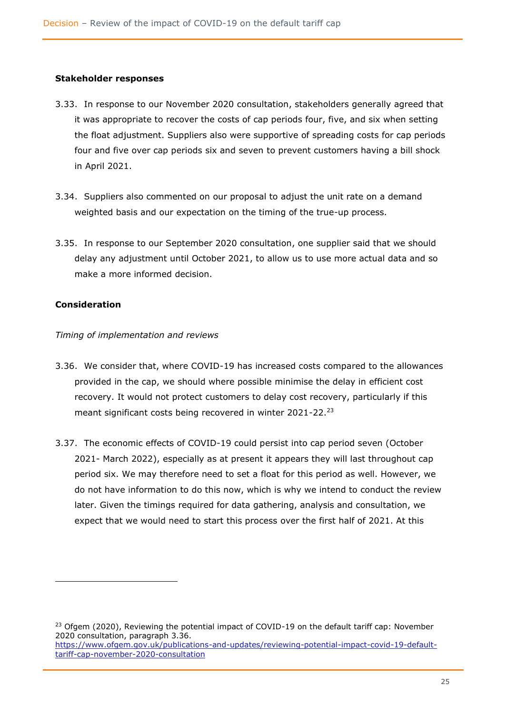#### **Stakeholder responses**

- 3.33. In response to our November 2020 consultation, stakeholders generally agreed that it was appropriate to recover the costs of cap periods four, five, and six when setting the float adjustment. Suppliers also were supportive of spreading costs for cap periods four and five over cap periods six and seven to prevent customers having a bill shock in April 2021.
- 3.34. Suppliers also commented on our proposal to adjust the unit rate on a demand weighted basis and our expectation on the timing of the true-up process.
- 3.35. In response to our September 2020 consultation, one supplier said that we should delay any adjustment until October 2021, to allow us to use more actual data and so make a more informed decision.

#### **Consideration**

#### *Timing of implementation and reviews*

- 3.36. We consider that, where COVID-19 has increased costs compared to the allowances provided in the cap, we should where possible minimise the delay in efficient cost recovery. It would not protect customers to delay cost recovery, particularly if this meant significant costs being recovered in winter 2021-22.<sup>23</sup>
- 3.37. The economic effects of COVID-19 could persist into cap period seven (October 2021- March 2022), especially as at present it appears they will last throughout cap period six. We may therefore need to set a float for this period as well. However, we do not have information to do this now, which is why we intend to conduct the review later. Given the timings required for data gathering, analysis and consultation, we expect that we would need to start this process over the first half of 2021. At this

<sup>&</sup>lt;sup>23</sup> Ofgem (2020), Reviewing the potential impact of COVID-19 on the default tariff cap: November 2020 consultation, paragraph 3.36. [https://www.ofgem.gov.uk/publications-and-updates/reviewing-potential-impact-covid-19-default-](https://www.ofgem.gov.uk/publications-and-updates/reviewing-potential-impact-covid-19-default-tariff-cap-november-2020-consultation)

[tariff-cap-november-2020-consultation](https://www.ofgem.gov.uk/publications-and-updates/reviewing-potential-impact-covid-19-default-tariff-cap-november-2020-consultation)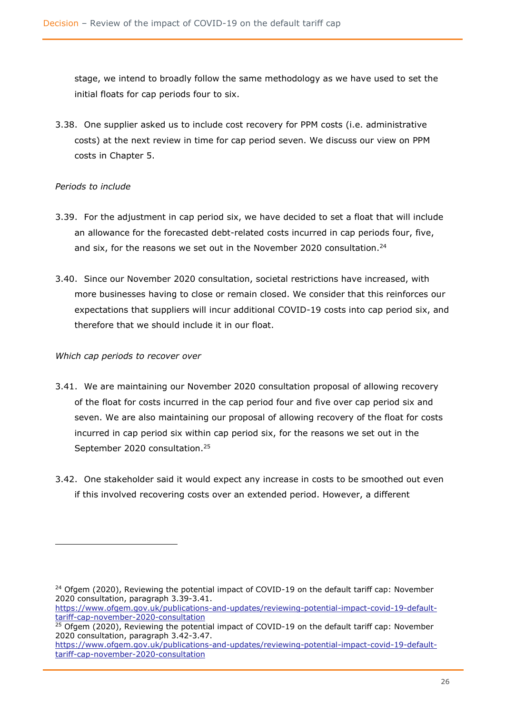stage, we intend to broadly follow the same methodology as we have used to set the initial floats for cap periods four to six.

3.38. One supplier asked us to include cost recovery for PPM costs (i.e. administrative costs) at the next review in time for cap period seven. We discuss our view on PPM costs in Chapter 5.

#### *Periods to include*

- 3.39. For the adjustment in cap period six, we have decided to set a float that will include an allowance for the forecasted debt-related costs incurred in cap periods four, five, and six, for the reasons we set out in the November 2020 consultation.<sup>24</sup>
- 3.40. Since our November 2020 consultation, societal restrictions have increased, with more businesses having to close or remain closed. We consider that this reinforces our expectations that suppliers will incur additional COVID-19 costs into cap period six, and therefore that we should include it in our float.

#### *Which cap periods to recover over*

- 3.41. We are maintaining our November 2020 consultation proposal of allowing recovery of the float for costs incurred in the cap period four and five over cap period six and seven. We are also maintaining our proposal of allowing recovery of the float for costs incurred in cap period six within cap period six, for the reasons we set out in the September 2020 consultation.<sup>25</sup>
- 3.42. One stakeholder said it would expect any increase in costs to be smoothed out even if this involved recovering costs over an extended period. However, a different

 $24$  Ofgem (2020), Reviewing the potential impact of COVID-19 on the default tariff cap: November 2020 consultation, paragraph 3.39-3.41.

[https://www.ofgem.gov.uk/publications-and-updates/reviewing-potential-impact-covid-19-default](https://www.ofgem.gov.uk/publications-and-updates/reviewing-potential-impact-covid-19-default-tariff-cap-november-2020-consultation)[tariff-cap-november-2020-consultation](https://www.ofgem.gov.uk/publications-and-updates/reviewing-potential-impact-covid-19-default-tariff-cap-november-2020-consultation)

<sup>&</sup>lt;sup>25</sup> Ofgem (2020), Reviewing the potential impact of COVID-19 on the default tariff cap: November 2020 consultation, paragraph 3.42-3.47.

[https://www.ofgem.gov.uk/publications-and-updates/reviewing-potential-impact-covid-19-default](https://www.ofgem.gov.uk/publications-and-updates/reviewing-potential-impact-covid-19-default-tariff-cap-november-2020-consultation)[tariff-cap-november-2020-consultation](https://www.ofgem.gov.uk/publications-and-updates/reviewing-potential-impact-covid-19-default-tariff-cap-november-2020-consultation)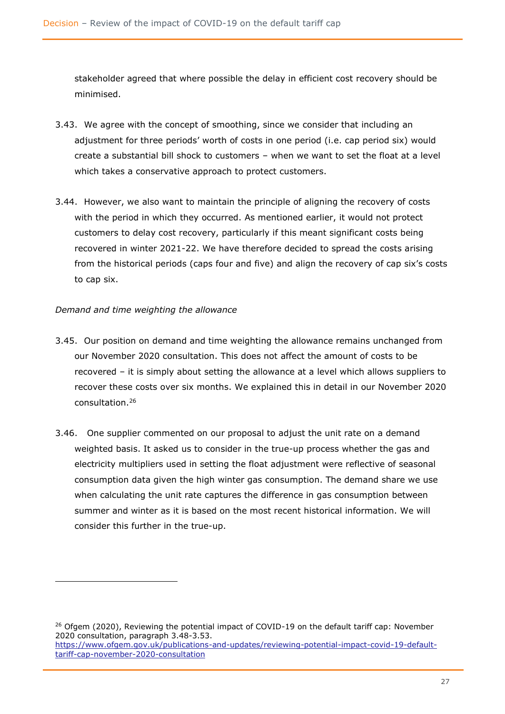stakeholder agreed that where possible the delay in efficient cost recovery should be minimised.

- 3.43. We agree with the concept of smoothing, since we consider that including an adjustment for three periods' worth of costs in one period (i.e. cap period six) would create a substantial bill shock to customers – when we want to set the float at a level which takes a conservative approach to protect customers.
- 3.44. However, we also want to maintain the principle of aligning the recovery of costs with the period in which they occurred. As mentioned earlier, it would not protect customers to delay cost recovery, particularly if this meant significant costs being recovered in winter 2021-22. We have therefore decided to spread the costs arising from the historical periods (caps four and five) and align the recovery of cap six's costs to cap six.

#### *Demand and time weighting the allowance*

- 3.45. Our position on demand and time weighting the allowance remains unchanged from our November 2020 consultation. This does not affect the amount of costs to be recovered – it is simply about setting the allowance at a level which allows suppliers to recover these costs over six months. We explained this in detail in our November 2020 consultation.<sup>26</sup>
- 3.46. One supplier Commented on our proposal to adjust the unit rate on a demand weighted basis. It asked us to consider in the true-up process whether the gas and electricity multipliers used in setting the float adjustment were reflective of seasonal consumption data given the high winter gas consumption. The demand share we use when calculating the unit rate captures the difference in gas consumption between summer and winter as it is based on the most recent historical information. We will consider this further in the true-up.

<sup>&</sup>lt;sup>26</sup> Ofgem (2020), Reviewing the potential impact of COVID-19 on the default tariff cap: November 2020 consultation, paragraph 3.48-3.53. [https://www.ofgem.gov.uk/publications-and-updates/reviewing-potential-impact-covid-19-default](https://www.ofgem.gov.uk/publications-and-updates/reviewing-potential-impact-covid-19-default-tariff-cap-november-2020-consultation)[tariff-cap-november-2020-consultation](https://www.ofgem.gov.uk/publications-and-updates/reviewing-potential-impact-covid-19-default-tariff-cap-november-2020-consultation)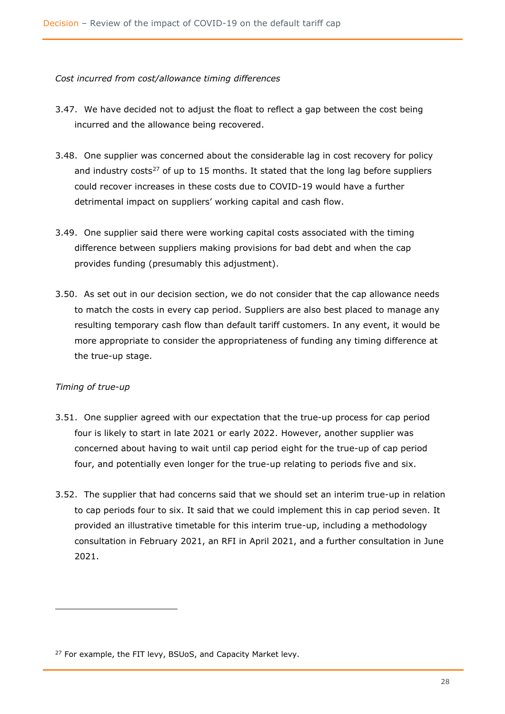#### *Cost incurred from cost/allowance timing differences*

- 3.47. We have decided not to adjust the float to reflect a gap between the cost being incurred and the allowance being recovered.
- 3.48. One supplier was concerned about the considerable lag in cost recovery for policy and industry costs<sup>27</sup> of up to 15 months. It stated that the long lag before suppliers could recover increases in these costs due to COVID-19 would have a further detrimental impact on suppliers' working capital and cash flow.
- 3.49. One supplier said there were working capital costs associated with the timing difference between suppliers making provisions for bad debt and when the cap provides funding (presumably this adjustment).
- 3.50. As set out in our decision section, we do not consider that the cap allowance needs to match the costs in every cap period. Suppliers are also best placed to manage any resulting temporary cash flow than default tariff customers. In any event, it would be more appropriate to consider the appropriateness of funding any timing difference at the true-up stage.

#### *Timing of true-up*

- 3.51. One supplier agreed with our expectation that the true-up process for cap period four is likely to start in late 2021 or early 2022. However, another supplier was concerned about having to wait until cap period eight for the true-up of cap period four, and potentially even longer for the true-up relating to periods five and six.
- 3.52. The supplier that had concerns said that we should set an interim true-up in relation to cap periods four to six. It said that we could implement this in cap period seven. It provided an illustrative timetable for this interim true-up, including a methodology consultation in February 2021, an RFI in April 2021, and a further consultation in June 2021.

<sup>&</sup>lt;sup>27</sup> For example, the FIT levy, BSUoS, and Capacity Market levy.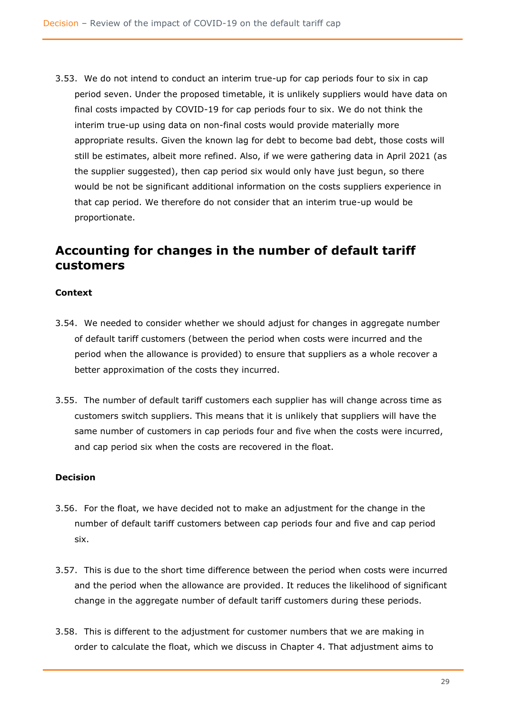3.53. We do not intend to conduct an interim true-up for cap periods four to six in cap period seven. Under the proposed timetable, it is unlikely suppliers would have data on final costs impacted by COVID-19 for cap periods four to six. We do not think the interim true-up using data on non-final costs would provide materially more appropriate results. Given the known lag for debt to become bad debt, those costs will still be estimates, albeit more refined. Also, if we were gathering data in April 2021 (as the supplier suggested), then cap period six would only have just begun, so there would be not be significant additional information on the costs suppliers experience in that cap period. We therefore do not consider that an interim true-up would be proportionate.

# <span id="page-29-0"></span>**Accounting for changes in the number of default tariff customers**

#### **Context**

- 3.54. We needed to consider whether we should adjust for changes in aggregate number of default tariff customers (between the period when costs were incurred and the period when the allowance is provided) to ensure that suppliers as a whole recover a better approximation of the costs they incurred.
- 3.55. The number of default tariff customers each supplier has will change across time as customers switch suppliers. This means that it is unlikely that suppliers will have the same number of customers in cap periods four and five when the costs were incurred, and cap period six when the costs are recovered in the float.

#### **Decision**

- 3.56. For the float, we have decided not to make an adjustment for the change in the number of default tariff customers between cap periods four and five and cap period six.
- 3.57. This is due to the short time difference between the period when costs were incurred and the period when the allowance are provided. It reduces the likelihood of significant change in the aggregate number of default tariff customers during these periods.
- 3.58. This is different to the adjustment for customer numbers that we are making in order to calculate the float, which we discuss in Chapter 4. That adjustment aims to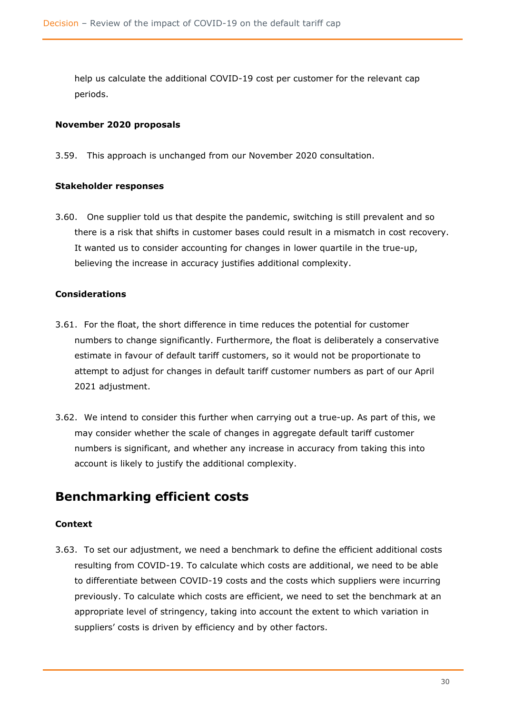help us calculate the additional COVID-19 cost per customer for the relevant cap periods.

#### **November 2020 proposals**

3.59. This approach is unchanged from our November 2020 consultation.

#### **Stakeholder responses**

3.60. One supplier told us that despite the pandemic, switching is still prevalent and so there is a risk that shifts in customer bases could result in a mismatch in cost recovery. It wanted us to consider accounting for changes in lower quartile in the true-up, believing the increase in accuracy justifies additional complexity.

#### **Considerations**

- 3.61. For the float, the short difference in time reduces the potential for customer numbers to change significantly. Furthermore, the float is deliberately a conservative estimate in favour of default tariff customers, so it would not be proportionate to attempt to adjust for changes in default tariff customer numbers as part of our April 2021 adjustment.
- 3.62. We intend to consider this further when carrying out a true-up. As part of this, we may consider whether the scale of changes in aggregate default tariff customer numbers is significant, and whether any increase in accuracy from taking this into account is likely to justify the additional complexity.

### <span id="page-30-0"></span>**Benchmarking efficient costs**

#### **Context**

3.63. To set our adjustment, we need a benchmark to define the efficient additional costs resulting from COVID-19. To calculate which costs are additional, we need to be able to differentiate between COVID-19 costs and the costs which suppliers were incurring previously. To calculate which costs are efficient, we need to set the benchmark at an appropriate level of stringency, taking into account the extent to which variation in suppliers' costs is driven by efficiency and by other factors.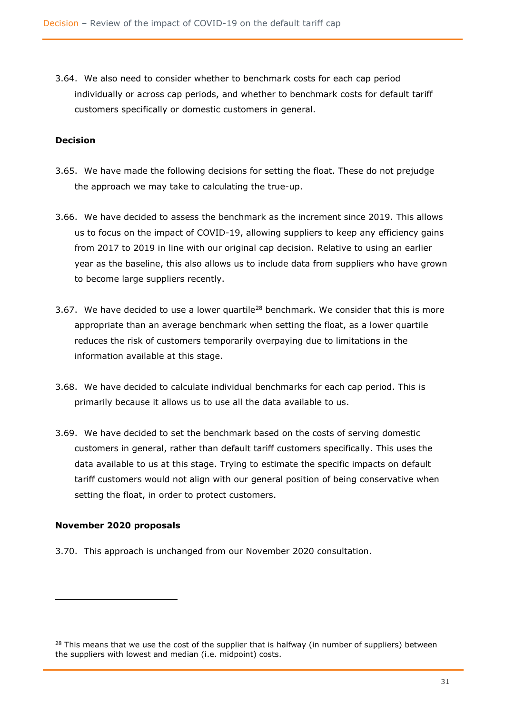3.64. We also need to consider whether to benchmark costs for each cap period individually or across cap periods, and whether to benchmark costs for default tariff customers specifically or domestic customers in general.

#### **Decision**

- 3.65. We have made the following decisions for setting the float. These do not prejudge the approach we may take to calculating the true-up.
- 3.66. We have decided to assess the benchmark as the increment since 2019. This allows us to focus on the impact of COVID-19, allowing suppliers to keep any efficiency gains from 2017 to 2019 in line with our original cap decision. Relative to using an earlier year as the baseline, this also allows us to include data from suppliers who have grown to become large suppliers recently.
- 3.67. We have decided to use a lower quartile<sup>28</sup> benchmark. We consider that this is more appropriate than an average benchmark when setting the float, as a lower quartile reduces the risk of customers temporarily overpaying due to limitations in the information available at this stage.
- 3.68. We have decided to calculate individual benchmarks for each cap period. This is primarily because it allows us to use all the data available to us.
- 3.69. We have decided to set the benchmark based on the costs of serving domestic customers in general, rather than default tariff customers specifically. This uses the data available to us at this stage. Trying to estimate the specific impacts on default tariff customers would not align with our general position of being conservative when setting the float, in order to protect customers.

#### **November 2020 proposals**

3.70. This approach is unchanged from our November 2020 consultation.

 $28$  This means that we use the cost of the supplier that is halfway (in number of suppliers) between the suppliers with lowest and median (i.e. midpoint) costs.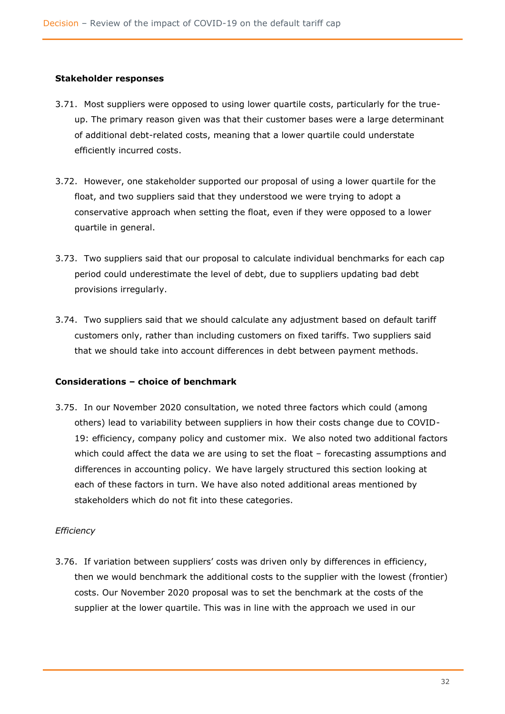#### **Stakeholder responses**

- 3.71. Most suppliers were opposed to using lower quartile costs, particularly for the trueup. The primary reason given was that their customer bases were a large determinant of additional debt-related costs, meaning that a lower quartile could understate efficiently incurred costs.
- 3.72. However, one stakeholder supported our proposal of using a lower quartile for the float, and two suppliers said that they understood we were trying to adopt a conservative approach when setting the float, even if they were opposed to a lower quartile in general.
- 3.73. Two suppliers said that our proposal to calculate individual benchmarks for each cap period could underestimate the level of debt, due to suppliers updating bad debt provisions irregularly.
- 3.74. Two suppliers said that we should calculate any adjustment based on default tariff customers only, rather than including customers on fixed tariffs. Two suppliers said that we should take into account differences in debt between payment methods.

#### **Considerations – choice of benchmark**

3.75. In our November 2020 consultation, we noted three factors which could (among others) lead to variability between suppliers in how their costs change due to COVID-19: efficiency, company policy and customer mix. We also noted two additional factors which could affect the data we are using to set the float – forecasting assumptions and differences in accounting policy. We have largely structured this section looking at each of these factors in turn. We have also noted additional areas mentioned by stakeholders which do not fit into these categories.

#### *Efficiency*

3.76. If variation between suppliers' costs was driven only by differences in efficiency, then we would benchmark the additional costs to the supplier with the lowest (frontier) costs. Our November 2020 proposal was to set the benchmark at the costs of the supplier at the lower quartile. This was in line with the approach we used in our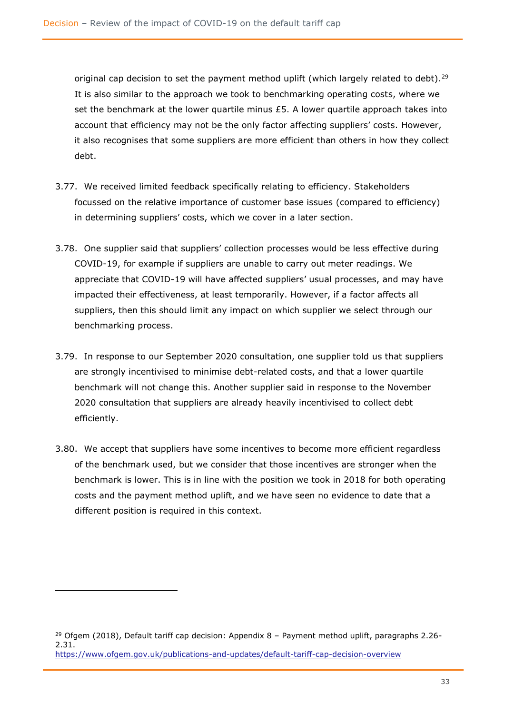original cap decision to set the payment method uplift (which largely related to debt).<sup>29</sup> It is also similar to the approach we took to benchmarking operating costs, where we set the benchmark at the lower quartile minus  $£5$ . A lower quartile approach takes into account that efficiency may not be the only factor affecting suppliers' costs. However, it also recognises that some suppliers are more efficient than others in how they collect debt.

- 3.77. We received limited feedback specifically relating to efficiency. Stakeholders focussed on the relative importance of customer base issues (compared to efficiency) in determining suppliers' costs, which we cover in a later section.
- 3.78. One supplier said that suppliers' collection processes would be less effective during COVID-19, for example if suppliers are unable to carry out meter readings. We appreciate that COVID-19 will have affected suppliers' usual processes, and may have impacted their effectiveness, at least temporarily. However, if a factor affects all suppliers, then this should limit any impact on which supplier we select through our benchmarking process.
- 3.79. In response to our September 2020 consultation, one supplier told us that suppliers are strongly incentivised to minimise debt-related costs, and that a lower quartile benchmark will not change this. Another supplier said in response to the November 2020 consultation that suppliers are already heavily incentivised to collect debt efficiently.
- 3.80. We accept that suppliers have some incentives to become more efficient regardless of the benchmark used, but we consider that those incentives are stronger when the benchmark is lower. This is in line with the position we took in 2018 for both operating costs and the payment method uplift, and we have seen no evidence to date that a different position is required in this context.

<sup>&</sup>lt;sup>29</sup> Ofgem (2018), Default tariff cap decision: Appendix  $8$  – Payment method uplift, paragraphs 2.26-2.31. <https://www.ofgem.gov.uk/publications-and-updates/default-tariff-cap-decision-overview>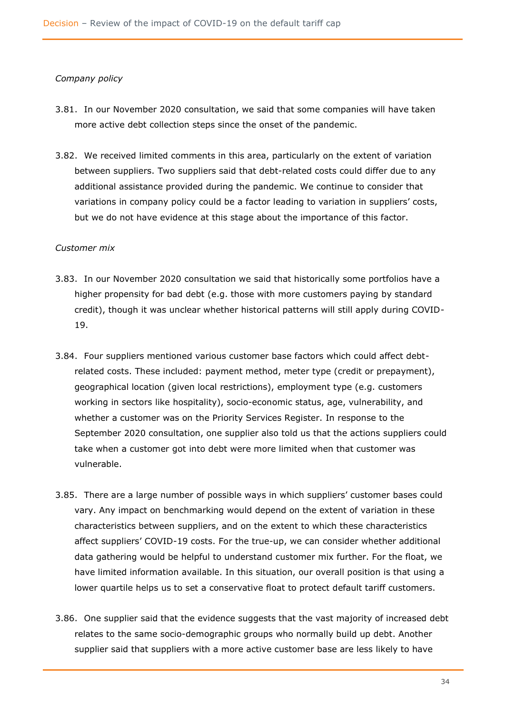#### *Company policy*

- 3.81. In our November 2020 consultation, we said that some companies will have taken more active debt collection steps since the onset of the pandemic.
- 3.82. We received limited comments in this area, particularly on the extent of variation between suppliers. Two suppliers said that debt-related costs could differ due to any additional assistance provided during the pandemic. We continue to consider that variations in company policy could be a factor leading to variation in suppliers' costs, but we do not have evidence at this stage about the importance of this factor.

#### *Customer mix*

- 3.83. In our November 2020 consultation we said that historically some portfolios have a higher propensity for bad debt (e.g. those with more customers paying by standard credit), though it was unclear whether historical patterns will still apply during COVID-19.
- 3.84. Four suppliers mentioned various customer base factors which could affect debtrelated costs. These included: payment method, meter type (credit or prepayment), geographical location (given local restrictions), employment type (e.g. customers working in sectors like hospitality), socio-economic status, age, vulnerability, and whether a customer was on the Priority Services Register. In response to the September 2020 consultation, one supplier also told us that the actions suppliers could take when a customer got into debt were more limited when that customer was vulnerable.
- 3.85. There are a large number of possible ways in which suppliers' customer bases could vary. Any impact on benchmarking would depend on the extent of variation in these characteristics between suppliers, and on the extent to which these characteristics affect suppliers' COVID-19 costs. For the true-up, we can consider whether additional data gathering would be helpful to understand customer mix further. For the float, we have limited information available. In this situation, our overall position is that using a lower quartile helps us to set a conservative float to protect default tariff customers.
- 3.86. One supplier said that the evidence suggests that the vast majority of increased debt relates to the same socio-demographic groups who normally build up debt. Another supplier said that suppliers with a more active customer base are less likely to have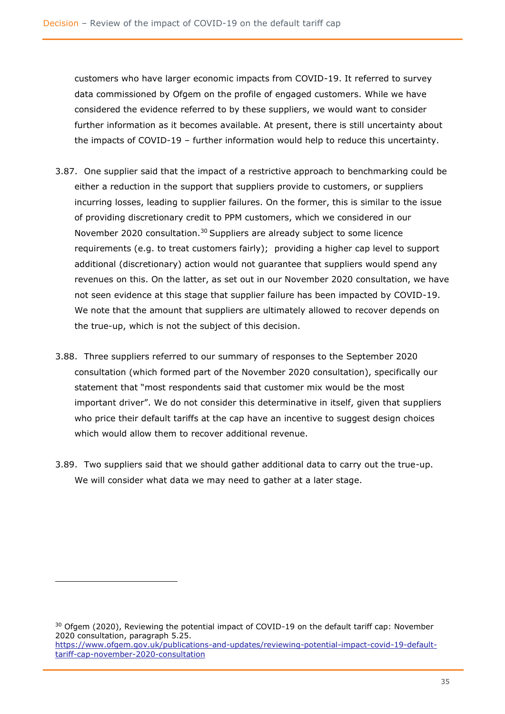customers who have larger economic impacts from COVID-19. It referred to survey data commissioned by Ofgem on the profile of engaged customers. While we have considered the evidence referred to by these suppliers, we would want to consider further information as it becomes available. At present, there is still uncertainty about the impacts of COVID-19 – further information would help to reduce this uncertainty.

- 3.87. One supplier said that the impact of a restrictive approach to benchmarking could be either a reduction in the support that suppliers provide to customers, or suppliers incurring losses, leading to supplier failures. On the former, this is similar to the issue of providing discretionary credit to PPM customers, which we considered in our November 2020 consultation.<sup>30</sup> Suppliers are already subject to some licence requirements (e.g. to treat customers fairly); providing a higher cap level to support additional (discretionary) action would not guarantee that suppliers would spend any revenues on this. On the latter, as set out in our November 2020 consultation, we have not seen evidence at this stage that supplier failure has been impacted by COVID-19. We note that the amount that suppliers are ultimately allowed to recover depends on the true-up, which is not the subject of this decision.
- 3.88. Three suppliers referred to our summary of responses to the September 2020 consultation (which formed part of the November 2020 consultation), specifically our statement that "most respondents said that customer mix would be the most important driver". We do not consider this determinative in itself, given that suppliers who price their default tariffs at the cap have an incentive to suggest design choices which would allow them to recover additional revenue.
- 3.89. Two suppliers said that we should gather additional data to carry out the true-up. We will consider what data we may need to gather at a later stage.

<sup>&</sup>lt;sup>30</sup> Ofgem (2020), Reviewing the potential impact of COVID-19 on the default tariff cap: November 2020 consultation, paragraph 5.25. [https://www.ofgem.gov.uk/publications-and-updates/reviewing-potential-impact-covid-19-default](https://www.ofgem.gov.uk/publications-and-updates/reviewing-potential-impact-covid-19-default-tariff-cap-november-2020-consultation)[tariff-cap-november-2020-consultation](https://www.ofgem.gov.uk/publications-and-updates/reviewing-potential-impact-covid-19-default-tariff-cap-november-2020-consultation)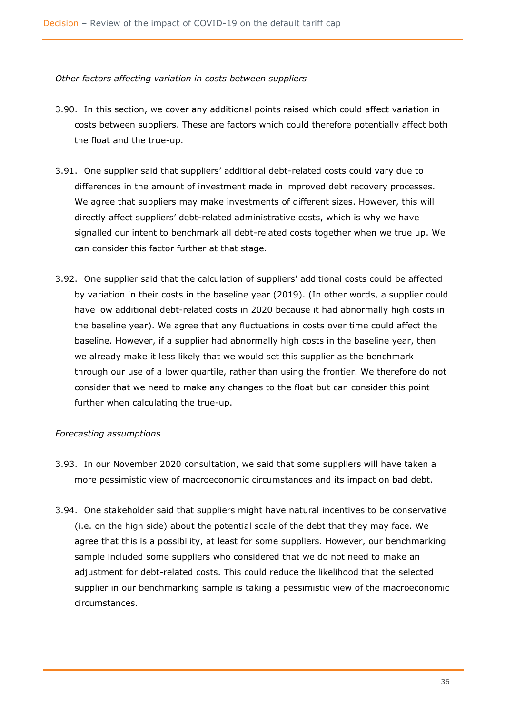*Other factors affecting variation in costs between suppliers*

- 3.90. In this section, we cover any additional points raised which could affect variation in costs between suppliers. These are factors which could therefore potentially affect both the float and the true-up.
- 3.91. One supplier said that suppliers' additional debt-related costs could vary due to differences in the amount of investment made in improved debt recovery processes. We agree that suppliers may make investments of different sizes. However, this will directly affect suppliers' debt-related administrative costs, which is why we have signalled our intent to benchmark all debt-related costs together when we true up. We can consider this factor further at that stage.
- 3.92. One supplier said that the calculation of suppliers' additional costs could be affected by variation in their costs in the baseline year (2019). (In other words, a supplier could have low additional debt-related costs in 2020 because it had abnormally high costs in the baseline year). We agree that any fluctuations in costs over time could affect the baseline. However, if a supplier had abnormally high costs in the baseline year, then we already make it less likely that we would set this supplier as the benchmark through our use of a lower quartile, rather than using the frontier. We therefore do not consider that we need to make any changes to the float but can consider this point further when calculating the true-up.

#### *Forecasting assumptions*

- 3.93. In our November 2020 consultation, we said that some suppliers will have taken a more pessimistic view of macroeconomic circumstances and its impact on bad debt.
- 3.94. One stakeholder said that suppliers might have natural incentives to be conservative (i.e. on the high side) about the potential scale of the debt that they may face. We agree that this is a possibility, at least for some suppliers. However, our benchmarking sample included some suppliers who considered that we do not need to make an adjustment for debt-related costs. This could reduce the likelihood that the selected supplier in our benchmarking sample is taking a pessimistic view of the macroeconomic circumstances.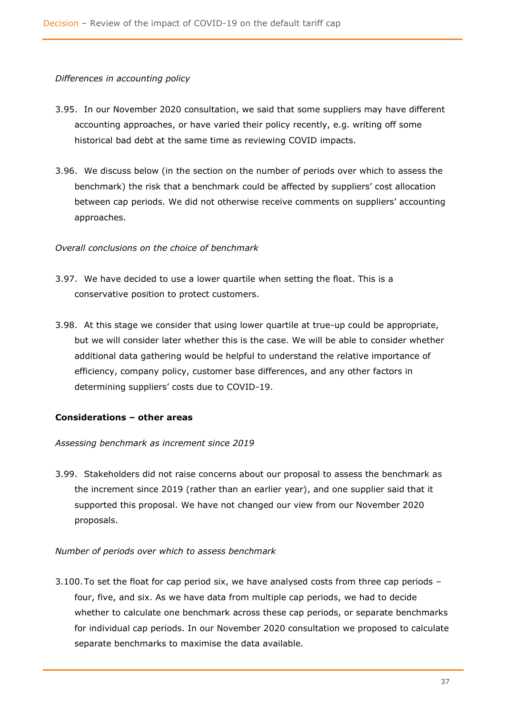#### *Differences in accounting policy*

- 3.95. In our November 2020 consultation, we said that some suppliers may have different accounting approaches, or have varied their policy recently, e.g. writing off some historical bad debt at the same time as reviewing COVID impacts.
- 3.96. We discuss below (in the section on the number of periods over which to assess the benchmark) the risk that a benchmark could be affected by suppliers' cost allocation between cap periods. We did not otherwise receive comments on suppliers' accounting approaches.

#### *Overall conclusions on the choice of benchmark*

- 3.97. We have decided to use a lower quartile when setting the float. This is a conservative position to protect customers.
- 3.98. At this stage we consider that using lower quartile at true-up could be appropriate, but we will consider later whether this is the case. We will be able to consider whether additional data gathering would be helpful to understand the relative importance of efficiency, company policy, customer base differences, and any other factors in determining suppliers' costs due to COVID-19.

## **Considerations – other areas**

#### *Assessing benchmark as increment since 2019*

3.99. Stakeholders did not raise concerns about our proposal to assess the benchmark as the increment since 2019 (rather than an earlier year), and one supplier said that it supported this proposal. We have not changed our view from our November 2020 proposals.

#### *Number of periods over which to assess benchmark*

3.100.To set the float for cap period six, we have analysed costs from three cap periods – four, five, and six. As we have data from multiple cap periods, we had to decide whether to calculate one benchmark across these cap periods, or separate benchmarks for individual cap periods. In our November 2020 consultation we proposed to calculate separate benchmarks to maximise the data available.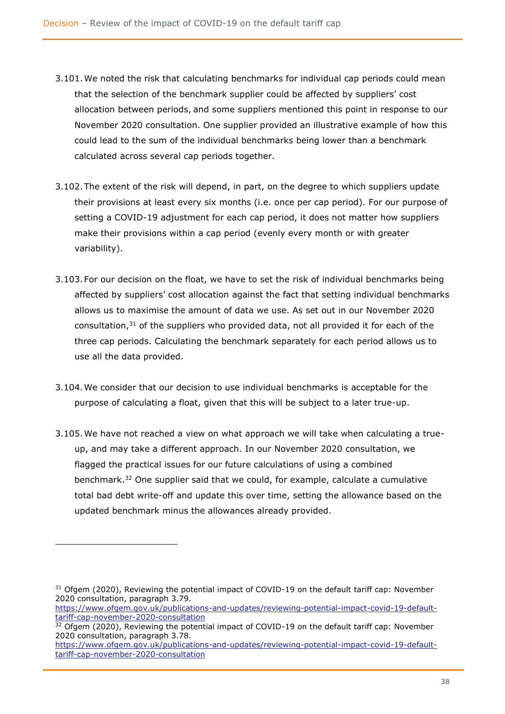- 3.101.We noted the risk that calculating benchmarks for individual cap periods could mean that the selection of the benchmark supplier could be affected by suppliers' cost allocation between periods, and some suppliers mentioned this point in response to our November 2020 consultation. One supplier provided an illustrative example of how this could lead to the sum of the individual benchmarks being lower than a benchmark calculated across several cap periods together.
- 3.102.The extent of the risk will depend, in part, on the degree to which suppliers update their provisions at least every six months (i.e. once per cap period). For our purpose of setting a COVID-19 adjustment for each cap period, it does not matter how suppliers make their provisions within a cap period (evenly every month or with greater variability).
- 3.103.For our decision on the float, we have to set the risk of individual benchmarks being affected by suppliers' cost allocation against the fact that setting individual benchmarks allows us to maximise the amount of data we use. As set out in our November 2020 consultation, $31$  of the suppliers who provided data, not all provided it for each of the three cap periods. Calculating the benchmark separately for each period allows us to use all the data provided.
- 3.104.We consider that our decision to use individual benchmarks is acceptable for the purpose of calculating a float, given that this will be subject to a later true-up.
- 3.105.We have not reached a view on what approach we will take when calculating a trueup, and may take a different approach. In our November 2020 consultation, we flagged the practical issues for our future calculations of using a combined benchmark.<sup>32</sup> One supplier said that we could, for example, calculate a cumulative total bad debt write-off and update this over time, setting the allowance based on the updated benchmark minus the allowances already provided.

 $31$  Ofgem (2020), Reviewing the potential impact of COVID-19 on the default tariff cap: November 2020 consultation, paragraph 3.79.

[https://www.ofgem.gov.uk/publications-and-updates/reviewing-potential-impact-covid-19-default](https://www.ofgem.gov.uk/publications-and-updates/reviewing-potential-impact-covid-19-default-tariff-cap-november-2020-consultation)[tariff-cap-november-2020-consultation](https://www.ofgem.gov.uk/publications-and-updates/reviewing-potential-impact-covid-19-default-tariff-cap-november-2020-consultation)

<sup>&</sup>lt;sup>32</sup> Ofgem (2020), Reviewing the potential impact of COVID-19 on the default tariff cap: November 2020 consultation, paragraph 3.78.

[https://www.ofgem.gov.uk/publications-and-updates/reviewing-potential-impact-covid-19-default](https://www.ofgem.gov.uk/publications-and-updates/reviewing-potential-impact-covid-19-default-tariff-cap-november-2020-consultation)[tariff-cap-november-2020-consultation](https://www.ofgem.gov.uk/publications-and-updates/reviewing-potential-impact-covid-19-default-tariff-cap-november-2020-consultation)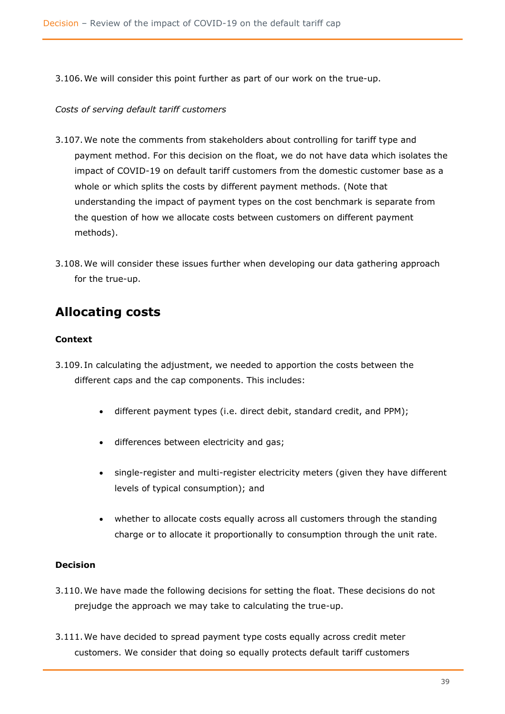3.106.We will consider this point further as part of our work on the true-up.

#### *Costs of serving default tariff customers*

- 3.107.We note the comments from stakeholders about controlling for tariff type and payment method. For this decision on the float, we do not have data which isolates the impact of COVID-19 on default tariff customers from the domestic customer base as a whole or which splits the costs by different payment methods. (Note that understanding the impact of payment types on the cost benchmark is separate from the question of how we allocate costs between customers on different payment methods).
- 3.108.We will consider these issues further when developing our data gathering approach for the true-up.

# **Allocating costs**

## **Context**

- 3.109. In calculating the adjustment, we needed to apportion the costs between the different caps and the cap components. This includes:
	- different payment types (i.e. direct debit, standard credit, and PPM);
	- differences between electricity and gas;
	- single-register and multi-register electricity meters (given they have different levels of typical consumption); and
	- whether to allocate costs equally across all customers through the standing charge or to allocate it proportionally to consumption through the unit rate.

## **Decision**

- 3.110.We have made the following decisions for setting the float. These decisions do not prejudge the approach we may take to calculating the true-up.
- 3.111.We have decided to spread payment type costs equally across credit meter customers. We consider that doing so equally protects default tariff customers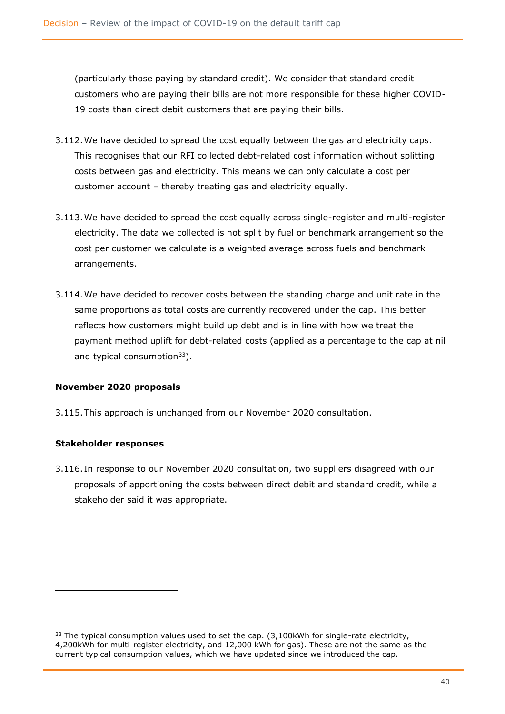(particularly those paying by standard credit). We consider that standard credit customers who are paying their bills are not more responsible for these higher COVID-19 costs than direct debit customers that are paying their bills.

- 3.112.We have decided to spread the cost equally between the gas and electricity caps. This recognises that our RFI collected debt-related cost information without splitting costs between gas and electricity. This means we can only calculate a cost per customer account – thereby treating gas and electricity equally.
- 3.113.We have decided to spread the cost equally across single-register and multi-register electricity. The data we collected is not split by fuel or benchmark arrangement so the cost per customer we calculate is a weighted average across fuels and benchmark arrangements.
- 3.114.We have decided to recover costs between the standing charge and unit rate in the same proportions as total costs are currently recovered under the cap. This better reflects how customers might build up debt and is in line with how we treat the payment method uplift for debt-related costs (applied as a percentage to the cap at nil and typical consumption<sup>33</sup>).

## **November 2020 proposals**

3.115.This approach is unchanged from our November 2020 consultation.

#### **Stakeholder responses**

3.116. In response to our November 2020 consultation, two suppliers disagreed with our proposals of apportioning the costs between direct debit and standard credit, while a stakeholder said it was appropriate.

 $33$  The typical consumption values used to set the cap.  $(3.100)$ kWh for single-rate electricity, 4,200kWh for multi-register electricity, and 12,000 kWh for gas). These are not the same as the current typical consumption values, which we have updated since we introduced the cap.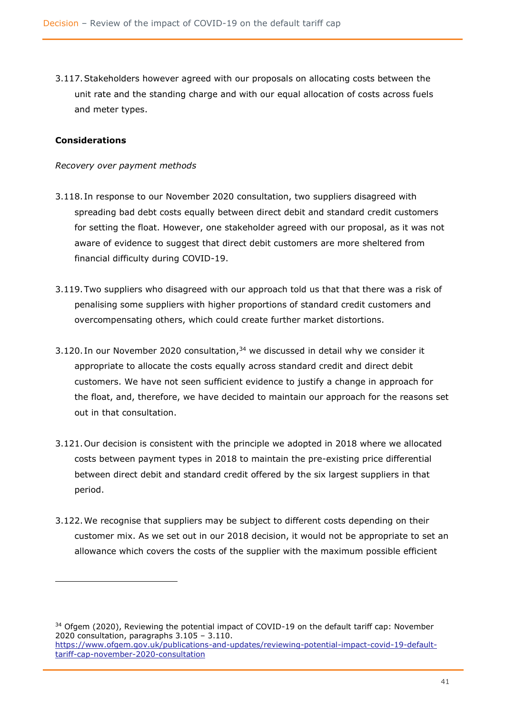3.117.Stakeholders however agreed with our proposals on allocating costs between the unit rate and the standing charge and with our equal allocation of costs across fuels and meter types.

#### **Considerations**

#### *Recovery over payment methods*

- 3.118. In response to our November 2020 consultation, two suppliers disagreed with spreading bad debt costs equally between direct debit and standard credit customers for setting the float. However, one stakeholder agreed with our proposal, as it was not aware of evidence to suggest that direct debit customers are more sheltered from financial difficulty during COVID-19.
- 3.119.Two suppliers who disagreed with our approach told us that that there was a risk of penalising some suppliers with higher proportions of standard credit customers and overcompensating others, which could create further market distortions.
- 3.120. In our November 2020 consultation, $34$  we discussed in detail why we consider it appropriate to allocate the costs equally across standard credit and direct debit customers. We have not seen sufficient evidence to justify a change in approach for the float, and, therefore, we have decided to maintain our approach for the reasons set out in that consultation.
- 3.121.Our decision is consistent with the principle we adopted in 2018 where we allocated costs between payment types in 2018 to maintain the pre-existing price differential between direct debit and standard credit offered by the six largest suppliers in that period.
- 3.122.We recognise that suppliers may be subject to different costs depending on their customer mix. As we set out in our 2018 decision, it would not be appropriate to set an allowance which covers the costs of the supplier with the maximum possible efficient

 $34$  Ofgem (2020), Reviewing the potential impact of COVID-19 on the default tariff cap: November 2020 consultation, paragraphs 3.105 – 3.110. [https://www.ofgem.gov.uk/publications-and-updates/reviewing-potential-impact-covid-19-default-](https://www.ofgem.gov.uk/publications-and-updates/reviewing-potential-impact-covid-19-default-tariff-cap-november-2020-consultation)

[tariff-cap-november-2020-consultation](https://www.ofgem.gov.uk/publications-and-updates/reviewing-potential-impact-covid-19-default-tariff-cap-november-2020-consultation)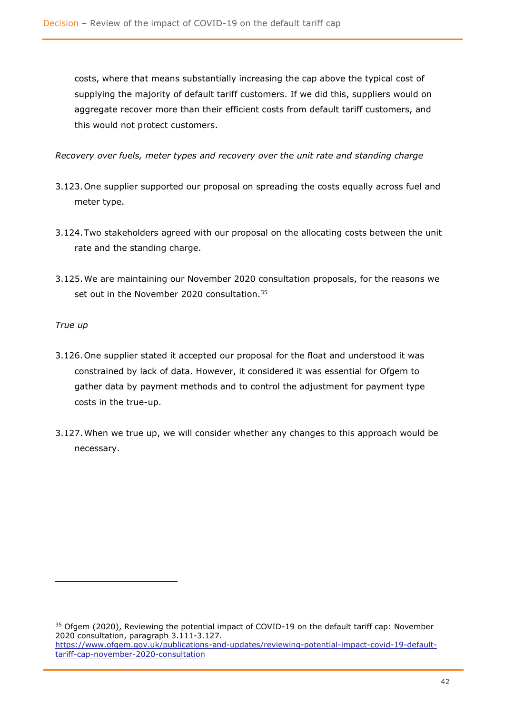costs, where that means substantially increasing the cap above the typical cost of supplying the majority of default tariff customers. If we did this, suppliers would on aggregate recover more than their efficient costs from default tariff customers, and this would not protect customers.

*Recovery over fuels, meter types and recovery over the unit rate and standing charge*

- 3.123.One supplier supported our proposal on spreading the costs equally across fuel and meter type.
- 3.124.Two stakeholders agreed with our proposal on the allocating costs between the unit rate and the standing charge.
- 3.125.We are maintaining our November 2020 consultation proposals, for the reasons we set out in the November 2020 consultation.<sup>35</sup>

#### *True up*

- 3.126.One supplier stated it accepted our proposal for the float and understood it was constrained by lack of data. However, it considered it was essential for Ofgem to gather data by payment methods and to control the adjustment for payment type costs in the true-up.
- 3.127.When we true up, we will consider whether any changes to this approach would be necessary.

<sup>&</sup>lt;sup>35</sup> Ofgem (2020), Reviewing the potential impact of COVID-19 on the default tariff cap: November 2020 consultation, paragraph 3.111-3.127. [https://www.ofgem.gov.uk/publications-and-updates/reviewing-potential-impact-covid-19-default](https://www.ofgem.gov.uk/publications-and-updates/reviewing-potential-impact-covid-19-default-tariff-cap-november-2020-consultation)[tariff-cap-november-2020-consultation](https://www.ofgem.gov.uk/publications-and-updates/reviewing-potential-impact-covid-19-default-tariff-cap-november-2020-consultation)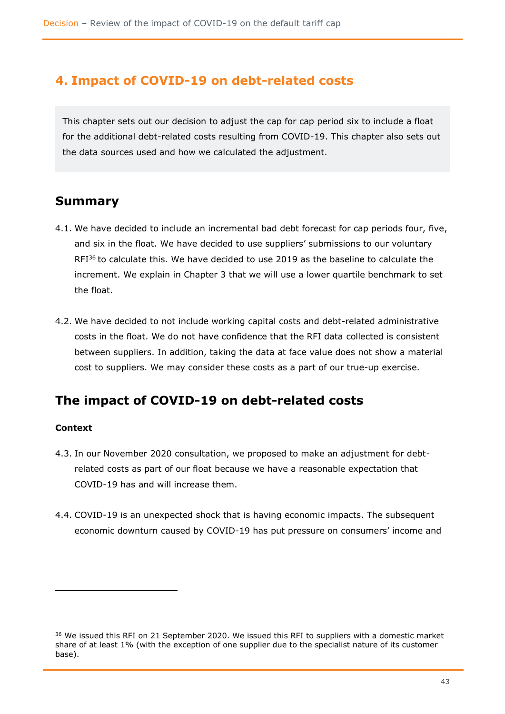## **4. Impact of COVID-19 on debt-related costs**

This chapter sets out our decision to adjust the cap for cap period six to include a float for the additional debt-related costs resulting from COVID-19. This chapter also sets out the data sources used and how we calculated the adjustment.

## **Summary**

- 4.1. We have decided to include an incremental bad debt forecast for cap periods four, five, and six in the float. We have decided to use suppliers' submissions to our voluntary RFI<sup>36</sup> to calculate this. We have decided to use 2019 as the baseline to calculate the increment. We explain in Chapter 3 that we will use a lower quartile benchmark to set the float.
- 4.2. We have decided to not include working capital costs and debt-related administrative costs in the float. We do not have confidence that the RFI data collected is consistent between suppliers. In addition, taking the data at face value does not show a material cost to suppliers. We may consider these costs as a part of our true-up exercise.

## **The impact of COVID-19 on debt-related costs**

## **Context**

- 4.3. In our November 2020 consultation, we proposed to make an adjustment for debtrelated costs as part of our float because we have a reasonable expectation that COVID-19 has and will increase them.
- 4.4. COVID-19 is an unexpected shock that is having economic impacts. The subsequent economic downturn caused by COVID-19 has put pressure on consumers' income and

<sup>&</sup>lt;sup>36</sup> We issued this RFI on 21 September 2020. We issued this RFI to suppliers with a domestic market share of at least 1% (with the exception of one supplier due to the specialist nature of its customer base).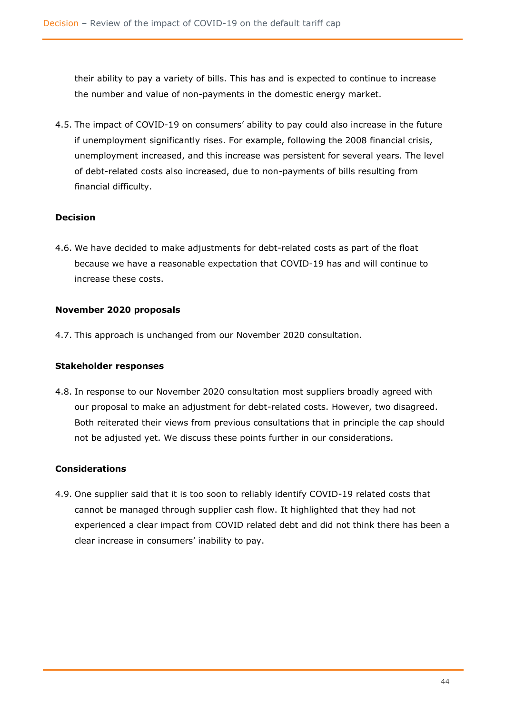their ability to pay a variety of bills. This has and is expected to continue to increase the number and value of non-payments in the domestic energy market.

4.5. The impact of COVID-19 on consumers' ability to pay could also increase in the future if unemployment significantly rises. For example, following the 2008 financial crisis, unemployment increased, and this increase was persistent for several years. The level of debt-related costs also increased, due to non-payments of bills resulting from financial difficulty.

## **Decision**

4.6. We have decided to make adjustments for debt-related costs as part of the float because we have a reasonable expectation that COVID-19 has and will continue to increase these costs.

## **November 2020 proposals**

4.7. This approach is unchanged from our November 2020 consultation.

## **Stakeholder responses**

4.8. In response to our November 2020 consultation most suppliers broadly agreed with our proposal to make an adjustment for debt-related costs. However, two disagreed. Both reiterated their views from previous consultations that in principle the cap should not be adjusted yet. We discuss these points further in our considerations.

## **Considerations**

4.9. One supplier said that it is too soon to reliably identify COVID-19 related costs that cannot be managed through supplier cash flow. It highlighted that they had not experienced a clear impact from COVID related debt and did not think there has been a clear increase in consumers' inability to pay.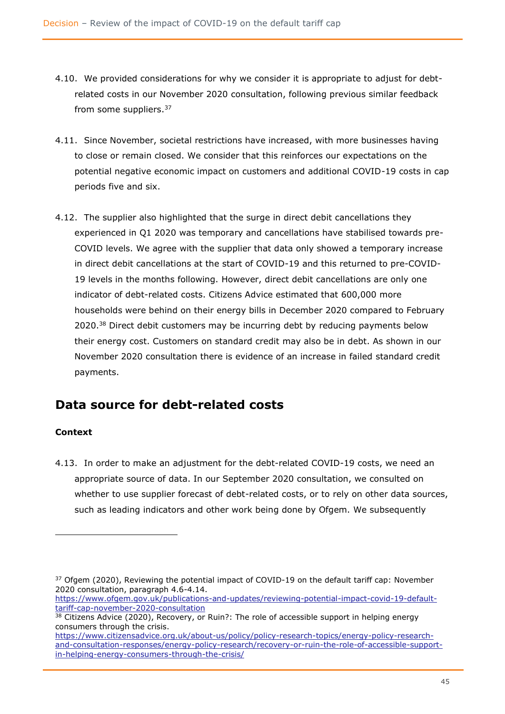- 4.10. We provided considerations for why we consider it is appropriate to adjust for debtrelated costs in our November 2020 consultation, following previous similar feedback from some suppliers.<sup>37</sup>
- 4.11. Since November, societal restrictions have increased, with more businesses having to close or remain closed. We consider that this reinforces our expectations on the potential negative economic impact on customers and additional COVID-19 costs in cap periods five and six.
- 4.12. The supplier also highlighted that the surge in direct debit cancellations they experienced in Q1 2020 was temporary and cancellations have stabilised towards pre-COVID levels. We agree with the supplier that data only showed a temporary increase in direct debit cancellations at the start of COVID-19 and this returned to pre-COVID-19 levels in the months following. However, direct debit cancellations are only one indicator of debt-related costs. Citizens Advice estimated that 600,000 more households were behind on their energy bills in December 2020 compared to February 2020.<sup>38</sup> Direct debit customers may be incurring debt by reducing payments below their energy cost. Customers on standard credit may also be in debt. As shown in our November 2020 consultation there is evidence of an increase in failed standard credit payments.

## **Data source for debt-related costs**

## **Context**

4.13. In order to make an adjustment for the debt-related COVID-19 costs, we need an appropriate source of data. In our September 2020 consultation, we consulted on whether to use supplier forecast of debt-related costs, or to rely on other data sources, such as leading indicators and other work being done by Ofgem. We subsequently

<sup>&</sup>lt;sup>37</sup> Ofgem (2020), Reviewing the potential impact of COVID-19 on the default tariff cap: November 2020 consultation, paragraph 4.6-4.14.

[https://www.ofgem.gov.uk/publications-and-updates/reviewing-potential-impact-covid-19-default](https://www.ofgem.gov.uk/publications-and-updates/reviewing-potential-impact-covid-19-default-tariff-cap-november-2020-consultation)[tariff-cap-november-2020-consultation](https://www.ofgem.gov.uk/publications-and-updates/reviewing-potential-impact-covid-19-default-tariff-cap-november-2020-consultation)

<sup>&</sup>lt;sup>38</sup> Citizens Advice (2020), Recovery, or Ruin?: The role of accessible support in helping energy consumers through the crisis.

[https://www.citizensadvice.org.uk/about-us/policy/policy-research-topics/energy-policy-research](https://www.citizensadvice.org.uk/about-us/policy/policy-research-topics/energy-policy-research-and-consultation-responses/energy-policy-research/recovery-or-ruin-the-role-of-accessible-support-in-helping-energy-consumers-through-the-crisis/)[and-consultation-responses/energy-policy-research/recovery-or-ruin-the-role-of-accessible-support](https://www.citizensadvice.org.uk/about-us/policy/policy-research-topics/energy-policy-research-and-consultation-responses/energy-policy-research/recovery-or-ruin-the-role-of-accessible-support-in-helping-energy-consumers-through-the-crisis/)[in-helping-energy-consumers-through-the-crisis/](https://www.citizensadvice.org.uk/about-us/policy/policy-research-topics/energy-policy-research-and-consultation-responses/energy-policy-research/recovery-or-ruin-the-role-of-accessible-support-in-helping-energy-consumers-through-the-crisis/)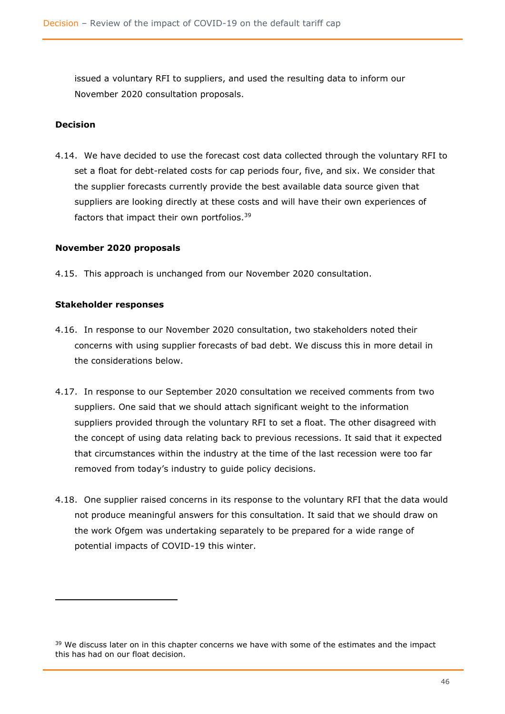issued a voluntary RFI to suppliers, and used the resulting data to inform our November 2020 consultation proposals.

#### **Decision**

4.14. We have decided to use the forecast cost data collected through the voluntary RFI to set a float for debt-related costs for cap periods four, five, and six. We consider that the supplier forecasts currently provide the best available data source given that suppliers are looking directly at these costs and will have their own experiences of factors that impact their own portfolios.<sup>39</sup>

#### **November 2020 proposals**

4.15. This approach is unchanged from our November 2020 consultation.

#### **Stakeholder responses**

- 4.16. In response to our November 2020 consultation, two stakeholders noted their concerns with using supplier forecasts of bad debt. We discuss this in more detail in the considerations below.
- 4.17. In response to our September 2020 consultation we received comments from two suppliers. One said that we should attach significant weight to the information suppliers provided through the voluntary RFI to set a float. The other disagreed with the concept of using data relating back to previous recessions. It said that it expected that circumstances within the industry at the time of the last recession were too far removed from today's industry to guide policy decisions.
- 4.18. One supplier raised concerns in its response to the voluntary RFI that the data would not produce meaningful answers for this consultation. It said that we should draw on the work Ofgem was undertaking separately to be prepared for a wide range of potential impacts of COVID-19 this winter.

<sup>&</sup>lt;sup>39</sup> We discuss later on in this chapter concerns we have with some of the estimates and the impact this has had on our float decision.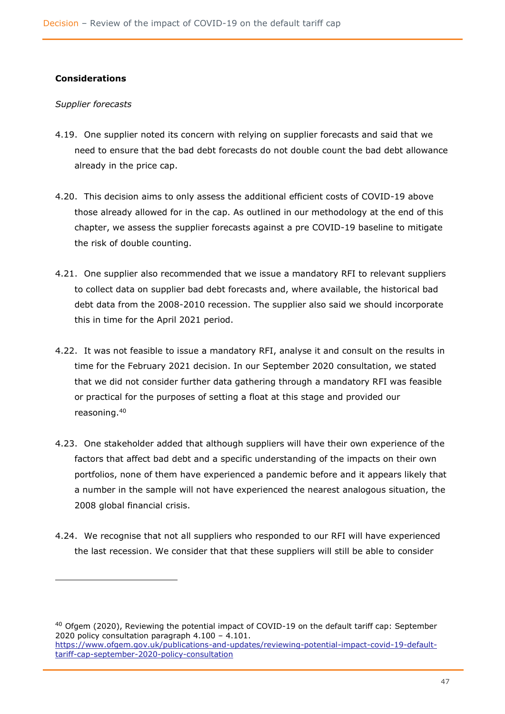#### **Considerations**

#### *Supplier forecasts*

- 4.19. One supplier noted its concern with relying on supplier forecasts and said that we need to ensure that the bad debt forecasts do not double count the bad debt allowance already in the price cap.
- 4.20. This decision aims to only assess the additional efficient costs of COVID-19 above those already allowed for in the cap. As outlined in our methodology at the end of this chapter, we assess the supplier forecasts against a pre COVID-19 baseline to mitigate the risk of double counting.
- 4.21. One supplier also recommended that we issue a mandatory RFI to relevant suppliers to collect data on supplier bad debt forecasts and, where available, the historical bad debt data from the 2008-2010 recession. The supplier also said we should incorporate this in time for the April 2021 period.
- 4.22. It was not feasible to issue a mandatory RFI, analyse it and consult on the results in time for the February 2021 decision. In our September 2020 consultation, we stated that we did not consider further data gathering through a mandatory RFI was feasible or practical for the purposes of setting a float at this stage and provided our reasoning.<sup>40</sup>
- 4.23. One stakeholder added that although suppliers will have their own experience of the factors that affect bad debt and a specific understanding of the impacts on their own portfolios, none of them have experienced a pandemic before and it appears likely that a number in the sample will not have experienced the nearest analogous situation, the 2008 global financial crisis.
- 4.24. We recognise that not all suppliers who responded to our RFI will have experienced the last recession. We consider that that these suppliers will still be able to consider

<sup>40</sup> Ofgem (2020), Reviewing the potential impact of COVID-19 on the default tariff cap: September 2020 policy consultation paragraph 4.100 – 4.101. [https://www.ofgem.gov.uk/publications-and-updates/reviewing-potential-impact-covid-19-default](https://www.ofgem.gov.uk/publications-and-updates/reviewing-potential-impact-covid-19-default-tariff-cap-september-2020-policy-consultation)[tariff-cap-september-2020-policy-consultation](https://www.ofgem.gov.uk/publications-and-updates/reviewing-potential-impact-covid-19-default-tariff-cap-september-2020-policy-consultation)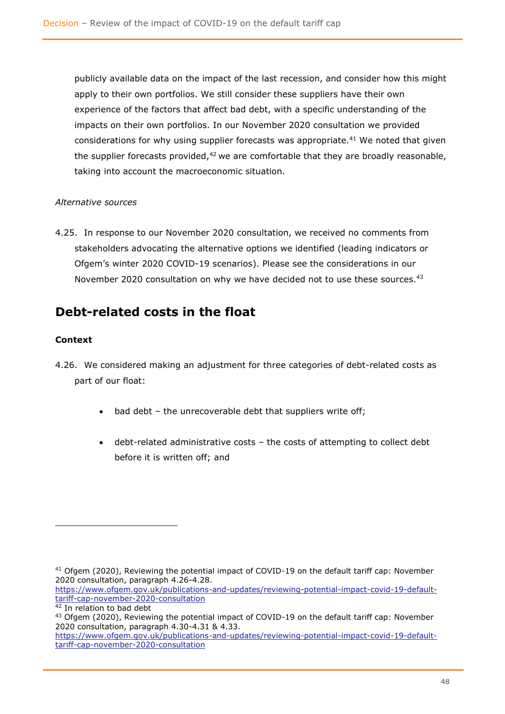publicly available data on the impact of the last recession, and consider how this might apply to their own portfolios. We still consider these suppliers have their own experience of the factors that affect bad debt, with a specific understanding of the impacts on their own portfolios. In our November 2020 consultation we provided considerations for why using supplier forecasts was appropriate.<sup>41</sup> We noted that given the supplier forecasts provided, $42$  we are comfortable that they are broadly reasonable, taking into account the macroeconomic situation.

## *Alternative sources*

4.25. In response to our November 2020 consultation, we received no comments from stakeholders advocating the alternative options we identified (leading indicators or Ofgem's winter 2020 COVID-19 scenarios). Please see the considerations in our November 2020 consultation on why we have decided not to use these sources.<sup>43</sup>

## **Debt-related costs in the float**

## **Context**

- 4.26. We considered making an adjustment for three categories of debt-related costs as part of our float:
	- bad debt  $-$  the unrecoverable debt that suppliers write off;
	- debt-related administrative costs the costs of attempting to collect debt before it is written off; and

<sup>&</sup>lt;sup>41</sup> Ofgem (2020), Reviewing the potential impact of COVID-19 on the default tariff cap: November 2020 consultation, paragraph 4.26-4.28.

[https://www.ofgem.gov.uk/publications-and-updates/reviewing-potential-impact-covid-19-default](https://www.ofgem.gov.uk/publications-and-updates/reviewing-potential-impact-covid-19-default-tariff-cap-november-2020-consultation)[tariff-cap-november-2020-consultation](https://www.ofgem.gov.uk/publications-and-updates/reviewing-potential-impact-covid-19-default-tariff-cap-november-2020-consultation)

<sup>42</sup> In relation to bad debt

<sup>&</sup>lt;sup>43</sup> Ofgem (2020), Reviewing the potential impact of COVID-19 on the default tariff cap: November 2020 consultation, paragraph 4.30-4.31 & 4.33.

[https://www.ofgem.gov.uk/publications-and-updates/reviewing-potential-impact-covid-19-default](https://www.ofgem.gov.uk/publications-and-updates/reviewing-potential-impact-covid-19-default-tariff-cap-november-2020-consultation)[tariff-cap-november-2020-consultation](https://www.ofgem.gov.uk/publications-and-updates/reviewing-potential-impact-covid-19-default-tariff-cap-november-2020-consultation)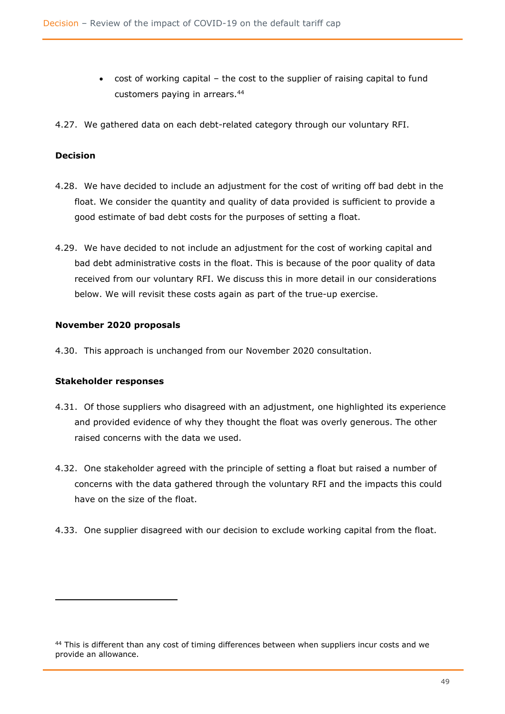- cost of working capital the cost to the supplier of raising capital to fund customers paying in arrears.<sup>44</sup>
- 4.27. We gathered data on each debt-related category through our voluntary RFI.

#### **Decision**

- 4.28. We have decided to include an adjustment for the cost of writing off bad debt in the float. We consider the quantity and quality of data provided is sufficient to provide a good estimate of bad debt costs for the purposes of setting a float.
- 4.29. We have decided to not include an adjustment for the cost of working capital and bad debt administrative costs in the float. This is because of the poor quality of data received from our voluntary RFI. We discuss this in more detail in our considerations below. We will revisit these costs again as part of the true-up exercise.

#### **November 2020 proposals**

4.30. This approach is unchanged from our November 2020 consultation.

#### **Stakeholder responses**

- 4.31. Of those suppliers who disagreed with an adjustment, one highlighted its experience and provided evidence of why they thought the float was overly generous. The other raised concerns with the data we used.
- 4.32. One stakeholder agreed with the principle of setting a float but raised a number of concerns with the data gathered through the voluntary RFI and the impacts this could have on the size of the float.
- 4.33. One supplier disagreed with our decision to exclude working capital from the float.

<sup>44</sup> This is different than any cost of timing differences between when suppliers incur costs and we provide an allowance.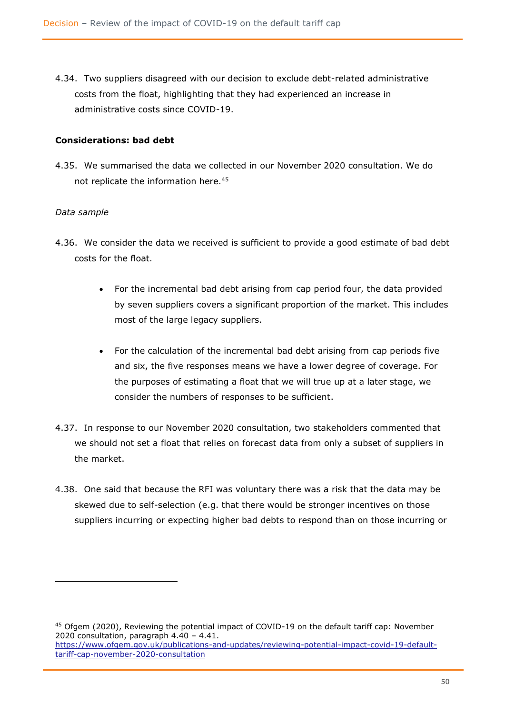4.34. Two suppliers disagreed with our decision to exclude debt-related administrative costs from the float, highlighting that they had experienced an increase in administrative costs since COVID-19.

#### **Considerations: bad debt**

4.35. We summarised the data we collected in our November 2020 consultation. We do not replicate the information here.<sup>45</sup>

#### *Data sample*

- 4.36. We consider the data we received is sufficient to provide a good estimate of bad debt costs for the float.
	- For the incremental bad debt arising from cap period four, the data provided by seven suppliers covers a significant proportion of the market. This includes most of the large legacy suppliers.
	- For the calculation of the incremental bad debt arising from cap periods five and six, the five responses means we have a lower degree of coverage. For the purposes of estimating a float that we will true up at a later stage, we consider the numbers of responses to be sufficient.
- 4.37. In response to our November 2020 consultation, two stakeholders commented that we should not set a float that relies on forecast data from only a subset of suppliers in the market.
- 4.38. One said that because the RFI was voluntary there was a risk that the data may be skewed due to self-selection (e.g. that there would be stronger incentives on those suppliers incurring or expecting higher bad debts to respond than on those incurring or

<sup>45</sup> Ofgem (2020), Reviewing the potential impact of COVID-19 on the default tariff cap: November 2020 consultation, paragraph 4.40 – 4.41. [https://www.ofgem.gov.uk/publications-and-updates/reviewing-potential-impact-covid-19-default](https://www.ofgem.gov.uk/publications-and-updates/reviewing-potential-impact-covid-19-default-tariff-cap-november-2020-consultation)[tariff-cap-november-2020-consultation](https://www.ofgem.gov.uk/publications-and-updates/reviewing-potential-impact-covid-19-default-tariff-cap-november-2020-consultation)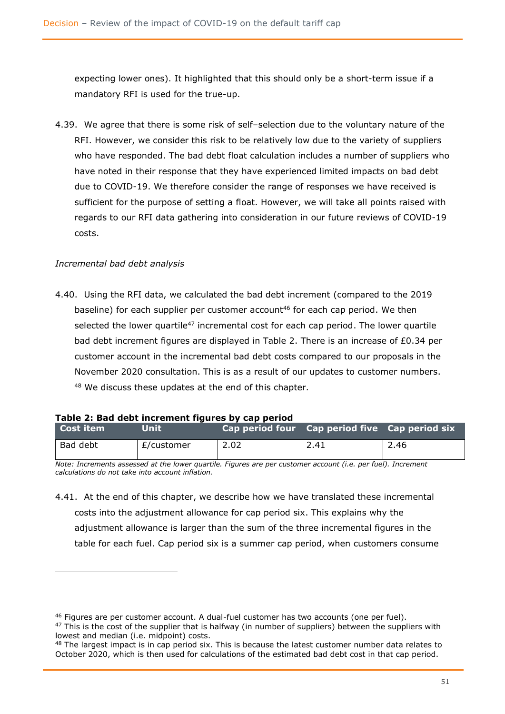expecting lower ones). It highlighted that this should only be a short-term issue if a mandatory RFI is used for the true-up.

4.39. We agree that there is some risk of self–selection due to the voluntary nature of the RFI. However, we consider this risk to be relatively low due to the variety of suppliers who have responded. The bad debt float calculation includes a number of suppliers who have noted in their response that they have experienced limited impacts on bad debt due to COVID-19. We therefore consider the range of responses we have received is sufficient for the purpose of setting a float. However, we will take all points raised with regards to our RFI data gathering into consideration in our future reviews of COVID-19 costs.

## *Incremental bad debt analysis*

4.40. Using the RFI data, we calculated the bad debt increment (compared to the 2019 baseline) for each supplier per customer account<sup>46</sup> for each cap period. We then selected the lower quartile<sup>47</sup> incremental cost for each cap period. The lower quartile bad debt increment figures are displayed in Table 2. There is an increase of  $E0.34$  per customer account in the incremental bad debt costs compared to our proposals in the November 2020 consultation. This is as a result of our updates to customer numbers. <sup>48</sup> We discuss these updates at the end of this chapter.

|  | Table 2: Bad debt increment figures by cap period |  |  |
|--|---------------------------------------------------|--|--|
|  |                                                   |  |  |

| l Cost item | <b>Unit</b> | Cap period four Cap period five Cap period six |      |      |
|-------------|-------------|------------------------------------------------|------|------|
| Bad debt    | £/customer  | 2.02                                           | 2.41 | 2.46 |

*Note: Increments assessed at the lower quartile. Figures are per customer account (i.e. per fuel). Increment calculations do not take into account inflation.*

4.41. At the end of this chapter, we describe how we have translated these incremental costs into the adjustment allowance for cap period six. This explains why the adjustment allowance is larger than the sum of the three incremental figures in the table for each fuel. Cap period six is a summer cap period, when customers consume

<sup>46</sup> Figures are per customer account. A dual-fuel customer has two accounts (one per fuel).

 $47$  This is the cost of the supplier that is halfway (in number of suppliers) between the suppliers with lowest and median (i.e. midpoint) costs.

<sup>48</sup> The largest impact is in cap period six. This is because the latest customer number data relates to October 2020, which is then used for calculations of the estimated bad debt cost in that cap period.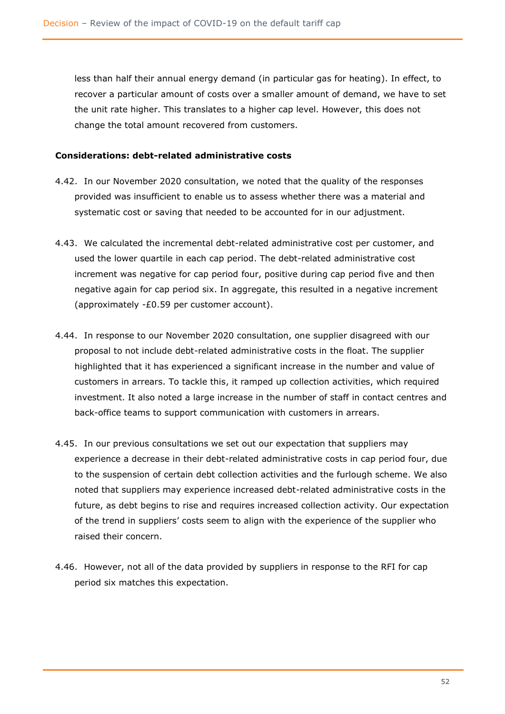less than half their annual energy demand (in particular gas for heating). In effect, to recover a particular amount of costs over a smaller amount of demand, we have to set the unit rate higher. This translates to a higher cap level. However, this does not change the total amount recovered from customers.

#### **Considerations: debt-related administrative costs**

- 4.42. In our November 2020 consultation, we noted that the quality of the responses provided was insufficient to enable us to assess whether there was a material and systematic cost or saving that needed to be accounted for in our adjustment.
- 4.43. We calculated the incremental debt-related administrative cost per customer, and used the lower quartile in each cap period. The debt-related administrative cost increment was negative for cap period four, positive during cap period five and then negative again for cap period six. In aggregate, this resulted in a negative increment (approximately -£0.59 per customer account).
- 4.44. In response to our November 2020 consultation, one supplier disagreed with our proposal to not include debt-related administrative costs in the float. The supplier highlighted that it has experienced a significant increase in the number and value of customers in arrears. To tackle this, it ramped up collection activities, which required investment. It also noted a large increase in the number of staff in contact centres and back-office teams to support communication with customers in arrears.
- 4.45. In our previous consultations we set out our expectation that suppliers may experience a decrease in their debt-related administrative costs in cap period four, due to the suspension of certain debt collection activities and the furlough scheme. We also noted that suppliers may experience increased debt-related administrative costs in the future, as debt begins to rise and requires increased collection activity. Our expectation of the trend in suppliers' costs seem to align with the experience of the supplier who raised their concern.
- 4.46. However, not all of the data provided by suppliers in response to the RFI for cap period six matches this expectation.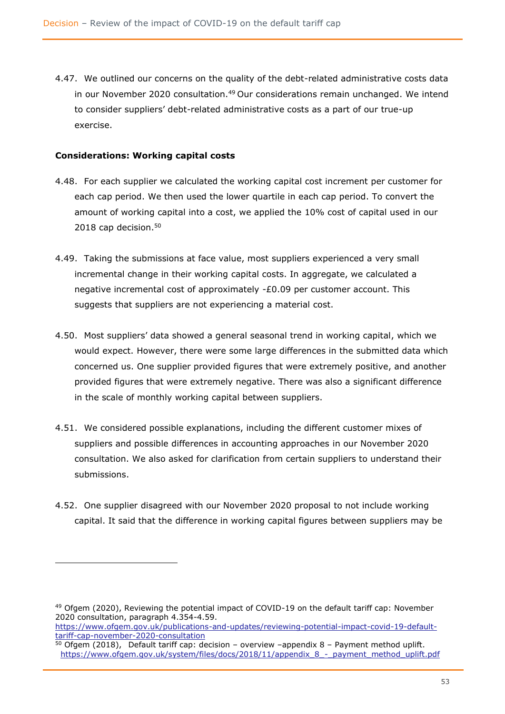4.47. We outlined our concerns on the quality of the debt-related administrative costs data in our November 2020 consultation.<sup>49</sup> Our considerations remain unchanged. We intend to consider suppliers' debt-related administrative costs as a part of our true-up exercise.

#### **Considerations: Working capital costs**

- 4.48. For each supplier we calculated the working capital cost increment per customer for each cap period. We then used the lower quartile in each cap period. To convert the amount of working capital into a cost, we applied the 10% cost of capital used in our 2018 cap decision. 50
- 4.49. Taking the submissions at face value, most suppliers experienced a very small incremental change in their working capital costs. In aggregate, we calculated a negative incremental cost of approximately -£0.09 per customer account. This suggests that suppliers are not experiencing a material cost.
- 4.50. Most suppliers' data showed a general seasonal trend in working capital, which we would expect. However, there were some large differences in the submitted data which concerned us. One supplier provided figures that were extremely positive, and another provided figures that were extremely negative. There was also a significant difference in the scale of monthly working capital between suppliers.
- 4.51. We considered possible explanations, including the different customer mixes of suppliers and possible differences in accounting approaches in our November 2020 consultation. We also asked for clarification from certain suppliers to understand their submissions.
- 4.52. One supplier disagreed with our November 2020 proposal to not include working capital. It said that the difference in working capital figures between suppliers may be

<sup>&</sup>lt;sup>49</sup> Ofgem (2020), Reviewing the potential impact of COVID-19 on the default tariff cap: November 2020 consultation, paragraph 4.354-4.59.

[https://www.ofgem.gov.uk/publications-and-updates/reviewing-potential-impact-covid-19-default](https://www.ofgem.gov.uk/publications-and-updates/reviewing-potential-impact-covid-19-default-tariff-cap-november-2020-consultation)[tariff-cap-november-2020-consultation](https://www.ofgem.gov.uk/publications-and-updates/reviewing-potential-impact-covid-19-default-tariff-cap-november-2020-consultation)

 $50$  Ofgem (2018), Default tariff cap: decision – overview –appendix 8 – Payment method uplift. [https://www.ofgem.gov.uk/system/files/docs/2018/11/appendix\\_8\\_-\\_payment\\_method\\_uplift.pdf](https://www.ofgem.gov.uk/system/files/docs/2018/11/appendix_8_-_payment_method_uplift.pdf)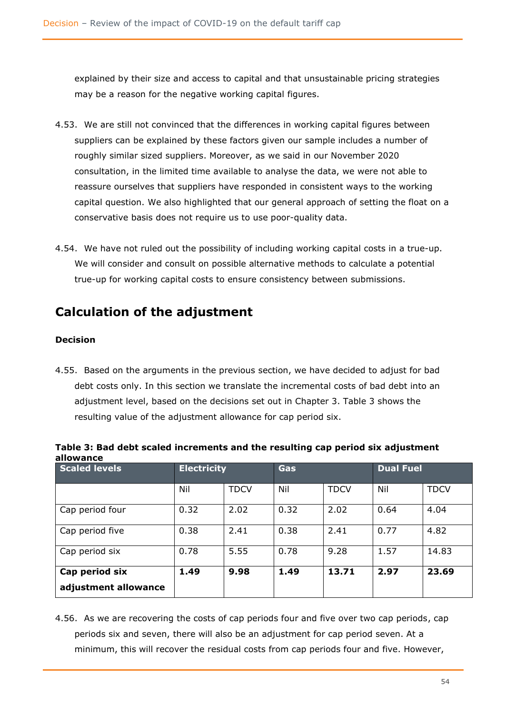explained by their size and access to capital and that unsustainable pricing strategies may be a reason for the negative working capital figures.

- 4.53. We are still not convinced that the differences in working capital figures between suppliers can be explained by these factors given our sample includes a number of roughly similar sized suppliers. Moreover, as we said in our November 2020 consultation, in the limited time available to analyse the data, we were not able to reassure ourselves that suppliers have responded in consistent ways to the working capital question. We also highlighted that our general approach of setting the float on a conservative basis does not require us to use poor-quality data.
- 4.54. We have not ruled out the possibility of including working capital costs in a true-up. We will consider and consult on possible alternative methods to calculate a potential true-up for working capital costs to ensure consistency between submissions.

# **Calculation of the adjustment**

## **Decision**

4.55. Based on the arguments in the previous section, we have decided to adjust for bad debt costs only. In this section we translate the incremental costs of bad debt into an adjustment level, based on the decisions set out in Chapter 3. Table 3 shows the resulting value of the adjustment allowance for cap period six.

| <b>Scaled levels</b>                   | <b>Electricity</b> |             | <b>Gas</b> |             |      | <b>Dual Fuel</b> |  |
|----------------------------------------|--------------------|-------------|------------|-------------|------|------------------|--|
|                                        | Nil                | <b>TDCV</b> | Nil        | <b>TDCV</b> | Nil  | <b>TDCV</b>      |  |
| Cap period four                        | 0.32               | 2.02        | 0.32       | 2.02        | 0.64 | 4.04             |  |
| Cap period five                        | 0.38               | 2.41        | 0.38       | 2.41        | 0.77 | 4.82             |  |
| Cap period six                         | 0.78               | 5.55        | 0.78       | 9.28        | 1.57 | 14.83            |  |
| Cap period six<br>adjustment allowance | 1.49               | 9.98        | 1.49       | 13.71       | 2.97 | 23.69            |  |

**Table 3: Bad debt scaled increments and the resulting cap period six adjustment allowance**

4.56. As we are recovering the costs of cap periods four and five over two cap periods, cap periods six and seven, there will also be an adjustment for cap period seven. At a minimum, this will recover the residual costs from cap periods four and five. However,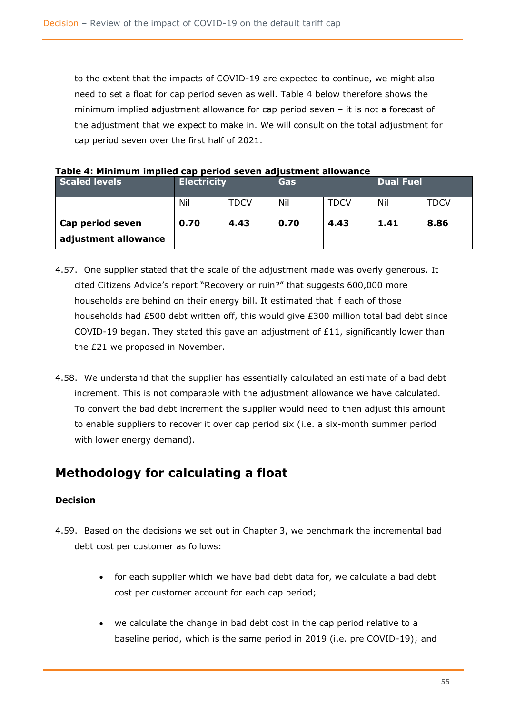to the extent that the impacts of COVID-19 are expected to continue, we might also need to set a float for cap period seven as well. Table 4 below therefore shows the minimum implied adjustment allowance for cap period seven – it is not a forecast of the adjustment that we expect to make in. We will consult on the total adjustment for cap period seven over the first half of 2021.

| rapie 4: Millillium implieu cap periou seven aujustinent allowance |                    |      |            |             |                  |             |
|--------------------------------------------------------------------|--------------------|------|------------|-------------|------------------|-------------|
| <b>Scaled levels</b>                                               | <b>Electricity</b> |      | <b>Gas</b> |             | <b>Dual Fuel</b> |             |
|                                                                    | Nil                | TDCV | Nil        | <b>TDCV</b> | Nil              | <b>TDCV</b> |
| Cap period seven<br>adjustment allowance                           | 0.70               | 4.43 | 0.70       | 4.43        | 1.41             | 8.86        |

**Table 4: Minimum implied cap period seven adjustment allowance**

- 4.57. One supplier stated that the scale of the adjustment made was overly generous. It cited Citizens Advice's report "Recovery or ruin?" that suggests 600,000 more households are behind on their energy bill. It estimated that if each of those households had £500 debt written off, this would give £300 million total bad debt since COVID-19 began. They stated this gave an adjustment of £11, significantly lower than the £21 we proposed in November.
- 4.58. We understand that the supplier has essentially calculated an estimate of a bad debt increment. This is not comparable with the adjustment allowance we have calculated. To convert the bad debt increment the supplier would need to then adjust this amount to enable suppliers to recover it over cap period six (i.e. a six-month summer period with lower energy demand).

## **Methodology for calculating a float**

## **Decision**

- 4.59. Based on the decisions we set out in Chapter 3, we benchmark the incremental bad debt cost per customer as follows:
	- for each supplier which we have bad debt data for, we calculate a bad debt cost per customer account for each cap period;
	- we calculate the change in bad debt cost in the cap period relative to a baseline period, which is the same period in 2019 (i.e. pre COVID-19); and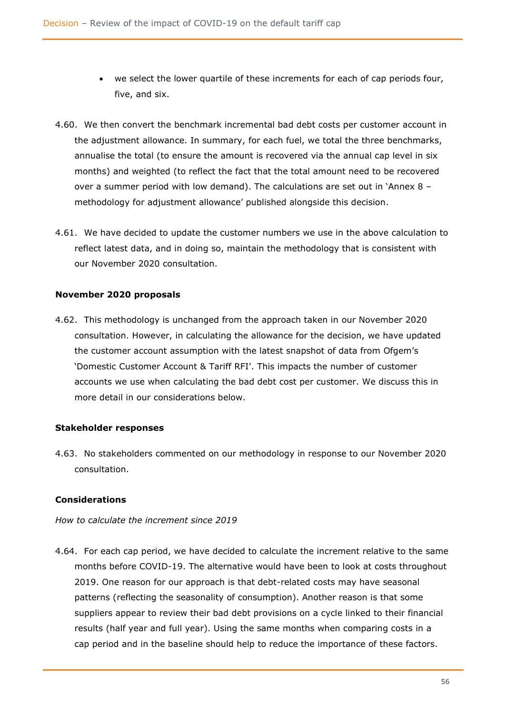- we select the lower quartile of these increments for each of cap periods four, five, and six.
- 4.60. We then convert the benchmark incremental bad debt costs per customer account in the adjustment allowance. In summary, for each fuel, we total the three benchmarks, annualise the total (to ensure the amount is recovered via the annual cap level in six months) and weighted (to reflect the fact that the total amount need to be recovered over a summer period with low demand). The calculations are set out in 'Annex 8 – methodology for adjustment allowance' published alongside this decision.
- 4.61. We have decided to update the customer numbers we use in the above calculation to reflect latest data, and in doing so, maintain the methodology that is consistent with our November 2020 consultation.

## **November 2020 proposals**

4.62. This methodology is unchanged from the approach taken in our November 2020 consultation. However, in calculating the allowance for the decision, we have updated the customer account assumption with the latest snapshot of data from Ofgem's 'Domestic Customer Account & Tariff RFI'. This impacts the number of customer accounts we use when calculating the bad debt cost per customer. We discuss this in more detail in our considerations below.

## **Stakeholder responses**

4.63. No stakeholders commented on our methodology in response to our November 2020 consultation.

## **Considerations**

## *How to calculate the increment since 2019*

4.64. For each cap period, we have decided to calculate the increment relative to the same months before COVID-19. The alternative would have been to look at costs throughout 2019. One reason for our approach is that debt-related costs may have seasonal patterns (reflecting the seasonality of consumption). Another reason is that some suppliers appear to review their bad debt provisions on a cycle linked to their financial results (half year and full year). Using the same months when comparing costs in a cap period and in the baseline should help to reduce the importance of these factors.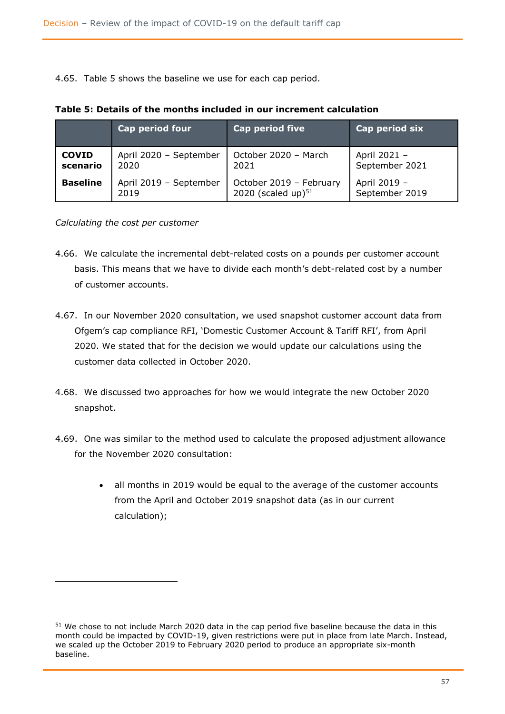4.65. Table 5 shows the baseline we use for each cap period.

|                 | Cap period four        | <b>Cap period five</b>  | Cap period six |
|-----------------|------------------------|-------------------------|----------------|
| <b>COVID</b>    | April 2020 - September | October 2020 - March    | April 2021 -   |
| scenario        | 2020                   | 2021                    | September 2021 |
| <b>Baseline</b> | April 2019 - September | October 2019 - February | April 2019 -   |
|                 | 2019                   | 2020 (scaled up) $51$   | September 2019 |

#### **Table 5: Details of the months included in our increment calculation**

*Calculating the cost per customer*

- 4.66. We calculate the incremental debt-related costs on a pounds per customer account basis. This means that we have to divide each month's debt-related cost by a number of customer accounts.
- 4.67. In our November 2020 consultation, we used snapshot customer account data from Ofgem's cap compliance RFI, 'Domestic Customer Account & Tariff RFI', from April 2020. We stated that for the decision we would update our calculations using the customer data collected in October 2020.
- 4.68. We discussed two approaches for how we would integrate the new October 2020 snapshot.
- 4.69. One was similar to the method used to calculate the proposed adjustment allowance for the November 2020 consultation:
	- all months in 2019 would be equal to the average of the customer accounts from the April and October 2019 snapshot data (as in our current calculation);

<sup>51</sup> We chose to not include March 2020 data in the cap period five baseline because the data in this month could be impacted by COVID-19, given restrictions were put in place from late March. Instead, we scaled up the October 2019 to February 2020 period to produce an appropriate six-month baseline.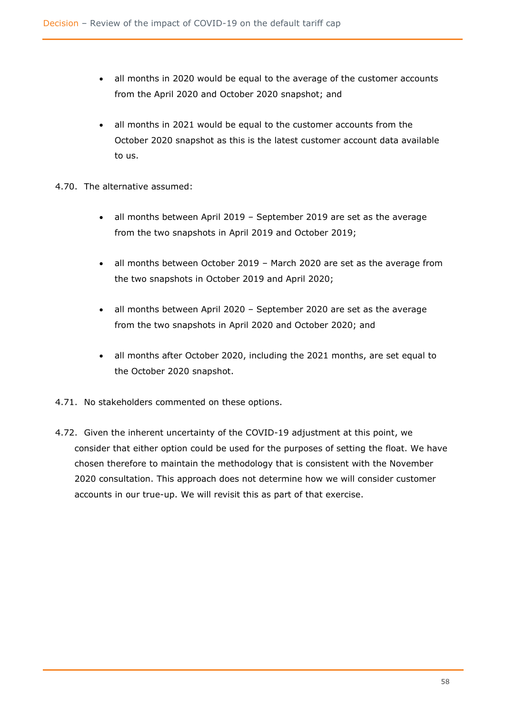- all months in 2020 would be equal to the average of the customer accounts from the April 2020 and October 2020 snapshot; and
- all months in 2021 would be equal to the customer accounts from the October 2020 snapshot as this is the latest customer account data available to us.
- 4.70. The alternative assumed:
	- all months between April 2019 September 2019 are set as the average from the two snapshots in April 2019 and October 2019;
	- all months between October 2019 March 2020 are set as the average from the two snapshots in October 2019 and April 2020;
	- all months between April 2020 September 2020 are set as the average from the two snapshots in April 2020 and October 2020; and
	- all months after October 2020, including the 2021 months, are set equal to the October 2020 snapshot.
- 4.71. No stakeholders commented on these options.
- 4.72. Given the inherent uncertainty of the COVID-19 adjustment at this point, we consider that either option could be used for the purposes of setting the float. We have chosen therefore to maintain the methodology that is consistent with the November 2020 consultation. This approach does not determine how we will consider customer accounts in our true-up. We will revisit this as part of that exercise.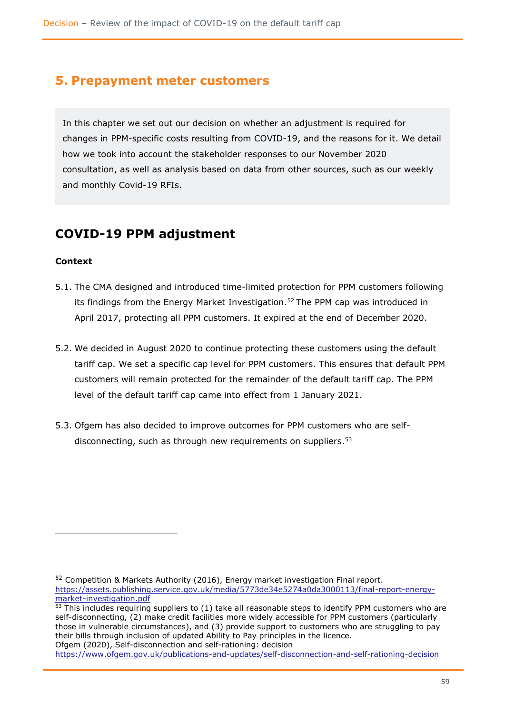## **5. Prepayment meter customers**

In this chapter we set out our decision on whether an adjustment is required for changes in PPM-specific costs resulting from COVID-19, and the reasons for it. We detail how we took into account the stakeholder responses to our November 2020 consultation, as well as analysis based on data from other sources, such as our weekly and monthly Covid-19 RFIs.

## **COVID-19 PPM adjustment**

## **Context**

- 5.1. The CMA designed and introduced time-limited protection for PPM customers following its findings from the Energy Market Investigation.<sup>52</sup> The PPM cap was introduced in April 2017, protecting all PPM customers. It expired at the end of December 2020.
- 5.2. We decided in August 2020 to continue protecting these customers using the default tariff cap. We set a specific cap level for PPM customers. This ensures that default PPM customers will remain protected for the remainder of the default tariff cap. The PPM level of the default tariff cap came into effect from 1 January 2021.
- 5.3. Ofgem has also decided to improve outcomes for PPM customers who are selfdisconnecting, such as through new requirements on suppliers.<sup>53</sup>

<sup>52</sup> Competition & Markets Authority (2016), Energy market investigation Final report. [https://assets.publishing.service.gov.uk/media/5773de34e5274a0da3000113/final-report-energy](https://assets.publishing.service.gov.uk/media/5773de34e5274a0da3000113/final-report-energy-market-investigation.pdf)[market-investigation.pdf](https://assets.publishing.service.gov.uk/media/5773de34e5274a0da3000113/final-report-energy-market-investigation.pdf)

 $53$  This includes requiring suppliers to (1) take all reasonable steps to identify PPM customers who are self-disconnecting, (2) make credit facilities more widely accessible for PPM customers (particularly those in vulnerable circumstances), and (3) provide support to customers who are struggling to pay their bills through inclusion of updated Ability to Pay principles in the licence. Ofgem (2020), Self-disconnection and self-rationing: decision

<https://www.ofgem.gov.uk/publications-and-updates/self-disconnection-and-self-rationing-decision>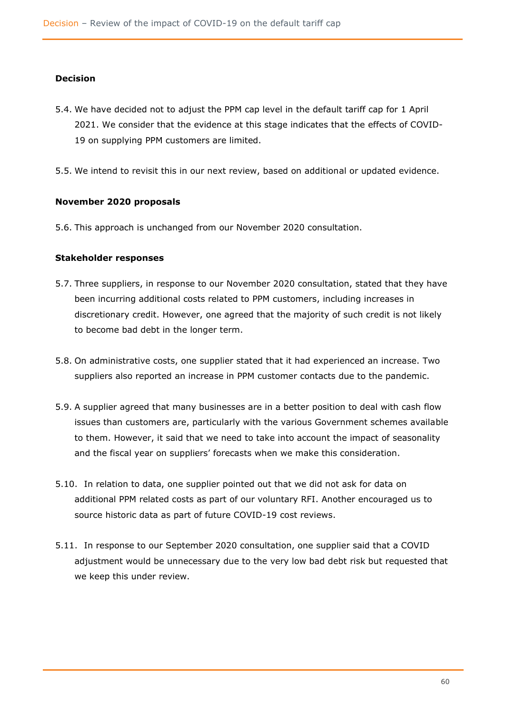## **Decision**

- 5.4. We have decided not to adjust the PPM cap level in the default tariff cap for 1 April 2021. We consider that the evidence at this stage indicates that the effects of COVID-19 on supplying PPM customers are limited.
- 5.5. We intend to revisit this in our next review, based on additional or updated evidence.

#### **November 2020 proposals**

5.6. This approach is unchanged from our November 2020 consultation.

#### **Stakeholder responses**

- 5.7. Three suppliers, in response to our November 2020 consultation, stated that they have been incurring additional costs related to PPM customers, including increases in discretionary credit. However, one agreed that the majority of such credit is not likely to become bad debt in the longer term.
- 5.8. On administrative costs, one supplier stated that it had experienced an increase. Two suppliers also reported an increase in PPM customer contacts due to the pandemic.
- 5.9. A supplier agreed that many businesses are in a better position to deal with cash flow issues than customers are, particularly with the various Government schemes available to them. However, it said that we need to take into account the impact of seasonality and the fiscal year on suppliers' forecasts when we make this consideration.
- 5.10. In relation to data, one supplier pointed out that we did not ask for data on additional PPM related costs as part of our voluntary RFI. Another encouraged us to source historic data as part of future COVID-19 cost reviews.
- 5.11. In response to our September 2020 consultation, one supplier said that a COVID adjustment would be unnecessary due to the very low bad debt risk but requested that we keep this under review.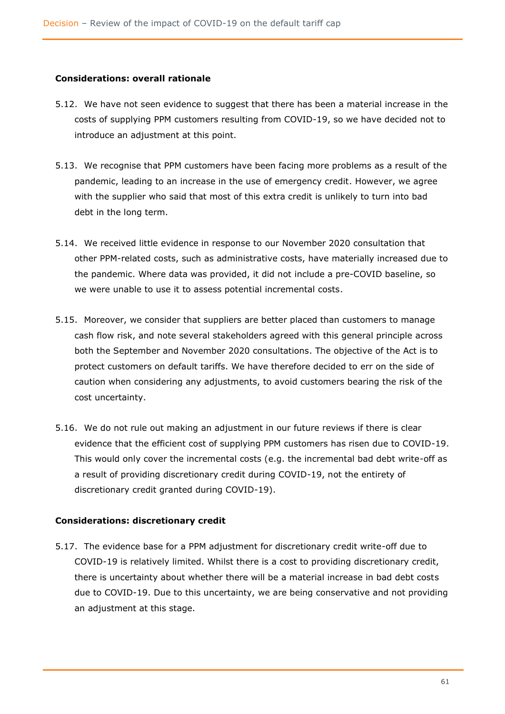#### **Considerations: overall rationale**

- 5.12. We have not seen evidence to suggest that there has been a material increase in the costs of supplying PPM customers resulting from COVID-19, so we have decided not to introduce an adjustment at this point.
- 5.13. We recognise that PPM customers have been facing more problems as a result of the pandemic, leading to an increase in the use of emergency credit. However, we agree with the supplier who said that most of this extra credit is unlikely to turn into bad debt in the long term.
- 5.14. We received little evidence in response to our November 2020 consultation that other PPM-related costs, such as administrative costs, have materially increased due to the pandemic. Where data was provided, it did not include a pre-COVID baseline, so we were unable to use it to assess potential incremental costs.
- 5.15. Moreover, we consider that suppliers are better placed than customers to manage cash flow risk, and note several stakeholders agreed with this general principle across both the September and November 2020 consultations. The objective of the Act is to protect customers on default tariffs. We have therefore decided to err on the side of caution when considering any adjustments, to avoid customers bearing the risk of the cost uncertainty.
- 5.16. We do not rule out making an adjustment in our future reviews if there is clear evidence that the efficient cost of supplying PPM customers has risen due to COVID-19. This would only cover the incremental costs (e.g. the incremental bad debt write-off as a result of providing discretionary credit during COVID-19, not the entirety of discretionary credit granted during COVID-19).

## **Considerations: discretionary credit**

5.17. The evidence base for a PPM adjustment for discretionary credit write-off due to COVID-19 is relatively limited. Whilst there is a cost to providing discretionary credit, there is uncertainty about whether there will be a material increase in bad debt costs due to COVID-19. Due to this uncertainty, we are being conservative and not providing an adjustment at this stage.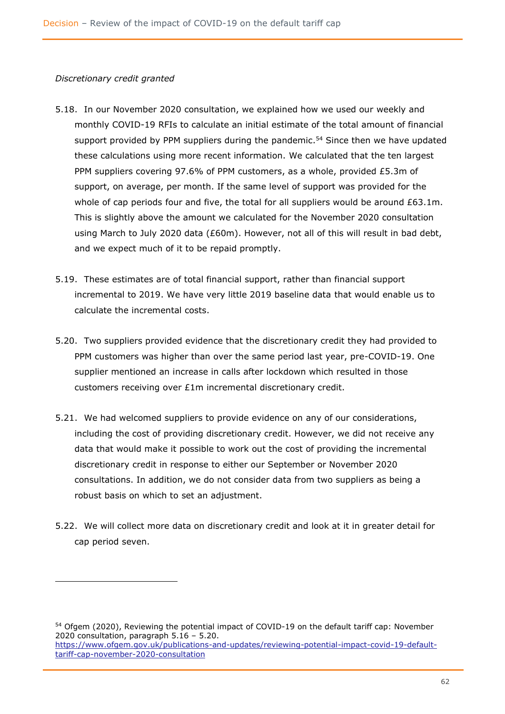#### *Discretionary credit granted*

- 5.18. In our November 2020 consultation, we explained how we used our weekly and monthly COVID-19 RFIs to calculate an initial estimate of the total amount of financial support provided by PPM suppliers during the pandemic.<sup>54</sup> Since then we have updated these calculations using more recent information. We calculated that the ten largest PPM suppliers covering 97.6% of PPM customers, as a whole, provided £5.3m of support, on average, per month. If the same level of support was provided for the whole of cap periods four and five, the total for all suppliers would be around £63.1m. This is slightly above the amount we calculated for the November 2020 consultation using March to July 2020 data (£60m). However, not all of this will result in bad debt, and we expect much of it to be repaid promptly.
- 5.19. These estimates are of total financial support, rather than financial support incremental to 2019. We have very little 2019 baseline data that would enable us to calculate the incremental costs.
- 5.20. Two suppliers provided evidence that the discretionary credit they had provided to PPM customers was higher than over the same period last year, pre-COVID-19. One supplier mentioned an increase in calls after lockdown which resulted in those customers receiving over £1m incremental discretionary credit.
- 5.21. We had welcomed suppliers to provide evidence on any of our considerations, including the cost of providing discretionary credit. However, we did not receive any data that would make it possible to work out the cost of providing the incremental discretionary credit in response to either our September or November 2020 consultations. In addition, we do not consider data from two suppliers as being a robust basis on which to set an adjustment.
- 5.22. We will collect more data on discretionary credit and look at it in greater detail for cap period seven.

<sup>54</sup> Ofgem (2020), Reviewing the potential impact of COVID-19 on the default tariff cap: November 2020 consultation, paragraph 5.16 – 5.20. [https://www.ofgem.gov.uk/publications-and-updates/reviewing-potential-impact-covid-19-default](https://www.ofgem.gov.uk/publications-and-updates/reviewing-potential-impact-covid-19-default-tariff-cap-november-2020-consultation)[tariff-cap-november-2020-consultation](https://www.ofgem.gov.uk/publications-and-updates/reviewing-potential-impact-covid-19-default-tariff-cap-november-2020-consultation)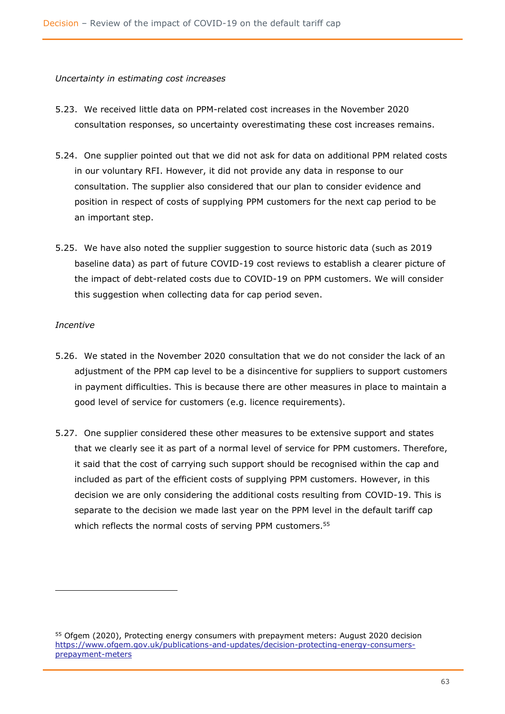#### *Uncertainty in estimating cost increases*

- 5.23. We received little data on PPM-related cost increases in the November 2020 consultation responses, so uncertainty overestimating these cost increases remains.
- 5.24. One supplier pointed out that we did not ask for data on additional PPM related costs in our voluntary RFI. However, it did not provide any data in response to our consultation. The supplier also considered that our plan to consider evidence and position in respect of costs of supplying PPM customers for the next cap period to be an important step.
- 5.25. We have also noted the supplier suggestion to source historic data (such as 2019 baseline data) as part of future COVID-19 cost reviews to establish a clearer picture of the impact of debt-related costs due to COVID-19 on PPM customers. We will consider this suggestion when collecting data for cap period seven.

#### *Incentive*

- 5.26. We stated in the November 2020 consultation that we do not consider the lack of an adjustment of the PPM cap level to be a disincentive for suppliers to support customers in payment difficulties. This is because there are other measures in place to maintain a good level of service for customers (e.g. licence requirements).
- 5.27. One supplier considered these other measures to be extensive support and states that we clearly see it as part of a normal level of service for PPM customers. Therefore, it said that the cost of carrying such support should be recognised within the cap and included as part of the efficient costs of supplying PPM customers. However, in this decision we are only considering the additional costs resulting from COVID-19. This is separate to the decision we made last year on the PPM level in the default tariff cap which reflects the normal costs of serving PPM customers.<sup>55</sup>

<sup>55</sup> Ofgem (2020), Protecting energy consumers with prepayment meters: August 2020 decision [https://www.ofgem.gov.uk/publications-and-updates/decision-protecting-energy-consumers](https://www.ofgem.gov.uk/publications-and-updates/decision-protecting-energy-consumers-prepayment-meters)[prepayment-meters](https://www.ofgem.gov.uk/publications-and-updates/decision-protecting-energy-consumers-prepayment-meters)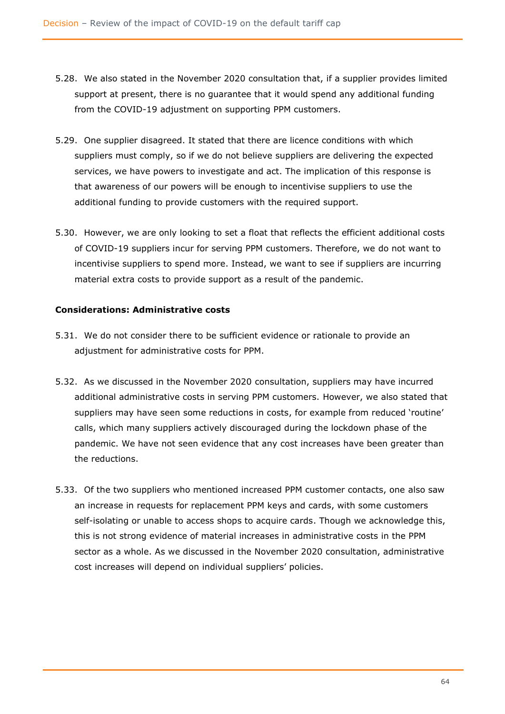- 5.28. We also stated in the November 2020 consultation that, if a supplier provides limited support at present, there is no guarantee that it would spend any additional funding from the COVID-19 adjustment on supporting PPM customers.
- 5.29. One supplier disagreed. It stated that there are licence conditions with which suppliers must comply, so if we do not believe suppliers are delivering the expected services, we have powers to investigate and act. The implication of this response is that awareness of our powers will be enough to incentivise suppliers to use the additional funding to provide customers with the required support.
- 5.30. However, we are only looking to set a float that reflects the efficient additional costs of COVID-19 suppliers incur for serving PPM customers. Therefore, we do not want to incentivise suppliers to spend more. Instead, we want to see if suppliers are incurring material extra costs to provide support as a result of the pandemic.

## **Considerations: Administrative costs**

- 5.31. We do not consider there to be sufficient evidence or rationale to provide an adjustment for administrative costs for PPM.
- 5.32. As we discussed in the November 2020 consultation, suppliers may have incurred additional administrative costs in serving PPM customers. However, we also stated that suppliers may have seen some reductions in costs, for example from reduced 'routine' calls, which many suppliers actively discouraged during the lockdown phase of the pandemic. We have not seen evidence that any cost increases have been greater than the reductions.
- 5.33. Of the two suppliers who mentioned increased PPM customer contacts, one also saw an increase in requests for replacement PPM keys and cards, with some customers self-isolating or unable to access shops to acquire cards. Though we acknowledge this, this is not strong evidence of material increases in administrative costs in the PPM sector as a whole. As we discussed in the November 2020 consultation, administrative cost increases will depend on individual suppliers' policies.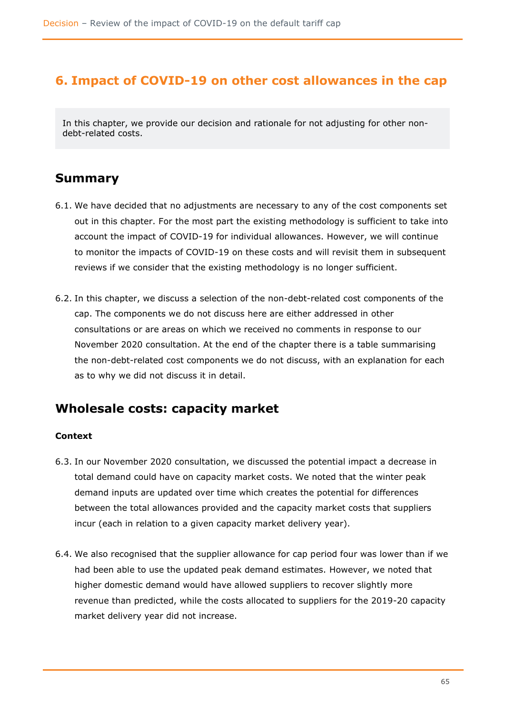## **6. Impact of COVID-19 on other cost allowances in the cap**

In this chapter, we provide our decision and rationale for not adjusting for other nondebt-related costs.

## **Summary**

- 6.1. We have decided that no adjustments are necessary to any of the cost components set out in this chapter. For the most part the existing methodology is sufficient to take into account the impact of COVID-19 for individual allowances. However, we will continue to monitor the impacts of COVID-19 on these costs and will revisit them in subsequent reviews if we consider that the existing methodology is no longer sufficient.
- 6.2. In this chapter, we discuss a selection of the non-debt-related cost components of the cap. The components we do not discuss here are either addressed in other consultations or are areas on which we received no comments in response to our November 2020 consultation. At the end of the chapter there is a table summarising the non-debt-related cost components we do not discuss, with an explanation for each as to why we did not discuss it in detail.

## **Wholesale costs: capacity market**

## **Context**

- 6.3. In our November 2020 consultation, we discussed the potential impact a decrease in total demand could have on capacity market costs. We noted that the winter peak demand inputs are updated over time which creates the potential for differences between the total allowances provided and the capacity market costs that suppliers incur (each in relation to a given capacity market delivery year).
- 6.4. We also recognised that the supplier allowance for cap period four was lower than if we had been able to use the updated peak demand estimates. However, we noted that higher domestic demand would have allowed suppliers to recover slightly more revenue than predicted, while the costs allocated to suppliers for the 2019-20 capacity market delivery year did not increase.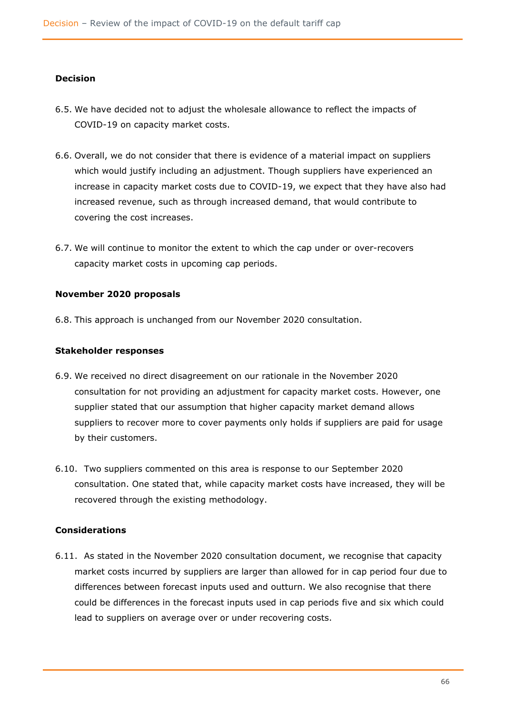## **Decision**

- 6.5. We have decided not to adjust the wholesale allowance to reflect the impacts of COVID-19 on capacity market costs.
- 6.6. Overall, we do not consider that there is evidence of a material impact on suppliers which would justify including an adjustment. Though suppliers have experienced an increase in capacity market costs due to COVID-19, we expect that they have also had increased revenue, such as through increased demand, that would contribute to covering the cost increases.
- 6.7. We will continue to monitor the extent to which the cap under or over-recovers capacity market costs in upcoming cap periods.

#### **November 2020 proposals**

6.8. This approach is unchanged from our November 2020 consultation.

#### **Stakeholder responses**

- 6.9. We received no direct disagreement on our rationale in the November 2020 consultation for not providing an adjustment for capacity market costs. However, one supplier stated that our assumption that higher capacity market demand allows suppliers to recover more to cover payments only holds if suppliers are paid for usage by their customers.
- 6.10. Two suppliers commented on this area is response to our September 2020 consultation. One stated that, while capacity market costs have increased, they will be recovered through the existing methodology.

## **Considerations**

6.11. As stated in the November 2020 consultation document, we recognise that capacity market costs incurred by suppliers are larger than allowed for in cap period four due to differences between forecast inputs used and outturn. We also recognise that there could be differences in the forecast inputs used in cap periods five and six which could lead to suppliers on average over or under recovering costs.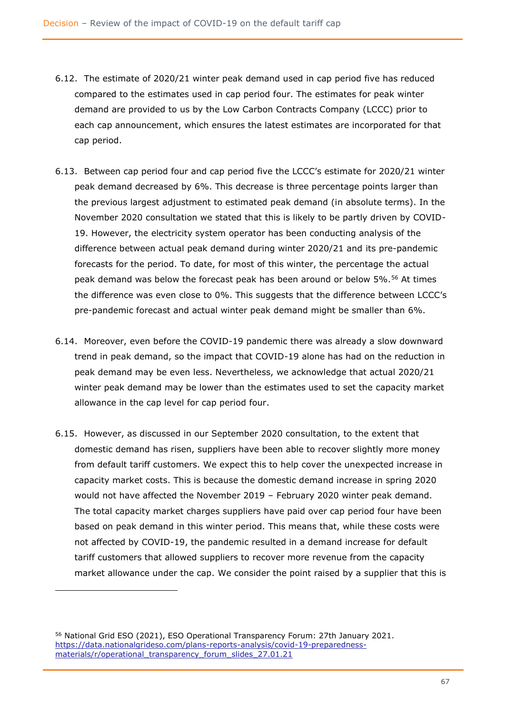- 6.12. The estimate of 2020/21 winter peak demand used in cap period five has reduced compared to the estimates used in cap period four. The estimates for peak winter demand are provided to us by the Low Carbon Contracts Company (LCCC) prior to each cap announcement, which ensures the latest estimates are incorporated for that cap period.
- 6.13. Between cap period four and cap period five the LCCC's estimate for 2020/21 winter peak demand decreased by 6%. This decrease is three percentage points larger than the previous largest adjustment to estimated peak demand (in absolute terms). In the November 2020 consultation we stated that this is likely to be partly driven by COVID-19. However, the electricity system operator has been conducting analysis of the difference between actual peak demand during winter 2020/21 and its pre-pandemic forecasts for the period. To date, for most of this winter, the percentage the actual peak demand was below the forecast peak has been around or below 5%.<sup>56</sup> At times the difference was even close to 0%. This suggests that the difference between LCCC's pre-pandemic forecast and actual winter peak demand might be smaller than 6%.
- 6.14. Moreover, even before the COVID-19 pandemic there was already a slow downward trend in peak demand, so the impact that COVID-19 alone has had on the reduction in peak demand may be even less. Nevertheless, we acknowledge that actual 2020/21 winter peak demand may be lower than the estimates used to set the capacity market allowance in the cap level for cap period four.
- 6.15. However, as discussed in our September 2020 consultation, to the extent that domestic demand has risen, suppliers have been able to recover slightly more money from default tariff customers. We expect this to help cover the unexpected increase in capacity market costs. This is because the domestic demand increase in spring 2020 would not have affected the November 2019 – February 2020 winter peak demand. The total capacity market charges suppliers have paid over cap period four have been based on peak demand in this winter period. This means that, while these costs were not affected by COVID-19, the pandemic resulted in a demand increase for default tariff customers that allowed suppliers to recover more revenue from the capacity market allowance under the cap. We consider the point raised by a supplier that this is

<sup>56</sup> National Grid ESO (2021), ESO Operational Transparency Forum: 27th January 2021. [https://data.nationalgrideso.com/plans-reports-analysis/covid-19-preparedness](https://data.nationalgrideso.com/plans-reports-analysis/covid-19-preparedness-materials/r/operational_transparency_forum_slides_27.01.21)[materials/r/operational\\_transparency\\_forum\\_slides\\_27.01.21](https://data.nationalgrideso.com/plans-reports-analysis/covid-19-preparedness-materials/r/operational_transparency_forum_slides_27.01.21)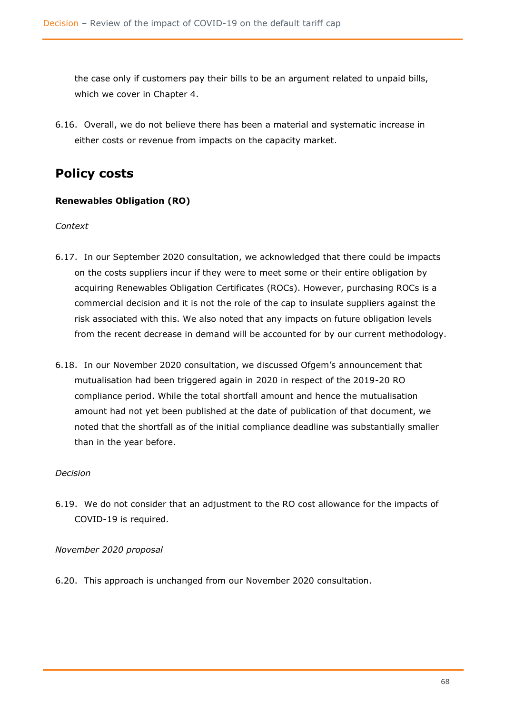the case only if customers pay their bills to be an argument related to unpaid bills, which we cover in Chapter 4.

6.16. Overall, we do not believe there has been a material and systematic increase in either costs or revenue from impacts on the capacity market.

# **Policy costs**

## **Renewables Obligation (RO)**

#### *Context*

- 6.17. In our September 2020 consultation, we acknowledged that there could be impacts on the costs suppliers incur if they were to meet some or their entire obligation by acquiring Renewables Obligation Certificates (ROCs). However, purchasing ROCs is a commercial decision and it is not the role of the cap to insulate suppliers against the risk associated with this. We also noted that any impacts on future obligation levels from the recent decrease in demand will be accounted for by our current methodology.
- 6.18. In our November 2020 consultation, we discussed Ofgem's announcement that mutualisation had been triggered again in 2020 in respect of the 2019-20 RO compliance period. While the total shortfall amount and hence the mutualisation amount had not yet been published at the date of publication of that document, we noted that the shortfall as of the initial compliance deadline was substantially smaller than in the year before.

## *Decision*

6.19. We do not consider that an adjustment to the RO cost allowance for the impacts of COVID-19 is required.

## *November 2020 proposal*

6.20. This approach is unchanged from our November 2020 consultation.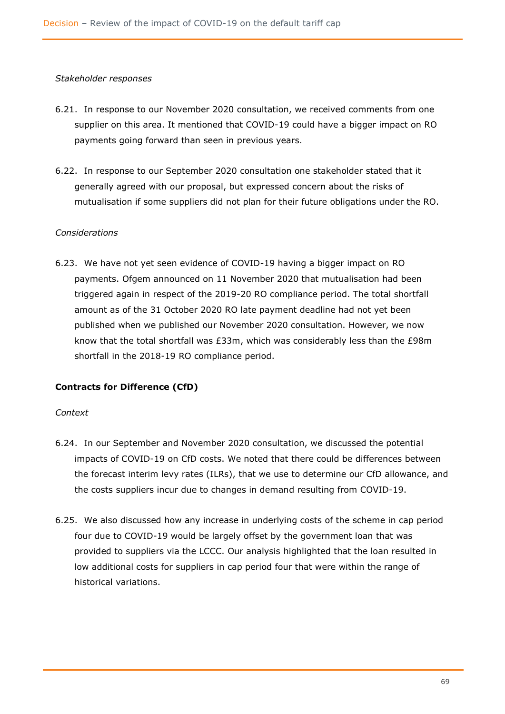#### *Stakeholder responses*

- 6.21. In response to our November 2020 consultation, we received comments from one supplier on this area. It mentioned that COVID-19 could have a bigger impact on RO payments going forward than seen in previous years.
- 6.22. In response to our September 2020 consultation one stakeholder stated that it generally agreed with our proposal, but expressed concern about the risks of mutualisation if some suppliers did not plan for their future obligations under the RO.

## *Considerations*

6.23. We have not yet seen evidence of COVID-19 having a bigger impact on RO payments. Ofgem announced on 11 November 2020 that mutualisation had been triggered again in respect of the 2019-20 RO compliance period. The total shortfall amount as of the 31 October 2020 RO late payment deadline had not yet been published when we published our November 2020 consultation. However, we now know that the total shortfall was £33m, which was considerably less than the £98m shortfall in the 2018-19 RO compliance period.

## **Contracts for Difference (CfD)**

## *Context*

- 6.24. In our September and November 2020 consultation, we discussed the potential impacts of COVID-19 on CfD costs. We noted that there could be differences between the forecast interim levy rates (ILRs), that we use to determine our CfD allowance, and the costs suppliers incur due to changes in demand resulting from COVID-19.
- 6.25. We also discussed how any increase in underlying costs of the scheme in cap period four due to COVID-19 would be largely offset by the government loan that was provided to suppliers via the LCCC. Our analysis highlighted that the loan resulted in low additional costs for suppliers in cap period four that were within the range of historical variations.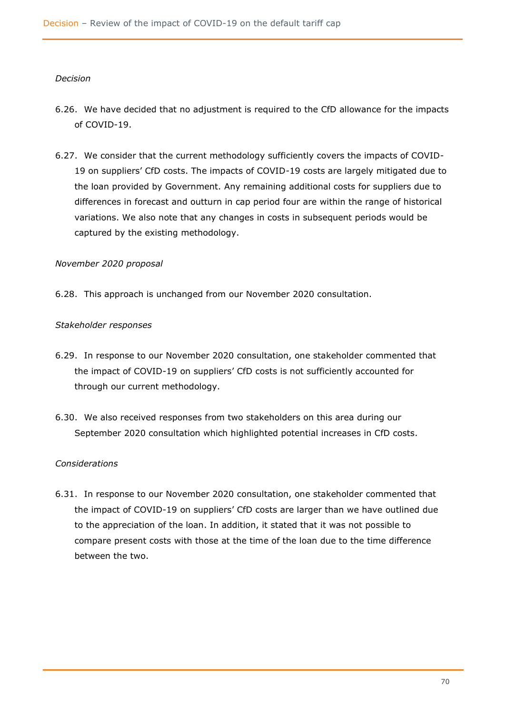#### *Decision*

- 6.26. We have decided that no adjustment is required to the CfD allowance for the impacts of COVID-19.
- 6.27. We consider that the current methodology sufficiently covers the impacts of COVID-19 on suppliers' CfD costs. The impacts of COVID-19 costs are largely mitigated due to the loan provided by Government. Any remaining additional costs for suppliers due to differences in forecast and outturn in cap period four are within the range of historical variations. We also note that any changes in costs in subsequent periods would be captured by the existing methodology.

## *November 2020 proposal*

6.28. This approach is unchanged from our November 2020 consultation.

#### *Stakeholder responses*

- 6.29. In response to our November 2020 consultation, one stakeholder commented that the impact of COVID-19 on suppliers' CfD costs is not sufficiently accounted for through our current methodology.
- 6.30. We also received responses from two stakeholders on this area during our September 2020 consultation which highlighted potential increases in CfD costs.

#### *Considerations*

6.31. In response to our November 2020 consultation, one stakeholder commented that the impact of COVID-19 on suppliers' CfD costs are larger than we have outlined due to the appreciation of the loan. In addition, it stated that it was not possible to compare present costs with those at the time of the loan due to the time difference between the two.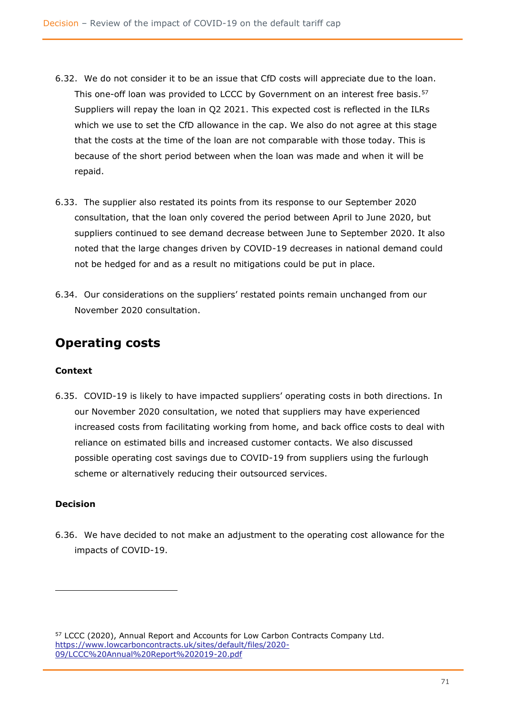- 6.32. We do not consider it to be an issue that CfD costs will appreciate due to the loan. This one-off loan was provided to LCCC by Government on an interest free basis.<sup>57</sup> Suppliers will repay the loan in Q2 2021. This expected cost is reflected in the ILRs which we use to set the CfD allowance in the cap. We also do not agree at this stage that the costs at the time of the loan are not comparable with those today. This is because of the short period between when the loan was made and when it will be repaid.
- 6.33. The supplier also restated its points from its response to our September 2020 consultation, that the loan only covered the period between April to June 2020, but suppliers continued to see demand decrease between June to September 2020. It also noted that the large changes driven by COVID-19 decreases in national demand could not be hedged for and as a result no mitigations could be put in place.
- 6.34. Our considerations on the suppliers' restated points remain unchanged from our November 2020 consultation.

## **Operating costs**

## **Context**

6.35. COVID-19 is likely to have impacted suppliers' operating costs in both directions. In our November 2020 consultation, we noted that suppliers may have experienced increased costs from facilitating working from home, and back office costs to deal with reliance on estimated bills and increased customer contacts. We also discussed possible operating cost savings due to COVID-19 from suppliers using the furlough scheme or alternatively reducing their outsourced services.

## **Decision**

6.36. We have decided to not make an adjustment to the operating cost allowance for the impacts of COVID-19.

<sup>57</sup> LCCC (2020), Annual Report and Accounts for Low Carbon Contracts Company Ltd. [https://www.lowcarboncontracts.uk/sites/default/files/2020-](https://www.lowcarboncontracts.uk/sites/default/files/2020-09/LCCC%20Annual%20Report%202019-20.pdf) [09/LCCC%20Annual%20Report%202019-20.pdf](https://www.lowcarboncontracts.uk/sites/default/files/2020-09/LCCC%20Annual%20Report%202019-20.pdf)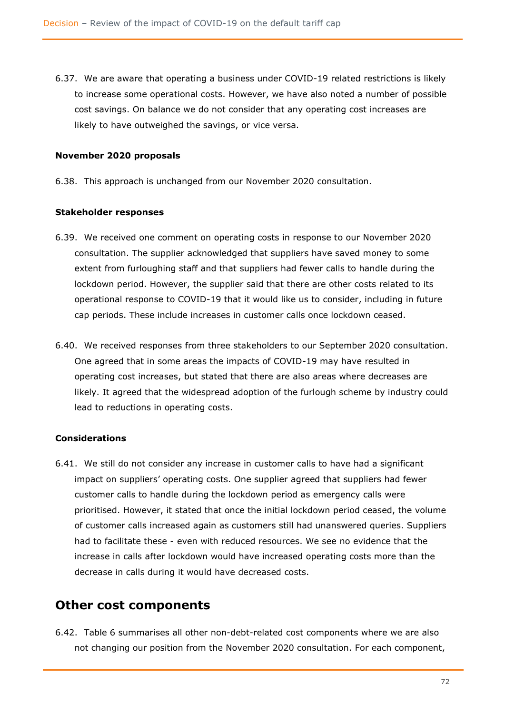6.37. We are aware that operating a business under COVID-19 related restrictions is likely to increase some operational costs. However, we have also noted a number of possible cost savings. On balance we do not consider that any operating cost increases are likely to have outweighed the savings, or vice versa.

## **November 2020 proposals**

6.38. This approach is unchanged from our November 2020 consultation.

## **Stakeholder responses**

- 6.39. We received one comment on operating costs in response to our November 2020 consultation. The supplier acknowledged that suppliers have saved money to some extent from furloughing staff and that suppliers had fewer calls to handle during the lockdown period. However, the supplier said that there are other costs related to its operational response to COVID-19 that it would like us to consider, including in future cap periods. These include increases in customer calls once lockdown ceased.
- 6.40. We received responses from three stakeholders to our September 2020 consultation. One agreed that in some areas the impacts of COVID-19 may have resulted in operating cost increases, but stated that there are also areas where decreases are likely. It agreed that the widespread adoption of the furlough scheme by industry could lead to reductions in operating costs.

## **Considerations**

6.41. We still do not consider any increase in customer calls to have had a significant impact on suppliers' operating costs. One supplier agreed that suppliers had fewer customer calls to handle during the lockdown period as emergency calls were prioritised. However, it stated that once the initial lockdown period ceased, the volume of customer calls increased again as customers still had unanswered queries. Suppliers had to facilitate these - even with reduced resources. We see no evidence that the increase in calls after lockdown would have increased operating costs more than the decrease in calls during it would have decreased costs.

## **Other cost components**

6.42. Table 6 summarises all other non-debt-related cost components where we are also not changing our position from the November 2020 consultation. For each component,